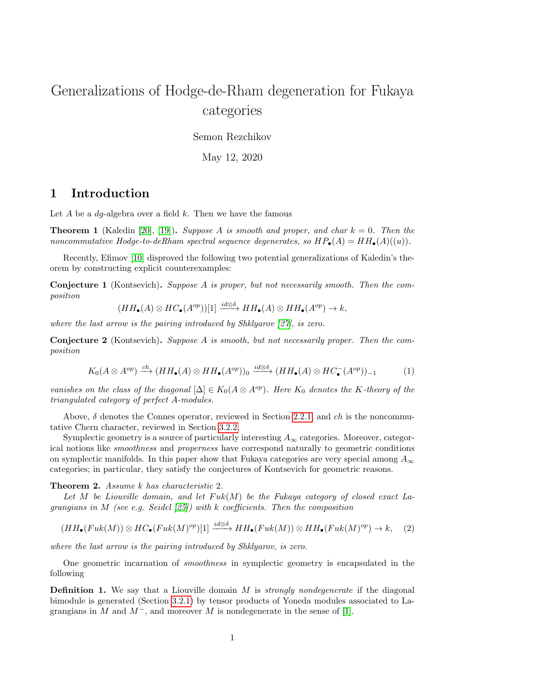# <span id="page-0-3"></span>Generalizations of Hodge-de-Rham degeneration for Fukaya categories

Semon Rezchikov

May 12, 2020

### 1 Introduction

Let A be a  $dq$ -algebra over a field k. Then we have the famous

**Theorem 1** (Kaledin [\[20\]](#page-38-0), [\[19\]](#page-38-1)). Suppose A is smooth and proper, and char  $k = 0$ . Then the noncommutative Hodge-to-deRham spectral sequence degenerates, so  $HP_{\bullet}(A) = HH_{\bullet}(A)((u)).$ 

Recently, Efimov [\[10\]](#page-37-0) disproved the following two potential generalizations of Kaledin's theorem by constructing explicit counterexamples:

Conjecture 1 (Kontsevich). Suppose A is proper, but not necessarily smooth. Then the composition

$$
(HH_{\bullet}(A) \otimes HC_{\bullet}(A^{op))[1]} \xrightarrow{id \otimes \delta} HH_{\bullet}(A) \otimes HH_{\bullet}(A^{op}) \to k,
$$

where the last arrow is the pairing introduced by Shklyarov [\[27\]](#page-38-2), is zero.

<span id="page-0-0"></span>Conjecture 2 (Kontsevich). Suppose A is smooth, but not necessarily proper. Then the composition

$$
K_0(A \otimes A^{op}) \xrightarrow{ch} (HH_{\bullet}(A) \otimes HH_{\bullet}(A^{op}))_0 \xrightarrow{id \otimes \delta} (HH_{\bullet}(A) \otimes HC_{\bullet}^-(A^{op}))_{-1}
$$
 (1)

vanishes on the class of the diagonal  $[\Delta] \in K_0(A \otimes A^{op})$ . Here  $K_0$  denotes the K-theory of the triangulated category of perfect A-modules.

Above,  $\delta$  denotes the Connes operator, reviewed in Section [2.2.1,](#page-3-0) and ch is the noncommutative Chern character, reviewed in Section [3.2.2.](#page-24-0)

Symplectic geometry is a source of particularly interesting  $A_{\infty}$  categories. Moreover, categorical notions like smoothness and properness have correspond naturally to geometric conditions on symplectic manifolds. In this paper show that Fukaya categories are very special among  $A_{\infty}$ categories; in particular, they satisfy the conjectures of Kontsevich for geometric reasons.

<span id="page-0-1"></span>Theorem 2. Assume k has characteristic 2.

Let M be Liouville domain, and let  $Fuk(M)$  be the Fukaya category of closed exact Lagrangians in M (see e.g. Seidel  $(25)$ ) with k coefficients. Then the composition

<span id="page-0-2"></span>
$$
(HH_{\bullet}(Fuk(M)) \otimes HC_{\bullet}(Fuk(M)^{op})[1] \xrightarrow{id \otimes \delta} HH_{\bullet}(Fuk(M)) \otimes HH_{\bullet}(Fuk(M)^{op}) \to k, \quad (2)
$$

where the last arrow is the pairing introduced by Shklyarov, is zero.

One geometric incarnation of smoothness in symplectic geometry is encapsulated in the following

**Definition 1.** We say that a Liouville domain  $M$  is *strongly nondegenerate* if the diagonal bimodule is generated (Section [3.2.1\)](#page-23-0) by tensor products of Yoneda modules associated to Lagrangians in M and  $M^-$ , and moreover M is nondegenerate in the sense of [\[1\]](#page-37-1).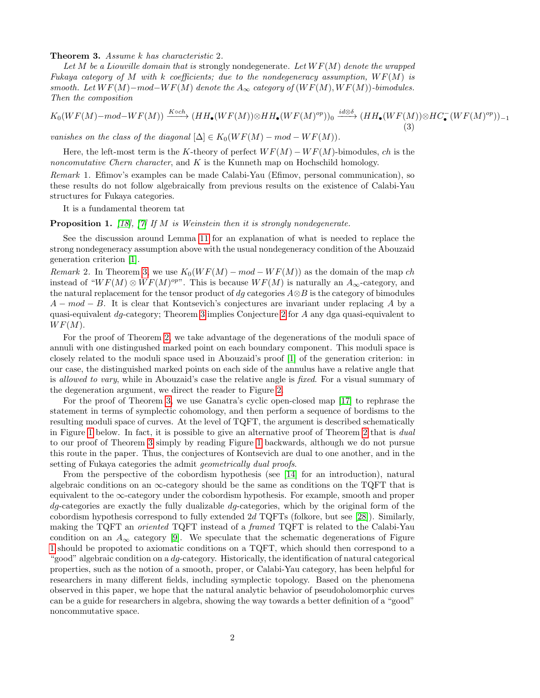<span id="page-1-0"></span>Theorem 3. Assume k has characteristic 2.

Let M be a Liouville domain that is strongly nondegenerate. Let  $WF(M)$  denote the wrapped Fukaya category of M with k coefficients; due to the nondegeneracy assumption,  $WF(M)$  is smooth. Let  $WF(M)$  – mod–W  $F(M)$  denote the  $A_{\infty}$  category of  $(WF(M), WF(M))$ -bimodules. Then the composition

$$
K_0(WF(M) - mod - WF(M)) \xrightarrow{K \circ ch} (HH_\bullet(WF(M)) \otimes HH_\bullet(WF(M)^{op}))_0 \xrightarrow{id \otimes \delta} (HH_\bullet(WF(M)) \otimes HC_\bullet(WF(M)^{op}))_{-1}
$$
\n(3)

vanishes on the class of the diagonal  $[\Delta] \in K_0(WF(M) - mod - WF(M)).$ 

Here, the left-most term is the K-theory of perfect  $WF(M) - WF(M)$ -bimodules, ch is the noncomutative Chern character, and  $K$  is the Kunneth map on Hochschild homology.

Remark 1. Efimov's examples can be made Calabi-Yau (Efimov, personal communication), so these results do not follow algebraically from previous results on the existence of Calabi-Yau structures for Fukaya categories.

It is a fundamental theorem tat

**Proposition 1.** [\[18\]](#page-38-4), [\[7\]](#page-37-2) If M is Weinstein then it is strongly nondegenerate.

See the discussion around Lemma [11](#page-25-0) for an explanation of what is needed to replace the strong nondegeneracy assumption above with the usual nondegeneracy condition of the Abouzaid generation criterion [\[1\]](#page-37-1).

Remark 2. In Theorem [3,](#page-1-0) we use  $K_0(WF(M) - mod - WF(M))$  as the domain of the map ch instead of " $WF(M) \otimes WF(M)^{op}$ ". This is because  $WF(M)$  is naturally an  $A_{\infty}$ -category, and the natural replacement for the tensor product of dg categories  $A \otimes B$  is the category of bimodules  $A - mod - B$ . It is clear that Kontsevich's conjectures are invariant under replacing A by a quasi-equivalent dg-category; Theorem [3](#page-1-0) implies Conjecture [2](#page-0-0) for A any dga quasi-equivalent to  $WF(M).$ 

For the proof of Theorem [2,](#page-0-1) we take advantage of the degenerations of the moduli space of annuli with one distingushed marked point on each boundary component. This moduli space is closely related to the moduli space used in Abouzaid's proof [\[1\]](#page-37-1) of the generation criterion: in our case, the distinguished marked points on each side of the annulus have a relative angle that is allowed to vary, while in Abouzaid's case the relative angle is fixed. For a visual summary of the degeneration argument, we direct the reader to Figure [2.](#page-40-0)

For the proof of Theorem [3,](#page-1-0) we use Ganatra's cyclic open-closed map [\[17\]](#page-37-3) to rephrase the statement in terms of symplectic cohomology, and then perform a sequence of bordisms to the resulting moduli space of curves. At the level of TQFT, the argument is described schematically in Figure [1](#page-39-0) below. In fact, it is possible to give an alternative proof of Theorem [2](#page-0-1) that is dual to our proof of Theorem [3](#page-1-0) simply by reading Figure [1](#page-39-0) backwards, although we do not pursue this route in the paper. Thus, the conjectures of Kontsevich are dual to one another, and in the setting of Fukaya categories the admit *geometrically dual proofs*.

From the perspective of the cobordism hypothesis (see [\[14\]](#page-37-4) for an introduction), natural algebraic conditions on an  $\infty$ -category should be the same as conditions on the TQFT that is equivalent to the ∞-category under the cobordism hypothesis. For example, smooth and proper  $dg$ -categories are exactly the fully dualizable  $dg$ -categories, which by the original form of the cobordism hypothesis correspond to fully extended 2d TQFTs (folkore, but see [\[28\]](#page-38-5)). Similarly, making the TQFT an oriented TQFT instead of a framed TQFT is related to the Calabi-Yau condition on an  $A_{\infty}$  category [\[9\]](#page-37-5). We speculate that the schematic degenerations of Figure [1](#page-39-0) should be propoted to axiomatic conditions on a TQFT, which should then correspond to a "good" algebraic condition on a dg-category. Historically, the identification of natural categorical properties, such as the notion of a smooth, proper, or Calabi-Yau category, has been helpful for researchers in many different fields, including symplectic topology. Based on the phenomena observed in this paper, we hope that the natural analytic behavior of pseudoholomorphic curves can be a guide for researchers in algebra, showing the way towards a better definition of a "good" noncommutative space.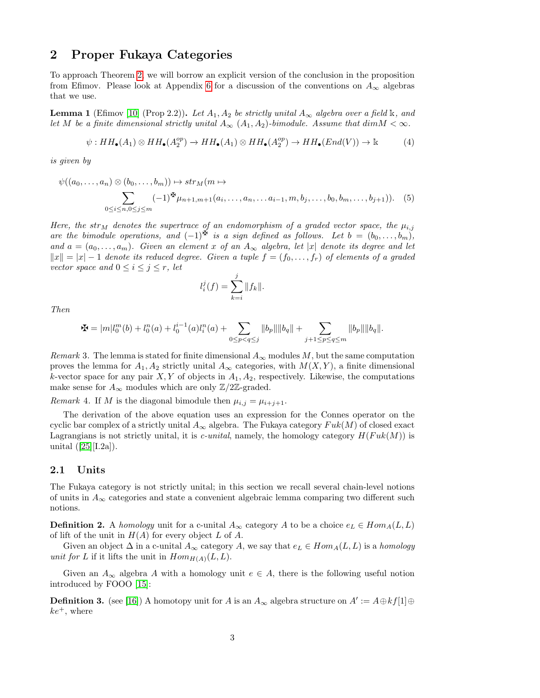### 2 Proper Fukaya Categories

To approach Theorem [2,](#page-0-1) we will borrow an explicit version of the conclusion in the proposition from Efimov. Please look at Appendix [6](#page-36-0) for a discussion of the conventions on  $A_{\infty}$  algebras that we use.

**Lemma 1** (Efimov [\[10\]](#page-37-0) (Prop 2.2)). Let  $A_1, A_2$  be strictly unital  $A_\infty$  algebra over a field k, and let M be a finite dimensional strictly unital  $A_{\infty}$  ( $A_1, A_2$ )-bimodule. Assume that  $dim M < \infty$ .

$$
\psi: HH_{\bullet}(A_1) \otimes HH_{\bullet}(A_2^{op}) \to HH_{\bullet}(A_1) \otimes HH_{\bullet}(A_2^{op}) \to HH_{\bullet}(End(V)) \to \mathbb{k}
$$
 (4)

is given by

$$
\psi((a_0,\ldots,a_n)\otimes(b_0,\ldots,b_m))\mapsto str_M(m\mapsto\atop 0\leq i\leq n,0\leq j\leq m}(-1)^{\sum_{i=1}^m} (1)^{\sum_{i=1}^m} (a_i,\ldots,a_n,\ldots,a_{i-1},m,b_j,\ldots,b_0,b_m,\ldots,b_{j+1})).
$$
 (5)

Here, the str<sub>M</sub> denotes the supertrace of an endomorphism of a graded vector space, the  $\mu_{i,j}$ are the bimodule operations, and  $(-1)^{\mathbf{\Phi}}$  is a sign defined as follows. Let  $b = (b_0, \ldots, b_m)$ , and  $a = (a_0, \ldots, a_m)$ . Given an element x of an  $A_\infty$  algebra, let |x| denote its degree and let  $||x|| = |x| - 1$  denote its reduced degree. Given a tuple  $f = (f_0, \ldots, f_r)$  of elements of a graded vector space and  $0 \leq i \leq j \leq r$ , let

<span id="page-2-0"></span>
$$
l_i^j(f) = \sum_{k=i}^j \|f_k\|.
$$

Then

$$
\maltese = |m|l_0^m(b) + l_0^n(a) + l_0^{i-1}(a)l_i^n(a) + \sum_{0 \le p < q \le j} ||b_p|| ||b_q|| + \sum_{j+1 \le p \le q \le m} ||b_p|| ||b_q||.
$$

Remark 3. The lemma is stated for finite dimensional  $A_{\infty}$  modules M, but the same computation proves the lemma for  $A_1, A_2$  strictly unital  $A_\infty$  categories, with  $M(X, Y)$ , a finite dimensional k-vector space for any pair  $X, Y$  of objects in  $A_1, A_2$ , respectively. Likewise, the computations make sense for  $A_{\infty}$  modules which are only Z/2Z-graded.

<span id="page-2-1"></span>Remark 4. If M is the diagonal bimodule then  $\mu_{i,j} = \mu_{i+j+1}$ .

The derivation of the above equation uses an expression for the Connes operator on the cyclic bar complex of a strictly unital  $A_{\infty}$  algebra. The Fukaya category  $Fuk(M)$  of closed exact Lagrangians is not strictly unital, it is *c-unital*, namely, the homology category  $H(Fuk(M))$  is unital  $([25][1.2a])$  $([25][1.2a])$  $([25][1.2a])$ .

#### 2.1 Units

The Fukaya category is not strictly unital; in this section we recall several chain-level notions of units in  $A_{\infty}$  categories and state a convenient algebraic lemma comparing two different such notions.

<span id="page-2-2"></span>**Definition 2.** A homology unit for a c-unital  $A_{\infty}$  category A to be a choice  $e_L \in Hom_A(L, L)$ of lift of the unit in  $H(A)$  for every object L of A.

Given an object  $\Delta$  in a c-unital  $A_{\infty}$  category A, we say that  $e_L \in Hom_A(L, L)$  is a *homology* unit for L if it lifts the unit in  $Hom_{H(A)}(L, L)$ .

Given an  $A_{\infty}$  algebra A with a homology unit  $e \in A$ , there is the following useful notion introduced by FOOO [\[15\]](#page-37-6):

**Definition 3.** (see [\[16\]](#page-37-7)) A homotopy unit for A is an  $A_{\infty}$  algebra structure on  $A' := A \oplus kf[1] \oplus$  $ke^+$ , where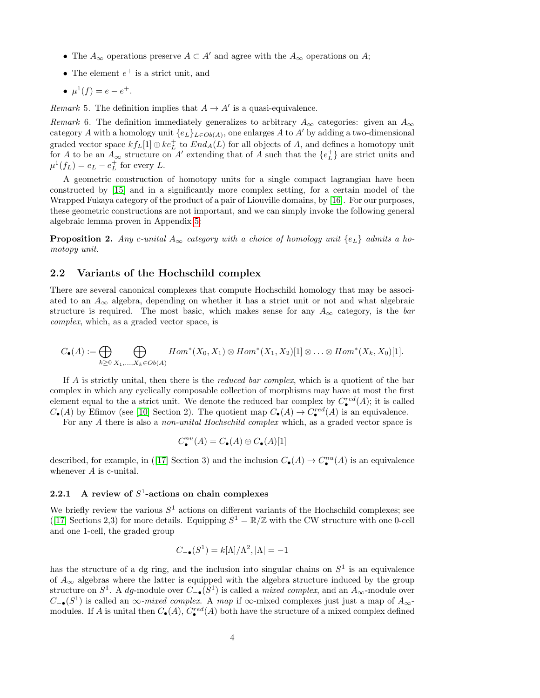- The  $A_{\infty}$  operations preserve  $A \subset A'$  and agree with the  $A_{\infty}$  operations on A;
- The element  $e^+$  is a strict unit, and
- $\mu^1(f) = e e^+$ .

*Remark* 5. The definition implies that  $A \rightarrow A'$  is a quasi-equivalence.

Remark 6. The definition immediately generalizes to arbitrary  $A_{\infty}$  categories: given an  $A_{\infty}$ category A with a homology unit  $\{e_L\}_{L\in Ob(A)}$ , one enlarges A to A' by adding a two-dimensional graded vector space  $k f_L[1] \oplus k e_L^+$  to  $End_A(L)$  for all objects of A, and defines a homotopy unit for A to be an  $A_{\infty}$  structure on A' extending that of A such that the  $\{e_L^+\}$  are strict units and  $\mu^1(f_L) = e_L - e_L^+$  for every L.

A geometric construction of homotopy units for a single compact lagrangian have been constructed by [\[15\]](#page-37-6) and in a significantly more complex setting, for a certain model of the Wrapped Fukaya category of the product of a pair of Liouville domains, by [\[16\]](#page-37-7). For our purposes, these geometric constructions are not important, and we can simply invoke the following general algebraic lemma proven in Appendix [5:](#page-35-0)

<span id="page-3-1"></span>**Proposition 2.** Any c-unital  $A_{\infty}$  category with a choice of homology unit  $\{e_L\}$  admits a homotopy unit.

#### 2.2 Variants of the Hochschild complex

There are several canonical complexes that compute Hochschild homology that may be associated to an  $A_{\infty}$  algebra, depending on whether it has a strict unit or not and what algebraic structure is required. The most basic, which makes sense for any  $A_{\infty}$  category, is the bar complex, which, as a graded vector space, is

$$
C_{\bullet}(A):=\bigoplus_{k\geq 0}\bigoplus_{X_1,\ldots,X_k\in Ob(A)} Hom^*(X_0,X_1)\otimes Hom^*(X_1,X_2)[1]\otimes\ldots\otimes Hom^*(X_k,X_0)[1].
$$

If A is strictly unital, then there is the *reduced bar complex*, which is a quotient of the bar complex in which any cyclically composable collection of morphisms may have at most the first element equal to the a strict unit. We denote the reduced bar complex by  $C^{red}_\bullet(A)$ ; it is called  $C_{\bullet}(A)$  by Efimov (see [\[10\]](#page-37-0) Section 2). The quotient map  $C_{\bullet}(A) \to C_{\bullet}^{red}(A)$  is an equivalence.

For any A there is also a *non-unital Hochschild complex* which, as a graded vector space is

$$
C^{nu}_{\bullet}(A)=C_{\bullet}(A)\oplus C_{\bullet}(A)[1]
$$

described, for example, in ([\[17\]](#page-37-3) Section 3) and the inclusion  $C_{\bullet}(A) \to C_{\bullet}^{nu}(A)$  is an equivalence whenever A is c-unital.

#### <span id="page-3-0"></span>2.2.1 A review of  $S^1$ -actions on chain complexes

We briefly review the various  $S^1$  actions on different variants of the Hochschild complexes; see ([\[17\]](#page-37-3) Sections 2,3) for more details. Equipping  $S^1 = \mathbb{R}/\mathbb{Z}$  with the CW structure with one 0-cell and one 1-cell, the graded group

$$
C_{-\bullet}(S^1) = k[\Lambda]/\Lambda^2, |\Lambda| = -1
$$

has the structure of a dg ring, and the inclusion into singular chains on  $S<sup>1</sup>$  is an equivalence of  $A_{\infty}$  algebras where the latter is equipped with the algebra structure induced by the group structure on  $S^1$ . A dg-module over  $C_{-\bullet}(S^1)$  is called a *mixed complex*, and an  $A_{\infty}$ -module over  $C_{-\bullet}(S^1)$  is called an ∞-mixed complex. A map if ∞-mixed complexes just just a map of  $A_{\infty}$ modules. If A is unital then  $C_{\bullet}(A)$ ,  $C_{\bullet}^{red}(A)$  both have the structure of a mixed complex defined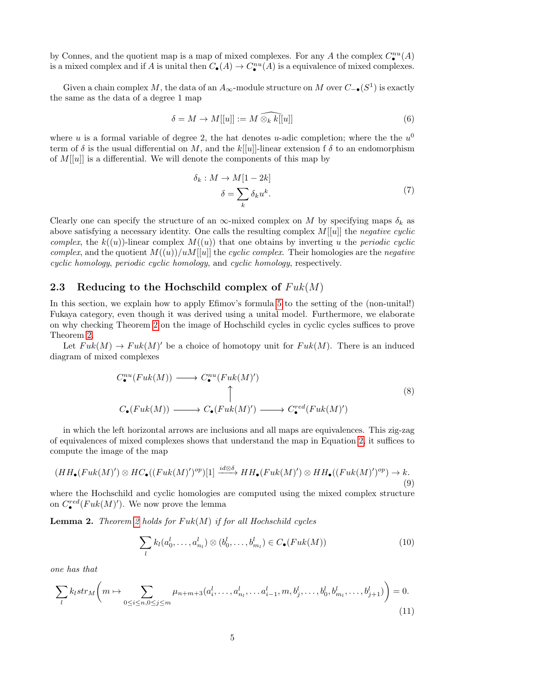by Connes, and the quotient map is a map of mixed complexes. For any A the complex  $C^{nu}_{\bullet}(A)$ is a mixed complex and if A is unital then  $C_{\bullet}(A) \to C_{\bullet}^{nu}(A)$  is a equivalence of mixed complexes.

Given a chain complex M, the data of an  $A_{\infty}$ -module structure on M over  $C_{-\bullet}(S^1)$  is exactly the same as the data of a degree 1 map

$$
\delta = M \to M[[u]] := M \widehat{\otimes_k k[[u]]} \tag{6}
$$

where u is a formal variable of degree 2, the hat denotes u-adic completion; where the the  $u^0$ term of  $\delta$  is the usual differential on M, and the  $k[[u]]$ -linear extension f  $\delta$  to an endomorphism of  $M[[u]]$  is a differential. We will denote the components of this map by

$$
\delta_k : M \to M[1 - 2k] \n\delta = \sum_k \delta_k u^k.
$$
\n(7)

<span id="page-4-2"></span>Clearly one can specify the structure of an  $\infty$ -mixed complex on M by specifying maps  $\delta_k$  as above satisfying a necessary identity. One calls the resulting complex  $M[[u]]$  the negative cyclic complex, the  $k((u))$ -linear complex  $M((u))$  that one obtains by inverting u the periodic cyclic complex, and the quotient  $M((u))/uM[[u]]$  the cyclic complex. Their homologies are the negative cyclic homology, periodic cyclic homology, and cyclic homology, respectively.

#### 2.3 Reducing to the Hochschild complex of  $Fuk(M)$

In this section, we explain how to apply Efimov's formula [5](#page-2-0) to the setting of the (non-unital!) Fukaya category, even though it was derived using a unital model. Furthermore, we elaborate on why checking Theorem [2](#page-0-1) on the image of Hochschild cycles in cyclic cycles suffices to prove Theorem [2.](#page-0-1)

Let  $Fuk(M) \to Fuk(M)'$  be a choice of homotopy unit for  $Fuk(M)$ . There is an induced diagram of mixed complexes

$$
C_{\bullet}^{nu}(Fuk(M)) \longrightarrow C_{\bullet}^{nu}(Fuk(M)')
$$
\n
$$
\uparrow
$$
\n
$$
C_{\bullet}(Fuk(M)) \longrightarrow C_{\bullet}(Fuk(M)') \longrightarrow C_{\bullet}^{red}(Fuk(M)')
$$
\n(8)

in which the left horizontal arrows are inclusions and all maps are equivalences. This zig-zag of equivalences of mixed complexes shows that understand the map in Equation [2,](#page-0-2) it suffices to compute the image of the map

$$
(HH_{\bullet}(Fuk(M)^{\prime})\otimes HC_{\bullet}((Fuk(M)^{\prime})^{op})[1] \xrightarrow{id\otimes\delta} HH_{\bullet}(Fuk(M)^{\prime})\otimes HH_{\bullet}((Fuk(M)^{\prime})^{op}) \to k. \tag{9}
$$

where the Hochschild and cyclic homologies are computed using the mixed complex structure on  $C^{red}_\bullet(Fuk(M)')$ . We now prove the lemma

<span id="page-4-0"></span>**Lemma [2](#page-0-1).** Theorem 2 holds for  $Fuk(M)$  if for all Hochschild cycles

<span id="page-4-1"></span>
$$
\sum_{l} k_l(a_0^l, \dots, a_{n_l}^l) \otimes (b_0^l, \dots, b_{m_l}^l) \in C_{\bullet}(Fuk(M))
$$
\n(10)

one has that

$$
\sum_{l} k_{l} str_{M}\left(m \mapsto \sum_{0 \le i \le n, 0 \le j \le m} \mu_{n+m+3}(a_{i}^{l}, \dots, a_{n_{l}}^{l}, \dots a_{i-1}^{l}, m, b_{j}^{l}, \dots, b_{0}^{l}, b_{m_{l}}^{l}, \dots, b_{j+1}^{l})\right) = 0.
$$
\n(11)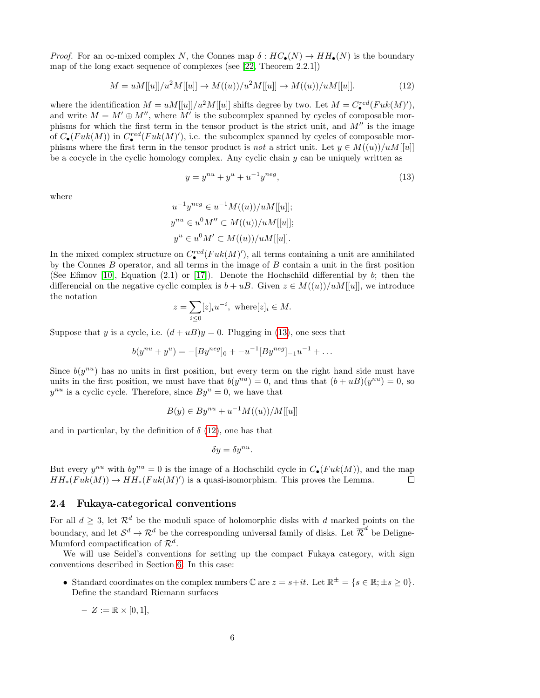*Proof.* For an  $\infty$ -mixed complex N, the Connes map  $\delta : HC_{\bullet}(N) \to HH_{\bullet}(N)$  is the boundary map of the long exact sequence of complexes (see [\[22,](#page-38-6) Theorem 2.2.1])

<span id="page-5-1"></span>
$$
M = uM[[u]]/u^2M[[u]] \to M((u))/u^2M[[u]] \to M((u))/uM[[u]].
$$
\n(12)

where the identification  $M = uM[[u]]/u^2M[[u]]$  shifts degree by two. Let  $M = C^{red}_\bullet(Fuk(M)'),$ and write  $M = M' \oplus M''$ , where M' is the subcomplex spanned by cycles of composable morphisms for which the first term in the tensor product is the strict unit, and  $M''$  is the image of  $C_{\bullet}(Fuk(M))$  in  $C_{\bullet}^{red}(Fuk(M)')$ , i.e. the subcomplex spanned by cycles of composable morphisms where the first term in the tensor product is not a strict unit. Let  $y \in M((u))/uM[[u]]$ be a cocycle in the cyclic homology complex. Any cyclic chain  $y$  can be uniquely written as

<span id="page-5-0"></span>
$$
y = y^{nu} + y^{u} + u^{-1}y^{neg},
$$
\n(13)

where

$$
u^{-1}y^{neg} \in u^{-1}M((u))/uM[[u]];
$$
  
\n
$$
y^{nu} \in u^{0}M'' \subset M((u))/uM[[u]];
$$
  
\n
$$
y^{u} \in u^{0}M' \subset M((u))/uM[[u]].
$$

In the mixed complex structure on  $C^{red}_\bullet(Fuk(M)')$ , all terms containing a unit are annihilated by the Connes  $B$  operator, and all terms in the image of  $B$  contain a unit in the first position (See Efimov [\[10\]](#page-37-0), Equation (2.1) or [\[17\]](#page-37-3)). Denote the Hochschild differential by  $b$ ; then the differencial on the negative cyclic complex is  $b + uB$ . Given  $z \in M((u))/uM[[u]]$ , we introduce the notation

$$
z = \sum_{i \leq 0} [z]_i u^{-i}, \text{ where } [z]_i \in M.
$$

Suppose that y is a cycle, i.e.  $(d+u)$ y = 0. Plugging in [\(13\)](#page-5-0), one sees that

$$
b(y^{nu} + y^{u}) = -[By^{neg}]_{0} + -u^{-1}[By^{neg}]_{-1}u^{-1} + \dots
$$

Since  $b(y^{nu})$  has no units in first position, but every term on the right hand side must have units in the first position, we must have that  $b(y^{nu}) = 0$ , and thus that  $(b + uB)(y^{nu}) = 0$ , so  $y^{nu}$  is a cyclic cycle. Therefore, since  $By^{u} = 0$ , we have that

$$
B(y) \in By^{nu} + u^{-1}M((u))/M[[u]]
$$

and in particular, by the definition of  $\delta$  [\(12\)](#page-5-1), one has that

$$
\delta y = \delta y^{nu}.
$$

But every  $y^{nu}$  with  $by^{nu} = 0$  is the image of a Hochschild cycle in  $C_{\bullet}(Fuk(M))$ , and the map  $HH_*(Fuk(M)) \to HH_*(Fuk(M)')$  is a quasi-isomorphism. This proves the Lemma.  $\Box$ 

#### <span id="page-5-2"></span>2.4 Fukaya-categorical conventions

For all  $d > 3$ , let  $\mathcal{R}^d$  be the moduli space of holomorphic disks with d marked points on the boundary, and let  $\mathcal{S}^d \to \mathcal{R}^d$  be the corresponding universal family of disks. Let  $\overline{\mathcal{R}}^d$  be Deligne-Mumford compactification of  $\mathcal{R}^d$ .

We will use Seidel's conventions for setting up the compact Fukaya category, with sign conventions described in Section [6.](#page-36-0) In this case:

- Standard coordinates on the complex numbers  $\mathbb C$  are  $z = s + it$ . Let  $\mathbb R^{\pm} = \{s \in \mathbb R; \pm s \geq 0\}.$ Define the standard Riemann surfaces
	- $Z := \mathbb{R} \times [0,1],$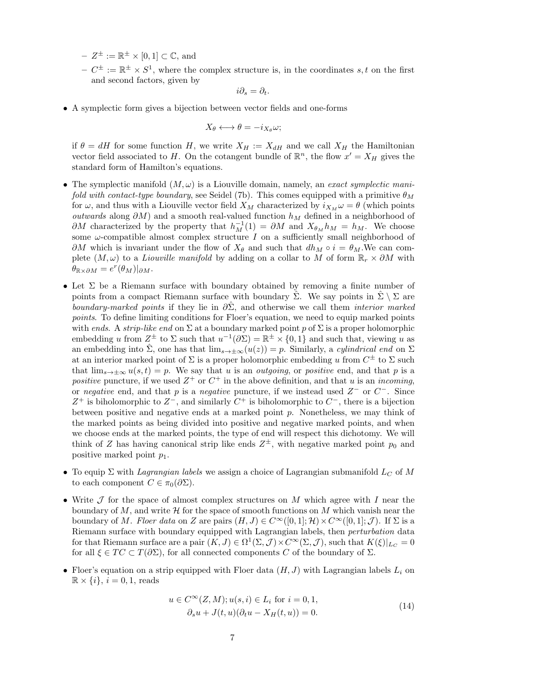$- Z^{\pm} := \mathbb{R}^{\pm} \times [0,1] \subset \mathbb{C}$ , and

 $-C^{\pm} := \mathbb{R}^{\pm} \times S^{1}$ , where the complex structure is, in the coordinates s, t on the first and second factors, given by

$$
i\partial_s = \partial_t.
$$

• A symplectic form gives a bijection between vector fields and one-forms

$$
X_{\theta} \longleftrightarrow \theta = -i_{X_{\theta}}\omega;
$$

if  $\theta = dH$  for some function H, we write  $X_H := X_{dH}$  and we call  $X_H$  the Hamiltonian vector field associated to H. On the cotangent bundle of  $\mathbb{R}^n$ , the flow  $x' = X_H$  gives the standard form of Hamilton's equations.

- The symplectic manifold  $(M, \omega)$  is a Liouville domain, namely, an exact symplectic manifold with contact-type boundary, see Seidel (7b). This comes equipped with a primitive  $\theta_M$ for  $\omega$ , and thus with a Liouville vector field  $X_M$  characterized by  $i_{X_M}\omega = \theta$  (which points *outwards* along  $\partial M$ ) and a smooth real-valued function  $h_M$  defined in a neighborhood of  $\partial M$  characterized by the property that  $h_M^{-1}(1) = \partial M$  and  $X_{\theta_M} h_M = h_M$ . We choose some  $\omega$ -compatible almost complex structure I on a sufficiently small neighborhood of  $\partial M$  which is invariant under the flow of  $X_{\theta}$  and such that  $dh_M \circ i = \theta_M$ . We can complete  $(M, \omega)$  to a *Liouville manifold* by adding on a collar to M of form  $\mathbb{R}_r \times \partial M$  with  $\theta_{\mathbb{R}\times\partial M}=e^r(\theta_M)|_{\partial M}.$
- Let  $\Sigma$  be a Riemann surface with boundary obtained by removing a finite number of points from a compact Riemann surface with boundary  $\hat{\Sigma}$ . We say points in  $\hat{\Sigma} \setminus \Sigma$  are boundary-marked points if they lie in  $\partial \Sigma$ , and otherwise we call them *interior marked* points. To define limiting conditions for Floer's equation, we need to equip marked points with ends. A strip-like end on  $\Sigma$  at a boundary marked point p of  $\Sigma$  is a proper holomorphic embedding u from  $Z^{\pm}$  to  $\Sigma$  such that  $u^{-1}(\partial \Sigma) = \mathbb{R}^{\pm} \times \{0,1\}$  and such that, viewing u as an embedding into  $\hat{\Sigma}$ , one has that  $\lim_{s\to\pm\infty}(u(z))=p$ . Similarly, a *cylindrical end* on  $\Sigma$ at an interior marked point of  $\Sigma$  is a proper holomorphic embedding u from  $C^{\pm}$  to  $\Sigma$  such that  $\lim_{s\to\pm\infty}u(s,t)=p$ . We say that u is an *outgoing*, or *positive* end, and that p is a positive puncture, if we used  $Z^+$  or  $C^+$  in the above definition, and that u is an *incoming*, or negative end, and that p is a negative puncture, if we instead used  $Z^-$  or  $C^-$ . Since Z<sup>+</sup> is biholomorphic to  $Z^-$ , and similarly  $C^+$  is biholomorphic to  $C^-$ , there is a bijection between positive and negative ends at a marked point p. Nonetheless, we may think of the marked points as being divided into positive and negative marked points, and when we choose ends at the marked points, the type of end will respect this dichotomy. We will think of Z has having canonical strip like ends  $Z^{\pm}$ , with negative marked point  $p_0$  and positive marked point  $p_1$ .
- To equip  $\Sigma$  with *Lagrangian labels* we assign a choice of Lagrangian submanifold  $L_C$  of M to each component  $C \in \pi_0(\partial \Sigma)$ .
- Write  $\mathcal J$  for the space of almost complex structures on M which agree with I near the boundary of M, and write  $\mathcal H$  for the space of smooth functions on M which vanish near the boundary of M. Floer data on Z are pairs  $(H, J) \in C^{\infty}([0, 1]; \mathcal{H}) \times C^{\infty}([0, 1]; \mathcal{J})$ . If  $\Sigma$  is a Riemann surface with boundary equipped with Lagrangian labels, then *perturbation* data for that Riemann surface are a pair  $(K, J) \in \Omega^1(\Sigma, \mathcal{J}) \times C^\infty(\Sigma, \mathcal{J})$ , such that  $K(\xi)|_{L_C} = 0$ for all  $\xi \in TC \subset T(\partial \Sigma)$ , for all connected components C of the boundary of  $\Sigma$ .
- <span id="page-6-0"></span>• Floer's equation on a strip equipped with Floer data  $(H, J)$  with Lagrangian labels  $L_i$  on  $\mathbb{R} \times \{i\}, i = 0, 1$ , reads

$$
u \in C^{\infty}(Z, M); u(s, i) \in L_i \text{ for } i = 0, 1,
$$
  
\n
$$
\partial_s u + J(t, u)(\partial_t u - X_H(t, u)) = 0.
$$
\n(14)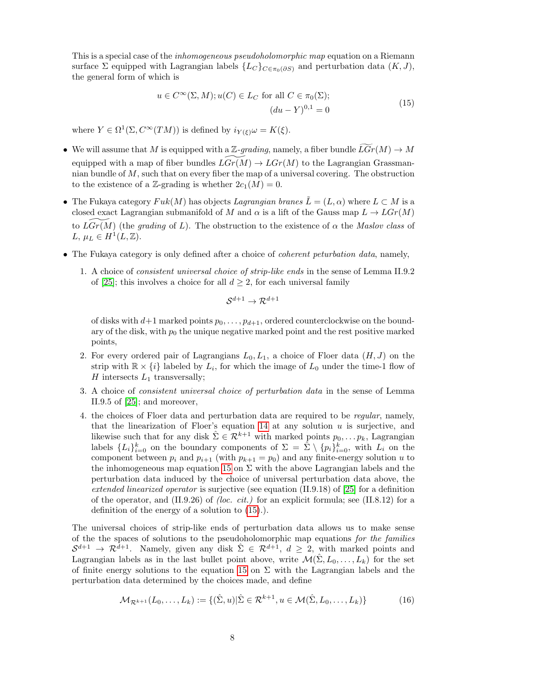This is a special case of the *inhomogeneous pseudoholomorphic map* equation on a Riemann surface  $\Sigma$  equipped with Lagrangian labels  $\{L_C\}_{C \in \pi_0(\partial S)}$  and perturbation data  $(K, J)$ , the general form of which is

$$
u \in C^{\infty}(\Sigma, M); u(C) \in L_C \text{ for all } C \in \pi_0(\Sigma);
$$
  
\n
$$
(du - Y)^{0,1} = 0
$$
\n(15)

<span id="page-7-0"></span>where  $Y \in \Omega^1(\Sigma, C^\infty(TM))$  is defined by  $i_{Y(\xi)}\omega = K(\xi)$ .

- We will assume that M is equipped with a Z-grading, namely, a fiber bundle  $\tilde{L}Gr(M) \to M$ equipped with a map of fiber bundles  $LGr(M) \to LGr(M)$  to the Lagrangian Grassmannian bundle of  $M$ , such that on every fiber the map of a universal covering. The obstruction to the existence of a Z-grading is whether  $2c_1(M) = 0$ .
- The Fukaya category  $Fuk(M)$  has objects Lagrangian branes  $\tilde{L} = (L, \alpha)$  where  $L \subset M$  is a closed exact Lagrangian submanifold of M and  $\alpha$  is a lift of the Gauss map  $L \to LGr(M)$ to  $LGr(M)$  (the grading of L). The obstruction to the existence of  $\alpha$  the Maslov class of L,  $\mu_L \in H^1(L, \mathbb{Z})$ .
- The Fukaya category is only defined after a choice of *coherent peturbation data*, namely,
	- 1. A choice of consistent universal choice of strip-like ends in the sense of Lemma II.9.2 of [\[25\]](#page-38-3); this involves a choice for all  $d \geq 2$ , for each universal family

$$
\mathcal{S}^{d+1}\to \mathcal{R}^{d+1}
$$

of disks with  $d+1$  marked points  $p_0, \ldots, p_{d+1}$ , ordered counterclockwise on the boundary of the disk, with  $p_0$  the unique negative marked point and the rest positive marked points,

- 2. For every ordered pair of Lagrangians  $L_0, L_1$ , a choice of Floer data  $(H, J)$  on the strip with  $\mathbb{R} \times \{i\}$  labeled by  $L_i$ , for which the image of  $L_0$  under the time-1 flow of  $H$  intersects  $L_1$  transversally;
- 3. A choice of consistent universal choice of perturbation data in the sense of Lemma II.9.5 of [\[25\]](#page-38-3); and moreover,
- 4. the choices of Floer data and perturbation data are required to be regular, namely, that the linearization of Floer's equation  $14$  at any solution  $u$  is surjective, and likewise such that for any disk  $\hat{\Sigma} \in \mathcal{R}^{k+1}$  with marked points  $p_0, \ldots p_k$ , Lagrangian labels  $\{L_i\}_{i=0}^k$  on the boundary components of  $\Sigma = \tilde{\Sigma} \setminus \{p_i\}_{i=0}^k$ , with  $L_i$  on the component between  $p_i$  and  $p_{i+1}$  (with  $p_{k+1} = p_0$ ) and any finite-energy solution u to the inhomogeneous map equation [15](#page-7-0) on  $\Sigma$  with the above Lagrangian labels and the perturbation data induced by the choice of universal perturbation data above, the extended linearized operator is surjective (see equation (II.9.18) of [\[25\]](#page-38-3) for a definition of the operator, and  $(II.9.26)$  of *(loc. cit.)* for an explicit formula; see  $(II.8.12)$  for a definition of the energy of a solution to [\(15\)](#page-7-0).).

The universal choices of strip-like ends of perturbation data allows us to make sense of the the spaces of solutions to the pseudoholomorphic map equations for the families  $\mathcal{S}^{d+1} \to \mathcal{R}^{\bar{d}+1}$ . Namely, given any disk  $\hat{\Sigma} \in \mathcal{R}^{d+1}$ ,  $d \geq 2$ , with marked points and Lagrangian labels as in the last bullet point above, write  $\mathcal{M}(\hat{\Sigma}, L_0, \ldots, L_k)$  for the set of finite energy solutions to the equation [15](#page-7-0) on  $\Sigma$  with the Lagrangian labels and the perturbation data determined by the choices made, and define

$$
\mathcal{M}_{\mathcal{R}^{k+1}}(L_0,\ldots,L_k) := \{(\hat{\Sigma},u)|\hat{\Sigma} \in \mathcal{R}^{k+1}, u \in \mathcal{M}(\hat{\Sigma},L_0,\ldots,L_k)\}\tag{16}
$$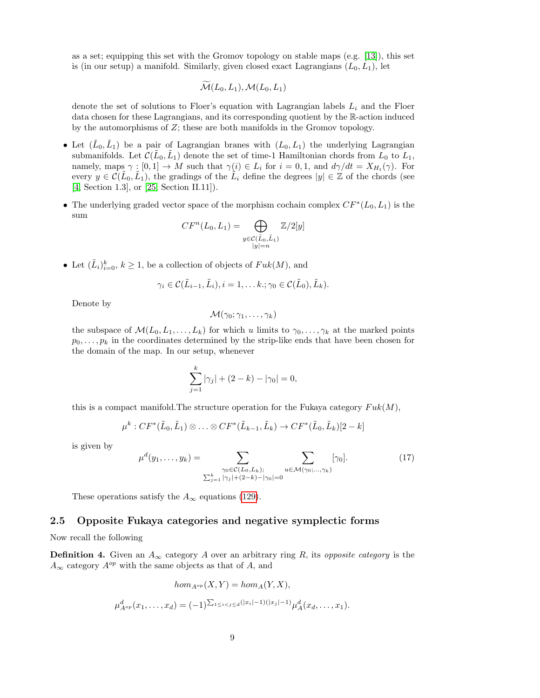as a set; equipping this set with the Gromov topology on stable maps (e.g. [\[13\]](#page-37-8)), this set is (in our setup) a manifold. Similarly, given closed exact Lagrangians  $(L_0, L_1)$ , let

$$
\mathcal{M}(L_0,L_1),\mathcal{M}(L_0,L_1)
$$

denote the set of solutions to Floer's equation with Lagrangian labels  $L_i$  and the Floer data chosen for these Lagrangians, and its corresponding quotient by the R-action induced by the automorphisms of  $Z$ ; these are both manifolds in the Gromov topology.

- Let  $(\tilde{L}_0, \tilde{L}_1)$  be a pair of Lagrangian branes with  $(L_0, L_1)$  the underlying Lagrangian submanifolds. Let  $\mathcal{C}(\tilde{L}_0, \tilde{L}_1)$  denote the set of time-1 Hamiltonian chords from  $\tilde{L}_0$  to  $\tilde{L}_1$ , namely, maps  $\gamma : [0,1] \to M$  such that  $\gamma(i) \in L_i$  for  $i = 0,1$ , and  $d\gamma/dt = X_{H_i}(\gamma)$ . For every  $y \in \mathcal{C}(\tilde{L}_0, \tilde{L}_1)$ , the gradings of the  $\tilde{L}_i$  define the degrees  $|y| \in \mathbb{Z}$  of the chords (see [\[4,](#page-37-9) Section 1.3], or [\[25,](#page-38-3) Section II.11]).
- The underlying graded vector space of the morphism cochain complex  $CF^*(L_0, L_1)$  is the sum

$$
CF^n(L_0, L_1) = \bigoplus_{\substack{y \in \mathcal{C}(\tilde{L}_0, \tilde{L}_1) \\ |y| = n}} \mathbb{Z}/2[y]
$$

• Let  $(\tilde{L}_i)_{i=0}^k$ ,  $k \geq 1$ , be a collection of objects of  $Fuk(M)$ , and

$$
\gamma_i \in \mathcal{C}(\tilde{L}_{i-1}, \tilde{L}_i), i=1,\ldots k.; \gamma_0 \in \mathcal{C}(\tilde{L}_0), \tilde{L}_k).
$$

Denote by

$$
\mathcal{M}(\gamma_0;\gamma_1,\ldots,\gamma_k)
$$

the subspace of  $\mathcal{M}(L_0, L_1, \ldots, L_k)$  for which u limits to  $\gamma_0, \ldots, \gamma_k$  at the marked points  $p_0, \ldots, p_k$  in the coordinates determined by the strip-like ends that have been chosen for the domain of the map. In our setup, whenever

$$
\sum_{j=1}^{k} |\gamma_j| + (2 - k) - |\gamma_0| = 0,
$$

this is a compact manifold. The structure operation for the Fukaya category  $Fuk(M)$ ,

$$
\mu^k: CF^*(\tilde{L}_0, \tilde{L}_1) \otimes \ldots \otimes CF^*(\tilde{L}_{k-1}, \tilde{L}_k) \to CF^*(\tilde{L}_0, \tilde{L}_k)[2-k]
$$

is given by

$$
\mu^{d}(y_1,\ldots,y_k) = \sum_{\substack{\gamma_0 \in \mathcal{C}(L_0,L_k); \\ \sum_{j=1}^k |\gamma_j| + (2-k) - |\gamma_0| = 0}} \sum_{u \in \mathcal{M}(\gamma_0;\ldots,\gamma_k)} [\gamma_0].
$$
\n(17)

These operations satisfy the  $A_{\infty}$  equations [\(129\)](#page-36-1).

### <span id="page-8-0"></span>2.5 Opposite Fukaya categories and negative symplectic forms

Now recall the following

<span id="page-8-1"></span>**Definition 4.** Given an  $A_{\infty}$  category A over an arbitrary ring R, its *opposite category* is the  $A_{\infty}$  category  $A^{op}$  with the same objects as that of A, and

$$
hom_{A^{op}}(X, Y) = hom_A(Y, X),
$$
  

$$
\mu_{A^{op}}^d(x_1, \dots, x_d) = (-1)^{\sum_{1 \le i < j \le d}(|x_i| - 1)(|x_j| - 1)} \mu_A^d(x_d, \dots, x_1).
$$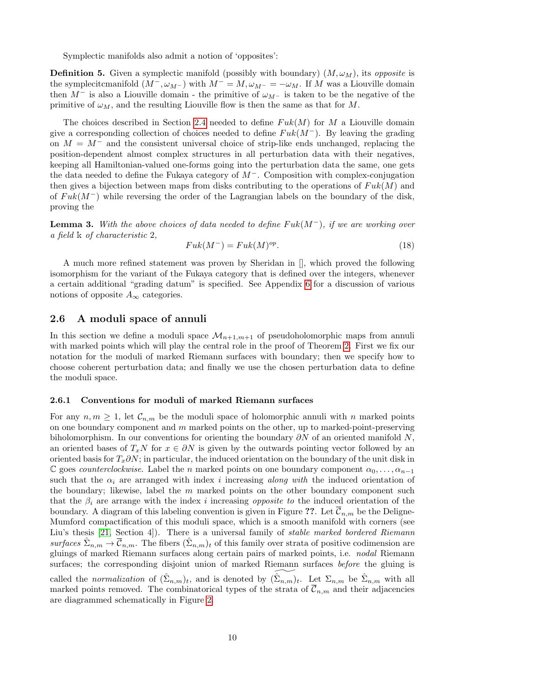Symplectic manifolds also admit a notion of 'opposites':

**Definition 5.** Given a symplectic manifold (possibly with boundary)  $(M, \omega_M)$ , its *opposite* is the symplecitcmanifold  $(M^-, \omega_{M^-})$  with  $M^- = M, \omega_{M^-} = -\omega_M$ . If M was a Liouville domain then  $M^-$  is also a Liouville domain - the primitive of  $\omega_{M^-}$  is taken to be the negative of the primitive of  $\omega_M$ , and the resulting Liouville flow is then the same as that for M.

The choices described in Section [2.4](#page-5-2) needed to define  $Fuk(M)$  for M a Liouville domain give a corresponding collection of choices needed to define  $Fuk(M^-)$ . By leaving the grading on  $M = M^-$  and the consistent universal choice of strip-like ends unchanged, replacing the position-dependent almost complex structures in all perturbation data with their negatives, keeping all Hamiltonian-valued one-forms going into the perturbation data the same, one gets the data needed to define the Fukaya category of  $M^-$ . Composition with complex-conjugation then gives a bijection between maps from disks contributing to the operations of  $Fuk(M)$  and of  $Fuk(M^-)$  while reversing the order of the Lagrangian labels on the boundary of the disk, proving the

<span id="page-9-0"></span>**Lemma 3.** With the above choices of data needed to define  $Fuk(M^-)$ , if we are working over a field k of characteristic 2,

$$
Fuk(M^-) = Fuk(M)^{op}.
$$
\n(18)

A much more refined statement was proven by Sheridan in [], which proved the following isomorphism for the variant of the Fukaya category that is defined over the integers, whenever a certain additional "grading datum" is specified. See Appendix [6](#page-36-0) for a discussion of various notions of opposite  $A_{\infty}$  categories.

#### 2.6 A moduli space of annuli

In this section we define a moduli space  $\mathcal{M}_{n+1,m+1}$  of pseudoholomorphic maps from annuli with marked points which will play the central role in the proof of Theorem [2.](#page-0-1) First we fix our notation for the moduli of marked Riemann surfaces with boundary; then we specify how to choose coherent perturbation data; and finally we use the chosen perturbation data to define the moduli space.

#### <span id="page-9-1"></span>2.6.1 Conventions for moduli of marked Riemann surfaces

For any  $n, m \geq 1$ , let  $\mathcal{C}_{n,m}$  be the moduli space of holomorphic annuli with n marked points on one boundary component and  $m$  marked points on the other, up to marked-point-preserving biholomorphism. In our conventions for orienting the boundary  $\partial N$  of an oriented manifold N, an oriented bases of  $T_xN$  for  $x \in \partial N$  is given by the outwards pointing vector followed by an oriented basis for  $T_x\partial N$ ; in particular, the induced orientation on the boundary of the unit disk in C goes *counterclockwise*. Label the *n* marked points on one boundary component  $\alpha_0, \ldots, \alpha_{n-1}$ such that the  $\alpha_i$  are arranged with index i increasing along with the induced orientation of the boundary; likewise, label the  $m$  marked points on the other boundary component such that the  $\beta_i$  are arrange with the index i increasing *opposite to* the induced orientation of the boundary. A diagram of this labeling convention is given in Figure ??. Let  $\overline{\mathcal{C}}_{n,m}$  be the Deligne-Mumford compactification of this moduli space, which is a smooth manifold with corners (see Liu's thesis [\[21,](#page-38-7) Section 4]). There is a universal family of *stable marked bordered Riemann* surfaces  $\hat{\Sigma}_{n,m} \to \overline{\mathcal{C}}_{n,m}$ . The fibers  $(\hat{\Sigma}_{n,m})_t$  of this family over strata of positive codimension are gluings of marked Riemann surfaces along certain pairs of marked points, i.e. nodal Riemann surfaces; the corresponding disjoint union of marked Riemann surfaces *before* the gluing is called the normalization of  $(\hat{\Sigma}_{n,m})_t$ , and is denoted by  $(\widetilde{\Sigma}_{n,m})_t$ . Let  $\Sigma_{n,m}$  be  $\hat{\Sigma}_{n,m}$  with all marked points removed. The combinatorical types of the strata of  $\overline{\mathcal{C}}_{n,m}$  and their adjacencies are diagrammed schematically in Figure [2.](#page-40-0)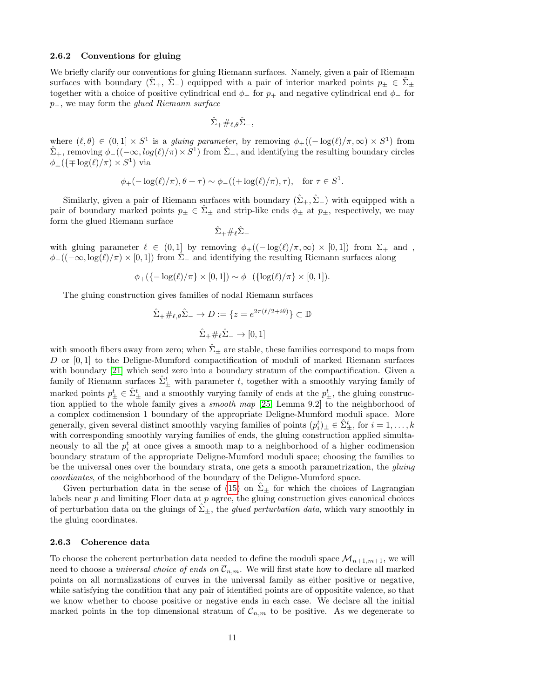#### 2.6.2 Conventions for gluing

We briefly clarify our conventions for gluing Riemann surfaces. Namely, given a pair of Riemann surfaces with boundary  $(\hat{\Sigma}_+, \hat{\Sigma}_-)$  equipped with a pair of interior marked points  $p_{\pm} \in \hat{\Sigma}_{\pm}$ together with a choice of positive cylindrical end  $\phi_+$  for  $p_+$  and negative cylindrical end  $\phi_-$  for p<sub>−</sub>, we may form the *glued Riemann surface* 

$$
\hat{\Sigma}_+\#_{\ell,\theta}\hat{\Sigma}_-,
$$

where  $(\ell, \theta) \in (0, 1] \times S^1$  is a gluing parameter, by removing  $\phi_+((-\log(\ell)/\pi, \infty) \times S^1)$  from  $\hat{\Sigma}_{+}$ , removing  $\phi_{-}((-\infty, \log(\ell)/\pi) \times S^{1})$  from  $\hat{\Sigma}_{-}$ , and identifying the resulting boundary circles  $\phi_{\pm}(\{\mp \log(\ell)/\pi) \times S^1)$  via

$$
\phi_{+}(-\log(\ell)/\pi), \theta + \tau) \sim \phi_{-}((+\log(\ell)/\pi), \tau), \text{ for } \tau \in S^1.
$$

Similarly, given a pair of Riemann surfaces with boundary  $(\hat{\Sigma}_+, \hat{\Sigma}_-)$  with equipped with a pair of boundary marked points  $p_{\pm} \in \hat{\Sigma}_{\pm}$  and strip-like ends  $\phi_{\pm}$  at  $p_{\pm}$ , respectively, we may form the glued Riemann surface

$$
\hat{\Sigma}_+\#_\ell\hat{\Sigma}_-
$$

with gluing parameter  $\ell \in (0, 1]$  by removing  $\phi_{+}((-\log(\ell)/\pi, \infty) \times [0, 1])$  from  $\Sigma_{+}$  and,  $\phi_{-}((-\infty, \log(\ell)/\pi) \times [0, 1])$  from  $\hat{\Sigma}_{-}$  and identifying the resulting Riemann surfaces along

$$
\phi_{+}(\{-\log(\ell)/\pi\}\times[0,1])\sim\phi_{-}(\{\log(\ell)/\pi\}\times[0,1]).
$$

The gluing construction gives families of nodal Riemann surfaces

$$
\hat{\Sigma}_{+} \#_{\ell,\theta} \hat{\Sigma}_{-} \to D := \{ z = e^{2\pi(\ell/2 + i\theta)} \} \subset \mathbb{D}
$$

$$
\hat{\Sigma}_{+} \#_{\ell} \hat{\Sigma}_{-} \to [0,1]
$$

with smooth fibers away from zero; when  $\hat{\Sigma}_{\pm}$  are stable, these families correspond to maps from D or  $[0,1]$  to the Deligne-Mumford compactification of moduli of marked Riemann surfaces with boundary [\[21\]](#page-38-7) which send zero into a boundary stratum of the compactification. Given a family of Riemann surfaces  $\hat{\Sigma}_{\pm}^{t}$  with parameter t, together with a smoothly varying family of marked points  $p_{\pm}^t \in \hat{\Sigma}_{\pm}^t$  and a smoothly varying family of ends at the  $p_{\pm}^t$ , the gluing construction applied to the whole family gives a smooth map [\[25,](#page-38-3) Lemma 9.2] to the neighborhood of a complex codimension 1 boundary of the appropriate Deligne-Mumford moduli space. More generally, given several distinct smoothly varying families of points  $(p_i^t)_\pm \in \hat{\Sigma}^t_\pm$ , for  $i = 1, \ldots, k$ with corresponding smoothly varying families of ends, the gluing construction applied simultaneously to all the  $p_i^t$  at once gives a smooth map to a neighborhood of a higher codimension boundary stratum of the appropriate Deligne-Mumford moduli space; choosing the families to be the universal ones over the boundary strata, one gets a smooth parametrization, the *quinq* coordiantes, of the neighborhood of the boundary of the Deligne-Mumford space.

Given perturbation data in the sense of [\(15\)](#page-7-0) on  $\Sigma_{\pm}$  for which the choices of Lagrangian labels near  $p$  and limiting Floer data at  $p$  agree, the gluing construction gives canonical choices of perturbation data on the gluings of  $\Sigma_{\pm}$ , the *glued perturbation data*, which vary smoothly in the gluing coordinates.

#### 2.6.3 Coherence data

To choose the coherent perturbation data needed to define the moduli space  $\mathcal{M}_{n+1,m+1}$ , we will need to choose a *universal choice of ends on*  $\overline{C}_{n,m}$ . We will first state how to declare all marked points on all normalizations of curves in the universal family as either positive or negative, while satisfying the condition that any pair of identified points are of oppositite valence, so that we know whether to choose positive or negative ends in each case. We declare all the initial marked points in the top dimensional stratum of  $\overline{\mathcal{C}}_{n,m}$  to be positive. As we degenerate to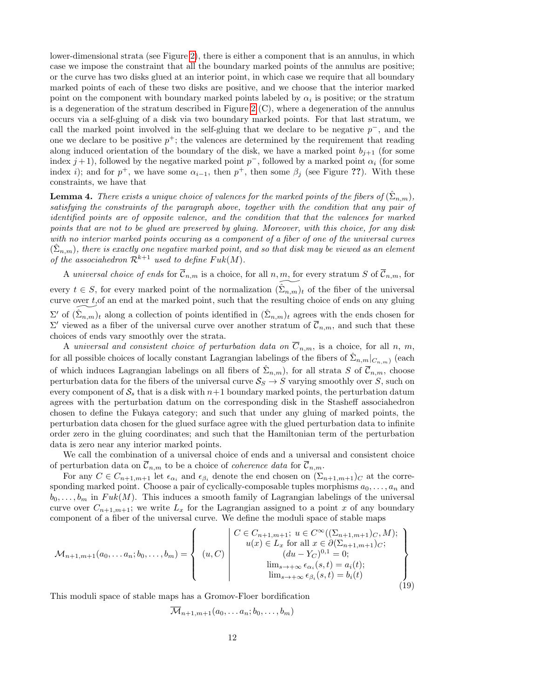lower-dimensional strata (see Figure [2\)](#page-40-0), there is either a component that is an annulus, in which case we impose the constraint that all the boundary marked points of the annulus are positive; or the curve has two disks glued at an interior point, in which case we require that all boundary marked points of each of these two disks are positive, and we choose that the interior marked point on the component with boundary marked points labeled by  $\alpha_i$  is positive; or the stratum is a degeneration of the stratum described in Figure [2](#page-40-0) (C), where a degeneration of the annulus occurs via a self-gluing of a disk via two boundary marked points. For that last stratum, we call the marked point involved in the self-gluing that we declare to be negative  $p^-$ , and the one we declare to be positive  $p^+$ ; the valences are determined by the requirement that reading along induced orientation of the boundary of the disk, we have a marked point  $b_{i+1}$  (for some index  $j+1$ ), followed by the negative marked point  $p^-$ , followed by a marked point  $\alpha_i$  (for some index *i*); and for  $p^+$ , we have some  $\alpha_{i-1}$ , then  $p^+$ , then some  $\beta_j$  (see Figure ??). With these constraints, we have that

**Lemma 4.** There exists a unique choice of valences for the marked points of the fibers of  $(\hat{\Sigma}_{n,m})$ , satisfying the constraints of the paragraph above, together with the condition that any pair of identified points are of opposite valence, and the condition that that the valences for marked points that are not to be glued are preserved by gluing. Moreover, with this choice, for any disk with no interior marked points occuring as a component of a fiber of one of the universal curves  $(\hat{\Sigma}_{n,m})$ , there is exactly one negative marked point, and so that disk may be viewed as an element of the associahedron  $\mathcal{R}^{k+1}$  used to define  $Fuk(M)$ .

A universal choice of ends for  $\overline{C}_{n,m}$  is a choice, for all n, m, for every stratum S of  $\overline{C}_{n,m}$ , for every  $t \in S$ , for every marked point of the normalization  $(\Sigma_{n,m})_t$  of the fiber of the universal curve over t,of an end at the marked point, such that the resulting choice of ends on any gluing  $\Sigma'$  of  $(\widetilde{\Sigma_{n,m}})_t$  along a collection of points identified in  $(\widehat{\Sigma}_{n,m})_t$  agrees with the ends chosen for  $\Sigma'$  viewed as a fiber of the universal curve over another stratum of  $\overline{\mathcal{C}}_{n,m}$ , and such that these choices of ends vary smoothly over the strata.

A universal and consistent choice of perturbation data on  $\overline{C}_{n,m}$ , is a choice, for all n, m, for all possible choices of locally constant Lagrangian labelings of the fibers of  $\hat{\Sigma}_{n,m}|_{C_{n,m}}$  (each of which induces Lagrangian labelings on all fibers of  $\hat{\Sigma}_{n,m}$ , for all strata S of  $\overline{\mathcal{C}}_{n,m}$ , choose perturbation data for the fibers of the universal curve  $S_S \rightarrow S$  varying smoothly over S, such on every component of  $S<sub>s</sub>$  that is a disk with  $n+1$  boundary marked points, the perturbation datum agrees with the perturbation datum on the corresponding disk in the Stasheff associahedron chosen to define the Fukaya category; and such that under any gluing of marked points, the perturbation data chosen for the glued surface agree with the glued perturbation data to infinite order zero in the gluing coordinates; and such that the Hamiltonian term of the perturbation data is zero near any interior marked points.

We call the combination of a universal choice of ends and a universal and consistent choice of perturbation data on  $\overline{\mathcal{C}}_{n,m}$  to be a choice of *coherence data* for  $\overline{\mathcal{C}}_{n,m}$ .

For any  $C \in C_{n+1,m+1}$  let  $\epsilon_{\alpha_i}$  and  $\epsilon_{\beta_i}$  denote the end chosen on  $(\Sigma_{n+1,m+1})_C$  at the corresponding marked point. Choose a pair of cyclically-composable tuples morphisms  $a_0, \ldots, a_n$  and  $b_0, \ldots, b_m$  in Fuk(M). This induces a smooth family of Lagrangian labelings of the universal curve over  $C_{n+1,m+1}$ ; we write  $L_x$  for the Lagrangian assigned to a point x of any boundary component of a fiber of the universal curve. We define the moduli space of stable maps

$$
\mathcal{M}_{n+1,m+1}(a_0,... a_n; b_0,..., b_m) = \begin{Bmatrix} C \in C_{n+1,m+1}; u \in C^{\infty}((\Sigma_{n+1,m+1})_C, M); \\ u(x) \in L_x \text{ for all } x \in \partial(\Sigma_{n+1,m+1})_C; \\ (du - Y_C)^{0,1} = 0; \\ \lim_{s \to +\infty} \epsilon_{\alpha_i}(s, t) = a_i(t); \\ \lim_{s \to +\infty} \epsilon_{\beta_i}(s, t) = b_i(t) \end{Bmatrix}
$$
\n(19)

This moduli space of stable maps has a Gromov-Floer bordification

$$
\overline{\mathcal{M}}_{n+1,m+1}(a_0,\ldots a_n;b_0,\ldots,b_m)
$$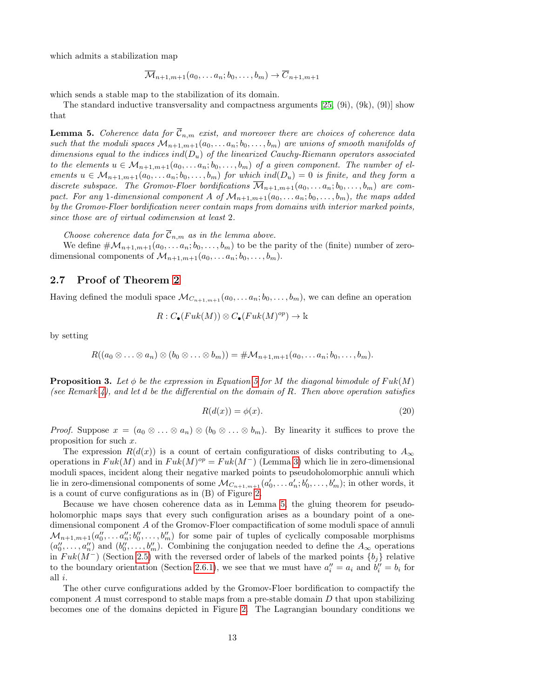which admits a stabilization map

$$
\overline{\mathcal{M}}_{n+1,m+1}(a_0,\ldots a_n;b_0,\ldots,b_m)\to \overline{C}_{n+1,m+1}
$$

which sends a stable map to the stabilization of its domain.

The standard inductive transversality and compactness arguments  $[25, (9i), (9k), (9l)]$  $[25, (9i), (9k), (9l)]$  show that

<span id="page-12-0"></span>**Lemma 5.** Coherence data for  $\overline{\mathcal{C}}_{n,m}$  exist, and moreover there are choices of coherence data such that the moduli spaces  $\mathcal{M}_{n+1,m+1}(a_0,\ldots,a_n;b_0,\ldots,b_m)$  are unions of smooth manifolds of dimensions equal to the indices ind( $D_u$ ) of the linearized Cauchy-Riemann operators associated to the elements  $u \in \mathcal{M}_{n+1,m+1}(a_0, \ldots, a_n; b_0, \ldots, b_m)$  of a given component. The number of elements  $u \in \mathcal{M}_{n+1,m+1}(a_0,\ldots a_n;b_0,\ldots,b_m)$  for which ind $(D_u)=0$  is finite, and they form a discrete subspace. The Gromov-Floer bordifications  $\overline{\mathcal{M}}_{n+1,m+1}(a_0, \ldots, a_n; b_0, \ldots, b_m)$  are compact. For any 1-dimensional component A of  $\mathcal{M}_{n+1,m+1}(a_0, \ldots, a_n; b_0, \ldots, b_m)$ , the maps added by the Gromov-Floer bordification never contain maps from domains with interior marked points, since those are of virtual codimension at least 2.

Choose coherence data for  $\overline{\mathcal{C}}_{n,m}$  as in the lemma above.

We define  $\#\mathcal{M}_{n+1,m+1}(a_0,\ldots,a_n;b_0,\ldots,b_m)$  to be the parity of the (finite) number of zerodimensional components of  $\mathcal{M}_{n+1,m+1}(a_0,\ldots,a_n;b_0,\ldots,b_m)$ .

#### 2.7 Proof of Theorem [2](#page-0-1)

Having defined the moduli space  $\mathcal{M}_{C_{n+1,m+1}}(a_0,\ldots,a_n;b_0,\ldots,b_m)$ , we can define an operation

$$
R: C_{\bullet}(Fuk(M)) \otimes C_{\bullet}(Fuk(M)^{op}) \to \mathbb{k}
$$

by setting

$$
R((a_0\otimes \ldots \otimes a_n)\otimes (b_0\otimes \ldots \otimes b_m))=\#\mathcal{M}_{n+1,m+1}(a_0,\ldots a_n;b_0,\ldots,b_m).
$$

**Proposition 3.** Let  $\phi$  be the expression in Equation [5](#page-2-0) for M the diagonal bimodule of Fuk(M) (see Remark [4\)](#page-2-1), and let d be the differential on the domain of R. Then above operation satisfies

<span id="page-12-1"></span>
$$
R(d(x)) = \phi(x). \tag{20}
$$

*Proof.* Suppose  $x = (a_0 \otimes \ldots \otimes a_n) \otimes (b_0 \otimes \ldots \otimes b_m)$ . By linearity it suffices to prove the proposition for such  $x$ .

The expression  $R(d(x))$  is a count of certain configurations of disks contributing to  $A_{\infty}$ operations in  $Fuk(M)$  and in  $Fuk(M)^{op} = Fuk(M^{-})$  (Lemma [3\)](#page-9-0) which lie in zero-dimensional moduli spaces, incident along their negative marked points to pseudoholomorphic annuli which lie in zero-dimensional components of some  $\mathcal{M}_{C_{n+1,m+1}}(a'_0,\ldots,a'_n;b'_0,\ldots,b'_m);$  in other words, it is a count of curve configurations as in (B) of Figure [2.](#page-40-0)

Because we have chosen coherence data as in Lemma [5,](#page-12-0) the gluing theorem for pseudoholomorphic maps says that every such configuration arises as a boundary point of a onedimensional component A of the Gromov-Floer compactification of some moduli space of annuli  $\mathcal{M}_{n+1,m+1}(a_0'',\ldots,a_n'';b_0'',\ldots,b_m'')$  for some pair of tuples of cyclically composable morphisms  $(a_0'', \ldots, a_n'')$  and  $(b_0'', \ldots, b_m'')$ . Combining the conjugation needed to define the  $A_\infty$  operations in  $Fuk(M^-)$  (Section [2.5\)](#page-8-0) with the reversed order of labels of the marked points  $\{b_j\}$  relative to the boundary orientation (Section [2.6.1\)](#page-9-1), we see that we must have  $a_i'' = a_i$  and  $b_i'' = b_i$  for all i.

The other curve configurations added by the Gromov-Floer bordification to compactify the component A must correspond to stable maps from a pre-stable domain  $D$  that upon stabilizing becomes one of the domains depicted in Figure [2.](#page-40-0) The Lagrangian boundary conditions we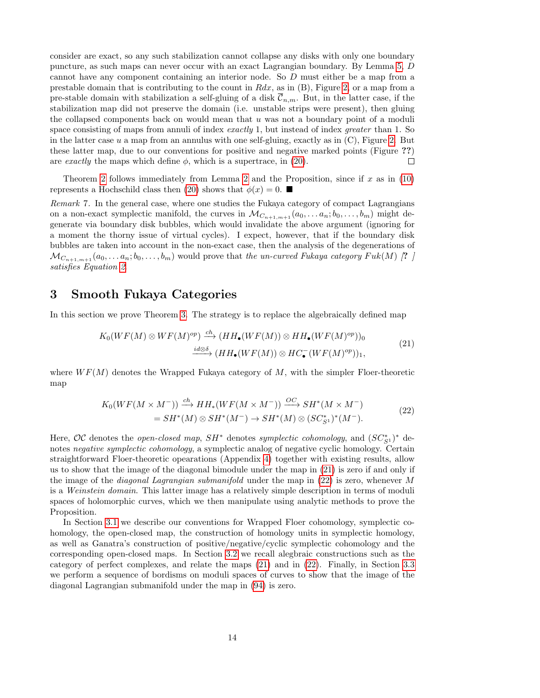consider are exact, so any such stabilization cannot collapse any disks with only one boundary puncture, as such maps can never occur with an exact Lagrangian boundary. By Lemma [5,](#page-12-0) D cannot have any component containing an interior node. So D must either be a map from a prestable domain that is contributing to the count in  $Rdx$ , as in  $(B)$ , Figure [2,](#page-40-0) or a map from a pre-stable domain with stabilization a self-gluing of a disk  $\overline{\mathcal{C}}_{n,m}$ . But, in the latter case, if the stabilization map did not preserve the domain (i.e. unstable strips were present), then gluing the collapsed components back on would mean that  $u$  was not a boundary point of a moduli space consisting of maps from annuli of index exactly 1, but instead of index greater than 1. So in the latter case  $u$  a map from an annulus with one self-gluing, exactly as in  $(C)$ , Figure [2.](#page-40-0) But these latter map, due to our conventions for positive and negative marked points (Figure ??) are exactly the maps which define  $\phi$ , which is a supertrace, in [\(20\)](#page-12-1).  $\Box$ 

Theorem [2](#page-4-0) follows immediately from Lemma 2 and the Proposition, since if x as in  $(10)$ represents a Hochschild class then [\(20\)](#page-12-1) shows that  $\phi(x) = 0$ .

Remark 7. In the general case, where one studies the Fukaya category of compact Lagrangians on a non-exact symplectic manifold, the curves in  $\mathcal{M}_{C_{n+1,m+1}}(a_0, \ldots, a_n; b_0, \ldots, b_m)$  might degenerate via boundary disk bubbles, which would invalidate the above argument (ignoring for a moment the thorny issue of virtual cycles). I expect, however, that if the boundary disk bubbles are taken into account in the non-exact case, then the analysis of the degenerations of  $\mathcal{M}_{C_{n+1,m+1}}(a_0,\ldots a_n;b_0,\ldots,b_m)$  would prove that the un-curved Fukaya category Fuk(M) [?] satisfies Equation [2](#page-0-2).

### 3 Smooth Fukaya Categories

<span id="page-13-0"></span>In this section we prove Theorem [3.](#page-1-0) The strategy is to replace the algebraically defined map

$$
K_0(WF(M) \otimes WF(M)^{op}) \xrightarrow{ch} (HH_\bullet(WF(M)) \otimes HH_\bullet(WF(M)^{op}))_0
$$
  

$$
\xrightarrow{id \otimes \delta} (HH_\bullet(WF(M)) \otimes HC_\bullet(WF(M)^{op}))_1,
$$
 (21)

where  $WF(M)$  denotes the Wrapped Fukaya category of M, with the simpler Floer-theoretic map

$$
K_0(WF(M \times M^-)) \xrightarrow{ch} HH_*(WF(M \times M^-)) \xrightarrow{OC} SH^*(M \times M^-)
$$
  
= SH^\*(M) \otimes SH^\*(M^-) \to SH^\*(M) \otimes (SC^\*\_{S^1})^\*(M^-). (22)

<span id="page-13-1"></span>Here, OC denotes the *open-closed map*,  $SH^*$  denotes *symplectic cohomology*, and  $(SC^*_{S^1})^*$  denotes *negative symplectic cohomology*, a symplectic analog of negative cyclic homology. Certain straightforward Floer-theoretic opearations (Appendix [4\)](#page-30-0) together with existing results, allow us to show that the image of the diagonal bimodule under the map in [\(21\)](#page-13-0) is zero if and only if the image of the *diagonal Lagrangian submanifold* under the map in  $(22)$  is zero, whenever M is a *Weinstein domain*. This latter image has a relatively simple description in terms of moduli spaces of holomorphic curves, which we then manipulate using analytic methods to prove the Proposition.

In Section [3.1](#page-14-0) we describe our conventions for Wrapped Floer cohomology, symplectic cohomology, the open-closed map, the construction of homology units in symplectic homology, as well as Ganatra's construction of positive/negative/cyclic symplectic cohomology and the corresponding open-closed maps. In Section [3.2](#page-23-1) we recall alegbraic constructions such as the category of perfect complexes, and relate the maps [\(21\)](#page-13-0) and in [\(22\)](#page-13-1). Finally, in Section [3.3](#page-26-0) we perform a sequence of bordisms on moduli spaces of curves to show that the image of the diagonal Lagrangian submanifold under the map in [\(94\)](#page-26-1) is zero.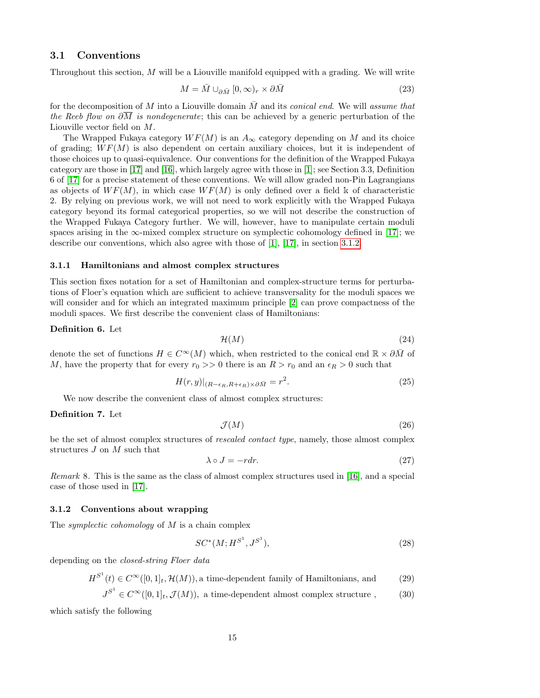#### <span id="page-14-0"></span>3.1 Conventions

Throughout this section, M will be a Liouville manifold equipped with a grading. We will write

$$
M = \bar{M} \cup_{\partial \bar{M}} [0, \infty)_r \times \partial \bar{M}
$$
\n(23)

for the decomposition of  $M$  into a Liouville domain  $\overline{M}$  and its conical end. We will assume that the Reeb flow on  $\partial \overline{M}$  is nondegenerate; this can be achieved by a generic perturbation of the Liouville vector field on M.

The Wrapped Fukaya category  $WF(M)$  is an  $A_{\infty}$  category depending on M and its choice of grading;  $WF(M)$  is also dependent on certain auxiliary choices, but it is independent of those choices up to quasi-equivalence. Our conventions for the definition of the Wrapped Fukaya category are those in [\[17\]](#page-37-3) and [\[16\]](#page-37-7), which largely agree with those in [\[1\]](#page-37-1); see Section 3.3, Definition 6 of [\[17\]](#page-37-3) for a precise statement of these conventions. We will allow graded non-Pin Lagrangians as objects of  $WF(M)$ , in which case  $WF(M)$  is only defined over a field k of characteristic 2. By relying on previous work, we will not need to work explicitly with the Wrapped Fukaya category beyond its formal categorical properties, so we will not describe the construction of the Wrapped Fukaya Category further. We will, however, have to manipulate certain moduli spaces arising in the  $\infty$ -mixed complex structure on symplectic cohomology defined in [\[17\]](#page-37-3); we describe our conventions, which also agree with those of [\[1\]](#page-37-1), [\[17\]](#page-37-3), in section [3.1.2.](#page-14-1)

#### 3.1.1 Hamiltonians and almost complex structures

This section fixes notation for a set of Hamiltonian and complex-structure terms for perturbations of Floer's equation which are sufficient to achieve transversality for the moduli spaces we will consider and for which an integrated maximum principle [\[2\]](#page-37-10) can prove compactness of the moduli spaces. We first describe the convenient class of Hamiltonians:

#### Definition 6. Let

$$
\mathcal{H}(M) \tag{24}
$$

denote the set of functions  $H \in C^{\infty}(M)$  which, when restricted to the conical end  $\mathbb{R} \times \partial \bar{M}$  of M, have the property that for every  $r_0 >> 0$  there is an  $R > r_0$  and an  $\epsilon_R > 0$  such that

$$
H(r,y)|_{(R-\epsilon_R,R+\epsilon_R)\times\partial\bar{M}} = r^2.
$$
\n(25)

We now describe the convenient class of almost complex structures:

#### Definition 7. Let

$$
\mathcal{J}(M) \tag{26}
$$

be the set of almost complex structures of rescaled contact type, namely, those almost complex structures J on M such that

$$
\lambda \circ J = -r \, dr. \tag{27}
$$

Remark 8. This is the same as the class of almost complex structures used in [\[16\]](#page-37-7), and a special case of those used in [\[17\]](#page-37-3).

#### <span id="page-14-1"></span>3.1.2 Conventions about wrapping

The *symplectic cohomology* of  $M$  is a chain complex

<span id="page-14-2"></span>
$$
SC^*(M; H^{S^1}, J^{S^1}),
$$
\n(28)

depending on the closed-string Floer data

$$
H^{S^1}(t) \in C^{\infty}([0,1]_t, \mathcal{H}(M)),
$$
a time-dependent family of Hamiltonians, and (29)

$$
J^{S^1} \in C^{\infty}([0,1]_t, \mathcal{J}(M)),
$$
 a time-dependent almost complex structure , (30)

which satisfy the following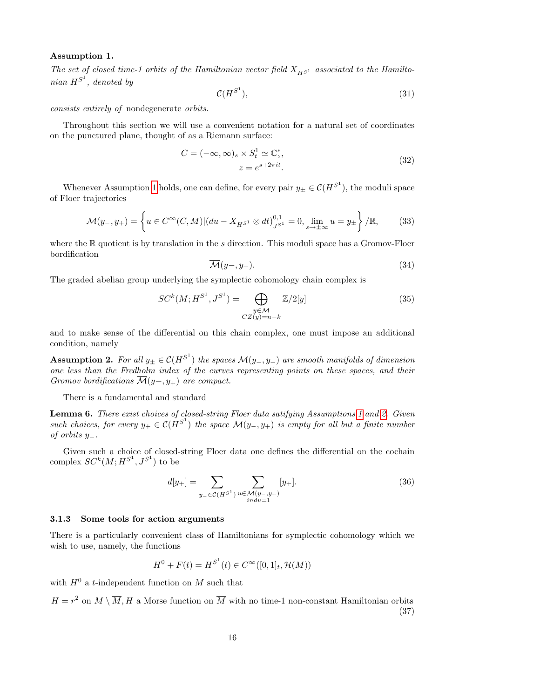#### <span id="page-15-0"></span>Assumption 1.

The set of closed time-1 orbits of the Hamiltonian vector field  $X_{H<sup>51</sup>}$  associated to the Hamiltonian  $H^{S^1}$ , denoted by

$$
\mathcal{C}(H^{S^1}),\tag{31}
$$

consists entirely of nondegenerate orbits.

Throughout this section we will use a convenient notation for a natural set of coordinates on the punctured plane, thought of as a Riemann surface:

$$
C = (-\infty, \infty)_s \times S_t^1 \simeq \mathbb{C}_z^*,
$$
  

$$
z = e^{s + 2\pi it}.
$$
 (32)

Whenever Assumption [1](#page-15-0) holds, one can define, for every pair  $y_{\pm} \in \mathcal{C}(H^{S^1})$ , the moduli space of Floer trajectories

<span id="page-15-3"></span>
$$
\mathcal{M}(y_-, y_+) = \left\{ u \in C^\infty(C, M) | (du - X_{H^{S^1}} \otimes dt)_{J^{S^1}}^{0,1} = 0, \lim_{s \to \pm \infty} u = y_\pm \right\} / \mathbb{R},\tag{33}
$$

where the  $\mathbb R$  quotient is by translation in the s direction. This moduli space has a Gromov-Floer bordification

$$
\overline{\mathcal{M}}(y-, y_+). \tag{34}
$$

The graded abelian group underlying the symplectic cohomology chain complex is

$$
SC^{k}(M; H^{S^1}, J^{S^1}) = \bigoplus_{\substack{y \in \mathcal{M} \\ CZ(y) = n - k}} \mathbb{Z}/2[y] \tag{35}
$$

and to make sense of the differential on this chain complex, one must impose an additional condition, namely

<span id="page-15-1"></span>**Assumption 2.** For all  $y_{\pm} \in \mathcal{C}(H^{S^1})$  the spaces  $\mathcal{M}(y_-, y_+)$  are smooth manifolds of dimension one less than the Fredholm index of the curves representing points on these spaces, and their Gromov bordifications  $\mathcal{M}(y-, y_+)$  are compact.

There is a fundamental and standard

Lemma 6. There exist choices of closed-string Floer data satifying Assumptions [1](#page-15-0) and [2.](#page-15-1) Given such choices, for every  $y_+ \in \mathcal{C}(H^{S^1})$  the space  $\mathcal{M}(y_-, y_+)$  is empty for all but a finite number of orbits y−.

Given such a choice of closed-string Floer data one defines the differential on the cochain complex  $SC^k(M; H^{S^1}, J^{S^1})$  to be

$$
d[y_{+}] = \sum_{y_{-} \in \mathcal{C}(H^{S^{1}})} \sum_{\substack{u \in \mathcal{M}(y_{-}, y_{+}) \\ \text{ind}u = 1}} [y_{+}]. \tag{36}
$$

#### 3.1.3 Some tools for action arguments

There is a particularly convenient class of Hamiltonians for symplectic cohomology which we wish to use, namely, the functions

$$
H^{0} + F(t) = H^{S^{1}}(t) \in C^{\infty}([0,1]_{t}, \mathcal{H}(M))
$$

with  $H^0$  a t-independent function on M such that

<span id="page-15-2"></span> $H = r^2$  on  $M \setminus \overline{M}$ , H a Morse function on  $\overline{M}$  with no time-1 non-constant Hamiltonian orbits (37)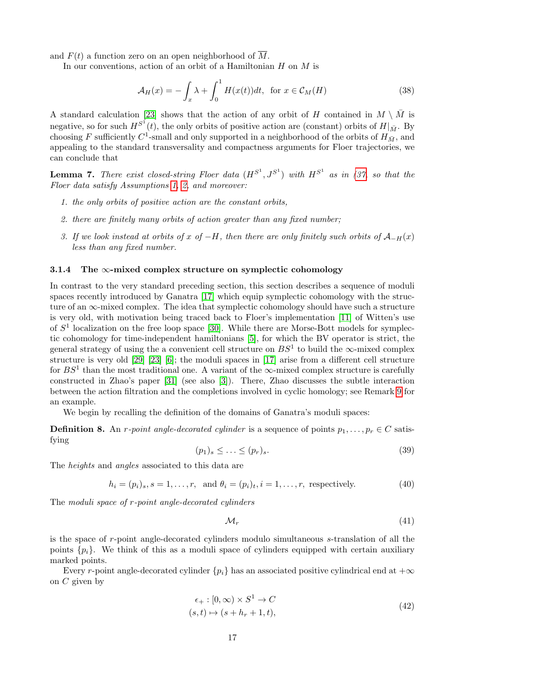and  $F(t)$  a function zero on an open neighborhood of  $\overline{M}$ .

In our conventions, action of an orbit of a Hamiltonian  $H$  on  $M$  is

<span id="page-16-2"></span>
$$
\mathcal{A}_H(x) = -\int_x \lambda + \int_0^1 H(x(t))dt, \text{ for } x \in \mathcal{C}_M(H)
$$
\n(38)

A standard calculation [\[23\]](#page-38-8) shows that the action of any orbit of H contained in  $M \setminus \overline{M}$  is negative, so for such  $H^{S^1}(t)$ , the only orbits of positive action are (constant) orbits of  $H|_{\bar{M}}$ . By choosing F sufficiently  $C^1$ -small and only supported in a neighborhood of the orbits of  $H_{\bar{M}}$ , and appealing to the standard transversality and compactness arguments for Floer trajectories, we can conclude that

<span id="page-16-1"></span>**Lemma 7.** There exist closed-string Floer data  $(H^{S^1}, J^{S^1})$  with  $H^{S^1}$  as in [\(37,](#page-15-2) so that the Floer data satisfy Assumptions [1,](#page-15-0) [2,](#page-15-1) and moreover:

- 1. the only orbits of positive action are the constant orbits,
- 2. there are finitely many orbits of action greater than any fixed number;
- 3. If we look instead at orbits of x of  $-H$ , then there are only finitely such orbits of  $\mathcal{A}_{-H}(x)$ less than any fixed number.

#### 3.1.4 The  $\infty$ -mixed complex structure on symplectic cohomology

In contrast to the very standard preceding section, this section describes a sequence of moduli spaces recently introduced by Ganatra [\[17\]](#page-37-3) which equip symplectic cohomology with the structure of an  $\infty$ -mixed complex. The idea that symplectic cohomology should have such a structure is very old, with motivation being traced back to Floer's implementation [\[11\]](#page-37-11) of Witten's use of  $S<sup>1</sup>$  localization on the free loop space [\[30\]](#page-38-9). While there are Morse-Bott models for symplectic cohomology for time-independent hamiltonians [\[5\]](#page-37-12), for which the BV operator is strict, the general strategy of using the a convenient cell structure on  $BS^1$  to build the  $\infty$ -mixed complex structure is very old [\[29\]](#page-38-10) [\[23\]](#page-38-8) [\[6\]](#page-37-13); the moduli spaces in [\[17\]](#page-37-3) arise from a different cell structure for  $BS<sup>1</sup>$  than the most traditional one. A variant of the  $\infty$ -mixed complex structure is carefully constructed in Zhao's paper [\[31\]](#page-38-11) (see also [\[3\]](#page-37-14)). There, Zhao discusses the subtle interaction between the action filtration and the completions involved in cyclic homology; see Remark [9](#page-20-0) for an example.

We begin by recalling the definition of the domains of Ganatra's moduli spaces:

**Definition 8.** An r-point angle-decorated cylinder is a sequence of points  $p_1, \ldots, p_r \in C$  satisfying

$$
(p_1)_s \le \ldots \le (p_r)_s. \tag{39}
$$

The heights and angles associated to this data are

$$
h_i = (p_i)_s, s = 1, \dots, r, \text{ and } \theta_i = (p_i)_t, i = 1, \dots, r, \text{ respectively.}
$$
\n
$$
(40)
$$

The moduli space of r-point angle-decorated cylinders

$$
\mathcal{M}_r \tag{41}
$$

is the space of r-point angle-decorated cylinders modulo simultaneous s-translation of all the points  $\{p_i\}$ . We think of this as a moduli space of cylinders equipped with certain auxiliary marked points.

<span id="page-16-0"></span>Every r-point angle-decorated cylinder  $\{p_i\}$  has an associated positive cylindrical end at  $+\infty$ on  $C$  given by

$$
\epsilon_+ : [0, \infty) \times S^1 \to C
$$
  

$$
(s, t) \mapsto (s + h_r + 1, t),
$$
 (42)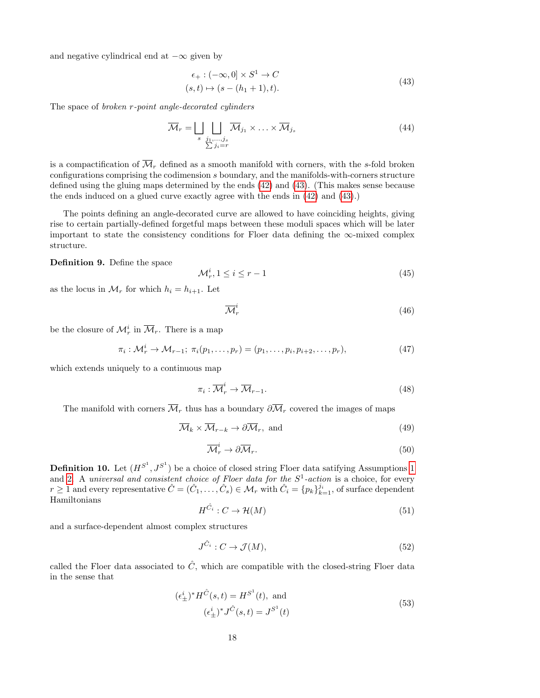<span id="page-17-0"></span>and negative cylindrical end at  $-\infty$  given by

$$
\epsilon_+ : (-\infty, 0] \times S^1 \to C
$$
  
\n
$$
(s, t) \mapsto (s - (h_1 + 1), t).
$$
\n(43)

The space of broken r-point angle-decorated cylinders

$$
\overline{\mathcal{M}}_r = \bigsqcup_{\substack{s \ j_1, \dots, j_s \\ \sum j_i = r}} \overline{\mathcal{M}}_{j_1} \times \dots \times \overline{\mathcal{M}}_{j_s} \tag{44}
$$

is a compactification of  $\overline{\mathcal{M}}_r$  defined as a smooth manifold with corners, with the s-fold broken configurations comprising the codimension s boundary, and the manifolds-with-corners structure defined using the gluing maps determined by the ends [\(42\)](#page-16-0) and [\(43\)](#page-17-0). (This makes sense because the ends induced on a glued curve exactly agree with the ends in [\(42\)](#page-16-0) and [\(43\)](#page-17-0).)

The points defining an angle-decorated curve are allowed to have coinciding heights, giving rise to certain partially-defined forgetful maps between these moduli spaces which will be later important to state the consistency conditions for Floer data defining the ∞-mixed complex structure.

Definition 9. Define the space

$$
\mathcal{M}_r^i, 1 \le i \le r - 1 \tag{45}
$$

as the locus in  $\mathcal{M}_r$  for which  $h_i = h_{i+1}$ . Let

$$
\overline{\mathcal{M}}_r^i \tag{46}
$$

be the closure of  $\mathcal{M}_r^i$  in  $\overline{\mathcal{M}}_r$ . There is a map

$$
\pi_i: \mathcal{M}_r^i \to \mathcal{M}_{r-1}; \ \pi_i(p_1, \dots, p_r) = (p_1, \dots, p_i, p_{i+2}, \dots, p_r), \tag{47}
$$

which extends uniquely to a continuous map

<span id="page-17-3"></span>
$$
\pi_i : \overline{\mathcal{M}}_r^i \to \overline{\mathcal{M}}_{r-1}.
$$
\n
$$
(48)
$$

The manifold with corners  $\overline{\mathcal{M}}_r$  thus has a boundary  $\partial \overline{\mathcal{M}}_r$  covered the images of maps

<span id="page-17-1"></span>
$$
\overline{\mathcal{M}}_k \times \overline{\mathcal{M}}_{r-k} \to \partial \overline{\mathcal{M}}_r, \text{ and } \tag{49}
$$

<span id="page-17-2"></span>
$$
\overline{\mathcal{M}}_r^i \to \partial \overline{\mathcal{M}}_r. \tag{50}
$$

**Definition [1](#page-15-0)0.** Let  $(H^{S^1}, J^{S^1})$  be a choice of closed string Floer data satifying Assumptions 1 and [2.](#page-15-1) A universal and consistent choice of Floer data for the  $S^1$ -action is a choice, for every  $r \geq 1$  and every representative  $\hat{C} = (\hat{C}_1, \ldots, \hat{C}_s) \in \mathcal{M}_r$  with  $\hat{C}_i = \{p_k\}_{k=1}^{j_i}$ , of surface dependent Hamiltonians

$$
H^{\hat{C}_i}: C \to \mathcal{H}(M) \tag{51}
$$

and a surface-dependent almost complex structures

$$
J^{\hat{C}_i}: C \to \mathcal{J}(M),\tag{52}
$$

called the Floer data associated to  $\hat{C}$ , which are compatible with the closed-string Floer data in the sense that

$$
(\epsilon_{\pm}^{i})^* H^{\hat{C}}(s,t) = H^{S^1}(t), \text{ and}
$$
  
 $(\epsilon_{\pm}^{i})^* J^{\hat{C}}(s,t) = J^{S^1}(t)$  (53)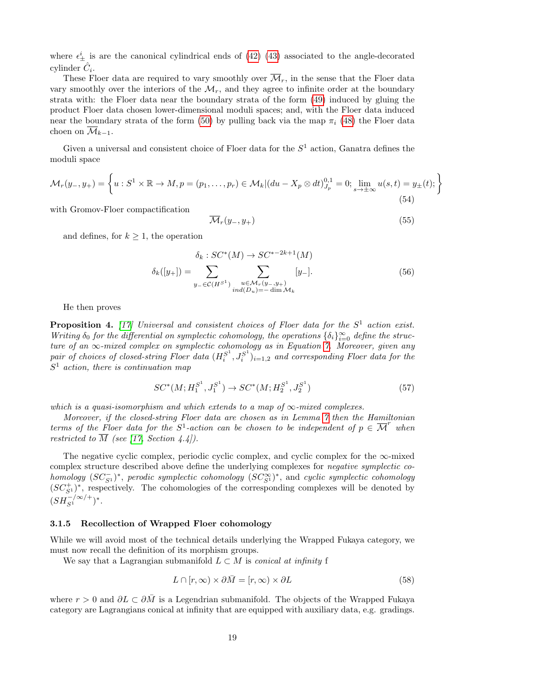where  $\epsilon_{\pm}^{i}$  is are the canonical cylindrical ends of [\(42\)](#page-16-0) [\(43\)](#page-17-0) associated to the angle-decorated cylinder  $\hat{C}_i$ .

These Floer data are required to vary smoothly over  $\overline{\mathcal{M}}_r$ , in the sense that the Floer data vary smoothly over the interiors of the  $\mathcal{M}_r$ , and they agree to infinite order at the boundary strata with: the Floer data near the boundary strata of the form [\(49\)](#page-17-1) induced by gluing the product Floer data chosen lower-dimensional moduli spaces; and, with the Floer data induced near the boundary strata of the form [\(50\)](#page-17-2) by pulling back via the map  $\pi_i$  [\(48\)](#page-17-3) the Floer data choen on  $\overline{\mathcal{M}}_{k-1}$ .

Given a universal and consistent choice of Floer data for the  $S<sup>1</sup>$  action, Ganatra defines the moduli space

<span id="page-18-1"></span>
$$
\mathcal{M}_r(y_-, y_+) = \left\{ u : S^1 \times \mathbb{R} \to M, p = (p_1, \dots, p_r) \in \mathcal{M}_k | (du - X_p \otimes dt)^{0,1}_{J_p} = 0; \lim_{s \to \pm \infty} u(s, t) = y_{\pm}(t); \right\}
$$
\n(54)

with Gromov-Floer compactification

$$
\overline{\mathcal{M}}_r(y_-, y_+) \tag{55}
$$

and defines, for  $k \geq 1$ , the operation

$$
\delta_k : SC^*(M) \to SC^{*-2k+1}(M)
$$
  

$$
\delta_k([y_+]) = \sum_{y_- \in \mathcal{C}(H^{S^1})} \sum_{\substack{u \in \mathcal{M}_r(y_-, y_+) \\ ind(D_u) = -\dim \mathcal{M}_k}} [y_-].
$$
 (56)

He then proves

<span id="page-18-0"></span>**Proposition 4.** [\[17\]](#page-37-3) Universal and consistent choices of Floer data for the  $S^1$  action exist. Writing  $\delta_0$  for the differential on symplectic cohomology, the operations  $\{\delta_i\}_{i=0}^{\infty}$  define the structure of an  $\infty$ -mixed complex on symplectic cohomology as in Equation [7.](#page-4-2) Moreover, given any pair of choices of closed-string Floer data  $(H_i^{S^1}, J_i^{S^1})_{i=1,2}$  and corresponding Floer data for the  $S<sup>1</sup>$  action, there is continuation map

$$
SC^*(M; H_1^{S^1}, J_1^{S^1}) \to SC^*(M; H_2^{S^1}, J_2^{S^1})
$$
\n
$$
(57)
$$

which is a quasi-isomorphism and which extends to a map of  $\infty$ -mixed complexes.

Moreover, if the closed-string Floer data are chosen as in Lemma [7](#page-16-1) then the Hamiltonian terms of the Floer data for the  $S^1$ -action can be chosen to be independent of  $p \in \overline{\mathcal{M}}^r$  when restricted to  $\overline{M}$  (see [\[17,](#page-37-3) Section 4.4]).

The negative cyclic complex, periodic cyclic complex, and cyclic complex for the  $\infty$ -mixed complex structure described above define the underlying complexes for *negative symplectic co* $homology (SC<sub>S1</sub><sup>−</sup>)<sup>*</sup>$ , perodic symplectic cohomology  $(SC<sub>S1</sub><sup>∞</sup>)<sup>*</sup>$ , and cyclic symplectic cohomology  $(SC<sub>S1</sub><sup>+</sup>)$ <sup>\*</sup>, respectively. The cohomologies of the corresponding complexes will be denoted by  $(SH_{S^1}^{-/\infty/+})^*$ .

#### 3.1.5 Recollection of Wrapped Floer cohomology

While we will avoid most of the technical details underlying the Wrapped Fukaya category, we must now recall the definition of its morphism groups.

We say that a Lagrangian submanifold  $L \subset M$  is conical at infinity f

$$
L \cap [r, \infty) \times \partial \bar{M} = [r, \infty) \times \partial L \tag{58}
$$

where  $r > 0$  and  $\partial L \subset \partial M$  is a Legendrian submanifold. The objects of the Wrapped Fukaya category are Lagrangians conical at infinity that are equipped with auxiliary data, e.g. gradings.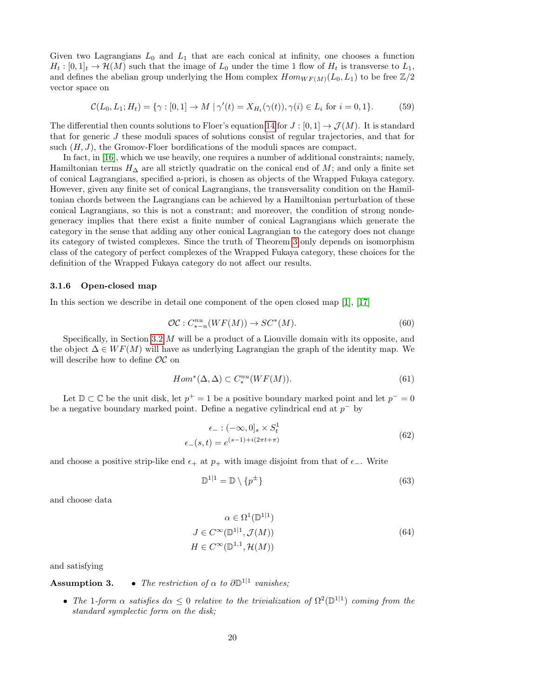Given two Lagrangians  $L_0$  and  $L_1$  that are each conical at infinity, one chooses a function  $H_t: [0,1]_t \to \mathcal{H}(M)$  such that the image of  $L_0$  under the time 1 flow of  $H_t$  is transverse to  $L_1$ , and defines the abelian group underlying the Hom complex  $Hom_{WF(M)}(L_0, L_1)$  to be free  $\mathbb{Z}/2$ vector space on

$$
\mathcal{C}(L_0, L_1; H_t) = \{ \gamma : [0, 1] \to M \mid \gamma'(t) = X_{H_t}(\gamma(t)), \gamma(i) \in L_i \text{ for } i = 0, 1 \}. \tag{59}
$$

The differential then counts solutions to Floer's equation [14](#page-6-0) for  $J : [0,1] \to \mathcal{J}(M)$ . It is standard that for generic J these moduli spaces of solutions consist of regular trajectories, and that for such  $(H, J)$ , the Gromov-Floer bordifications of the moduli spaces are compact.

In fact, in [\[16\]](#page-37-7), which we use heavily, one requires a number of additional constraints; namely, Hamiltonian terms  $H_{\Delta}$  are all strictly quadratic on the conical end of M; and only a finite set of conical Lagrangians, specified a-priori, is chosen as objects of the Wrapped Fukaya category. However, given any finite set of conical Lagrangians, the transversality condition on the Hamiltonian chords between the Lagrangians can be achieved by a Hamiltonian perturbation of these conical Lagrangians, so this is not a constrant; and moreover, the condition of strong nondegeneracy implies that there exist a finite number of conical Lagrangians which generate the category in the sense that adding any other conical Lagrangian to the category does not change its category of twisted complexes. Since the truth of Theorem [3](#page-1-0) only depends on isomorphism class of the category of perfect complexes of the Wrapped Fukaya category, these choices for the definition of the Wrapped Fukaya category do not affect our results.

#### <span id="page-19-1"></span>3.1.6 Open-closed map

In this section we describe in detail one component of the open closed map [\[1\]](#page-37-1), [\[17\]](#page-37-3)

$$
\mathcal{OC}: C_{*-n}^{nu}(WF(M)) \to SC^*(M). \tag{60}
$$

Specifically, in Section [3.2](#page-23-1) M will be a product of a Liouville domain with its opposite, and the object  $\Delta \in WF(M)$  will have as underlying Lagrangian the graph of the identity map. We will describe how to define  $OC$  on

$$
Hom^*(\Delta, \Delta) \subset C_*^{nu}(WF(M)).\tag{61}
$$

Let  $\mathbb{D} \subset \mathbb{C}$  be the unit disk, let  $p^+ = 1$  be a positive boundary marked point and let  $p^- = 0$ be a negative boundary marked point. Define a negative cylindrical end at  $p^-$  by

$$
\epsilon_{-}: (-\infty, 0]_{s} \times S_{t}^{1}
$$
\n
$$
\epsilon_{-}(s, t) = e^{(s-1) + i(2\pi t + \pi)}
$$
\n(62)

and choose a positive strip-like end  $\epsilon_+$  at  $p_+$  with image disjoint from that of  $\epsilon_-$ . Write

$$
\mathbb{D}^{1|1} = \mathbb{D} \setminus \{p^{\pm}\}\tag{63}
$$

<span id="page-19-0"></span>and choose data

$$
\alpha \in \Omega^1(\mathbb{D}^{1|1})
$$
  
\n
$$
J \in C^\infty(\mathbb{D}^{1|1}, \mathcal{J}(M))
$$
  
\n
$$
H \in C^\infty(\mathbb{D}^{1,1}, \mathcal{H}(M))
$$
\n(64)

and satisfying

### **Assumption 3.** • The restriction of  $\alpha$  to  $\partial \mathbb{D}^{1|1}$  vanishes;

• The 1-form  $\alpha$  satisfies  $d\alpha \leq 0$  relative to the trivialization of  $\Omega^2(\mathbb{D}^{1|1})$  coming from the standard symplectic form on the disk;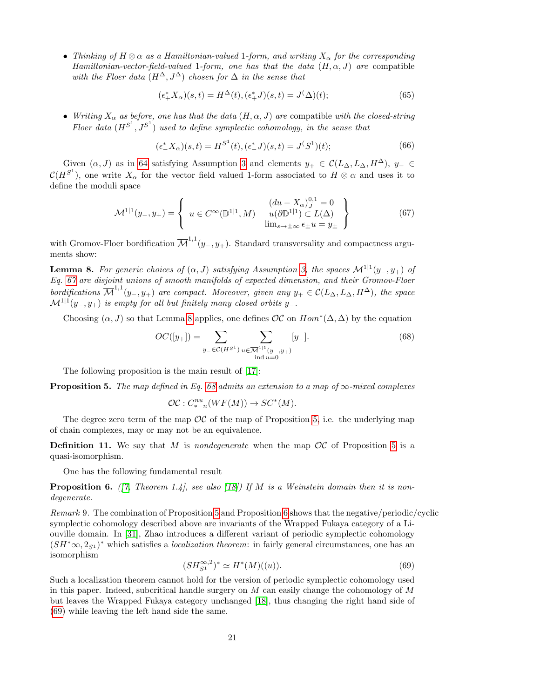• Thinking of  $H \otimes \alpha$  as a Hamiltonian-valued 1-form, and writing  $X_{\alpha}$  for the corresponding Hamiltonian-vector-field-valued 1-form, one has that the data  $(H, \alpha, J)$  are compatible with the Floer data  $(H^{\Delta}, J^{\Delta})$  chosen for  $\Delta$  in the sense that

$$
(\epsilon_+^* X_\alpha)(s, t) = H^\Delta(t), (\epsilon_+^* J)(s, t) = J^\Delta(t); \tag{65}
$$

• Writing  $X_\alpha$  as before, one has that the data  $(H, \alpha, J)$  are compatible with the closed-string Floer data  $(H^{S^1}, J^{S^1})$  used to define symplectic cohomology, in the sense that

$$
(\epsilon^*_{-}X_{\alpha})(s,t) = H^{S^1}(t), (\epsilon^*_{-}J)(s,t) = J^{(S^1)}(t); \tag{66}
$$

Given  $(\alpha, J)$  as in [64](#page-19-0) satisfying Assumption [3](#page-0-3) and elements  $y_+ \in \mathcal{C}(L_\Delta, L_\Delta, H^\Delta)$ ,  $y_- \in$  $\mathcal{C}(H^{S^1})$ , one write  $X_\alpha$  for the vector field valued 1-form associated to  $H \otimes \alpha$  and uses it to define the moduli space

<span id="page-20-1"></span>
$$
\mathcal{M}^{1|1}(y_-, y_+) = \left\{ u \in C^\infty(\mathbb{D}^{1|1}, M) \mid \begin{array}{l} (du - X_\alpha)_{J}^{0,1} = 0\\ u(\partial \mathbb{D}^{1|1}) \subset L(\Delta) \\ \lim_{s \to \pm \infty} \epsilon_{\pm} u = y_{\pm} \end{array} \right\}
$$
(67)

with Gromov-Floer bordification  $\overline{\mathcal{M}}^{1,1}(y_-, y_+)$ . Standard transversality and compactness arguments show:

<span id="page-20-2"></span>**Lemma 8.** For generic choices of  $(\alpha, J)$  satisfying Assumption [3,](#page-0-3) the spaces  $\mathcal{M}^{1|1}(y_-, y_+)$  of Eq. [67](#page-20-1) are disjoint unions of smooth manifolds of expected dimension, and their Gromov-Floer bordifications  $\overline{\mathcal{M}}^{1,1}(y_-, y_+)$  are compact. Moreover, given any  $y_+ \in \mathcal{C}(L_\Delta, L_\Delta, H^\Delta)$ , the space  $\mathcal{M}^{1|1}(y_-,y_+)$  is empty for all but finitely many closed orbits y\_.

Choosing  $(\alpha, J)$  so that Lemma [8](#page-20-2) applies, one defines  $\mathcal{OC}$  on  $Hom^*(\Delta, \Delta)$  by the equation

<span id="page-20-3"></span>
$$
OC([y_+]) = \sum_{y_- \in \mathcal{C}(H^{S^1})} \sum_{\substack{u \in \overline{\mathcal{M}}^{1|1}(y_-, y_+) \\ \text{ind } u = 0}} [y_-]. \tag{68}
$$

The following proposition is the main result of [\[17\]](#page-37-3):

<span id="page-20-4"></span>**Proposition 5.** The map defined in Eq. [68](#page-20-3) admits an extension to a map of  $\infty$ -mixed complexes

$$
\mathcal{OC}: C^{nu}_{*-n}(WF(M)) \to SC^*(M).
$$

The degree zero term of the map  $OC$  of the map of Proposition [5,](#page-20-4) i.e. the underlying map of chain complexes, may or may not be an equivalence.

**Definition 11.** We say that M is nondegenerate when the map  $OC$  of Proposition [5](#page-20-4) is a quasi-isomorphism.

One has the following fundamental result

<span id="page-20-5"></span>**Proposition 6.** ([\[7,](#page-37-2) Theorem 1.4], see also [\[18\]](#page-38-4)) If M is a Weinstein domain then it is nondegenerate.

<span id="page-20-0"></span>Remark 9. The combination of Proposition [5](#page-20-4) and Proposition [6](#page-20-5) shows that the negative/periodic/cyclic symplectic cohomology described above are invariants of the Wrapped Fukaya category of a Liouville domain. In [\[31\]](#page-38-11), Zhao introduces a different variant of periodic symplectic cohomology  $(SH^* \infty, 2_{S^1})^*$  which satisfies a *localization theorem*: in fairly general circumstances, one has an isomorphism

<span id="page-20-6"></span>
$$
(SH_{S^1}^{\infty,2})^* \simeq H^*(M)((u)).
$$
\n(69)

Such a localization theorem cannot hold for the version of periodic symplectic cohomology used in this paper. Indeed, subcritical handle surgery on  $M$  can easily change the cohomology of  $M$ but leaves the Wrapped Fukaya category unchanged [\[18\]](#page-38-4), thus changing the right hand side of [\(69\)](#page-20-6) while leaving the left hand side the same.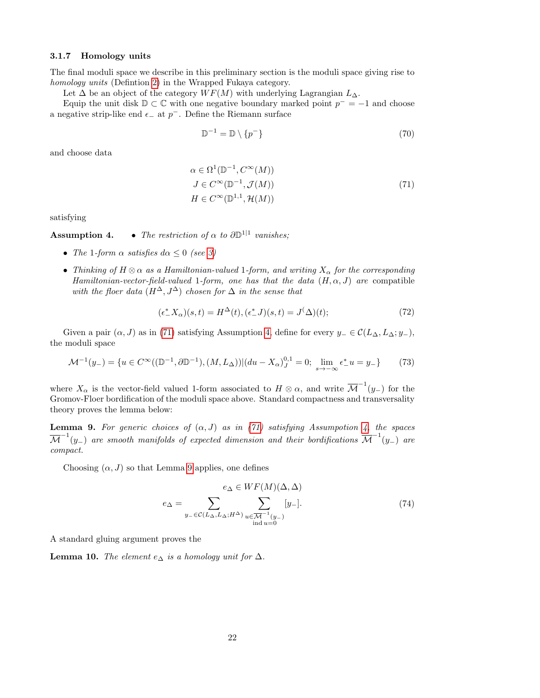#### <span id="page-21-2"></span>3.1.7 Homology units

The final moduli space we describe in this preliminary section is the moduli space giving rise to homology units (Defintion [2\)](#page-2-2) in the Wrapped Fukaya category.

Let  $\Delta$  be an object of the category  $WF(M)$  with underlying Lagrangian  $L_{\Delta}$ .

Equip the unit disk  $\mathbb{D} \subset \mathbb{C}$  with one negative boundary marked point  $p^- = -1$  and choose a negative strip-like end  $\epsilon_-\$ at  $p^-.$  Define the Riemann surface

$$
\mathbb{D}^{-1} = \mathbb{D} \setminus \{p^-\}\tag{70}
$$

<span id="page-21-0"></span>and choose data

$$
\alpha \in \Omega^1(\mathbb{D}^{-1}, C^{\infty}(M))
$$
  
\n
$$
J \in C^{\infty}(\mathbb{D}^{-1}, \mathcal{J}(M))
$$
  
\n
$$
H \in C^{\infty}(\mathbb{D}^{1,1}, \mathcal{H}(M))
$$
\n(71)

satisfying

**Assumption 4.** • The restriction of  $\alpha$  to  $\partial \mathbb{D}^{1|1}$  vanishes;

- The 1-form  $\alpha$  satisfies  $d\alpha \leq 0$  (see [3\)](#page-0-3)
- Thinking of  $H \otimes \alpha$  as a Hamiltonian-valued 1-form, and writing  $X_{\alpha}$  for the corresponding Hamiltonian-vector-field-valued 1-form, one has that the data  $(H, \alpha, J)$  are compatible with the floer data  $(H^{\Delta}, J^{\Delta})$  chosen for  $\Delta$  in the sense that

$$
(\epsilon^*_{-}X_{\alpha})(s,t) = H^{\Delta}(t), (\epsilon^*_{-}J)(s,t) = J^{\Delta}(t); \qquad (72)
$$

Given a pair  $(\alpha, J)$  as in [\(71\)](#page-21-0) satisfying Assumption [4,](#page-0-3) define for every  $y_-\in \mathcal{C}(L_\Delta, L_\Delta; y_-)$ , the moduli space

$$
\mathcal{M}^{-1}(y_{-}) = \{ u \in C^{\infty}((\mathbb{D}^{-1}, \partial \mathbb{D}^{-1}), (M, L_{\Delta})) | (du - X_{\alpha})_{J}^{0,1} = 0; \lim_{s \to -\infty} \epsilon_{-}^{*} u = y_{-} \}
$$
(73)

where  $X_{\alpha}$  is the vector-field valued 1-form associated to  $H \otimes \alpha$ , and write  $\overline{\mathcal{M}}^{-1}(y_{-})$  for the Gromov-Floer bordification of the moduli space above. Standard compactness and transversality theory proves the lemma below:

<span id="page-21-1"></span>**Lemma 9.** For generic choices of  $(\alpha, J)$  as in [\(71\)](#page-21-0) satisfying Assumpotion [4,](#page-0-3) the spaces  $\overline{\cal M}^{-1}(y_-)$  are smooth manifolds of expected dimension and their bordifications  $\overline{\cal M}^{-1}(y_-)$  are compact.

Choosing  $(\alpha, J)$  so that Lemma [9](#page-21-1) applies, one defines

$$
e_{\Delta} = \sum_{y_{-} \in \mathcal{C}(L_{\Delta}, L_{\Delta}; H^{\Delta})} \sum_{\substack{u \in \mathcal{M}^{-1}(y_{-}) \ \text{ind } u = 0}}^{e_{\Delta} \in WF(M)(\Delta, \Delta)} [y_{-}]. \tag{74}
$$

A standard gluing argument proves the

**Lemma 10.** The element  $e_{\Delta}$  is a homology unit for  $\Delta$ .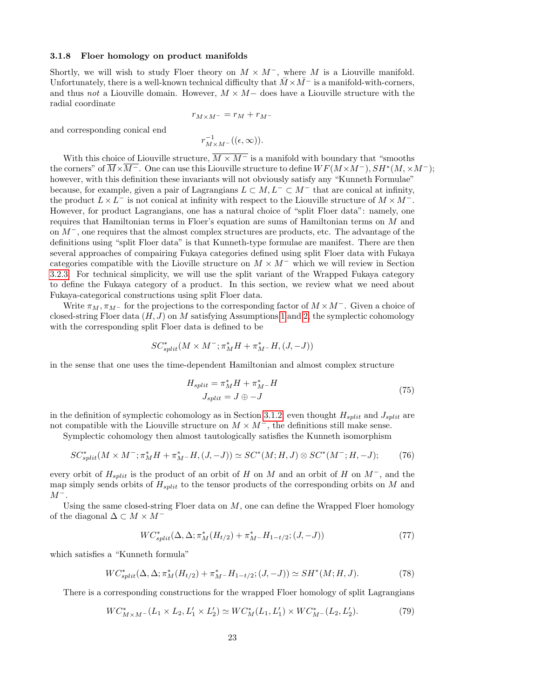#### <span id="page-22-3"></span>3.1.8 Floer homology on product manifolds

Shortly, we will wish to study Floer theory on  $M \times M^-$ , where M is a Liouville manifold. Unfortunately, there is a well-known technical difficulty that  $\overline{M} \times \overline{M}$ <sup>–</sup> is a manifold-with-corners, and thus not a Liouville domain. However,  $M \times M$  does have a Liouville structure with the radial coordinate

$$
r_{M \times M^-} = r_M + r_{M^-}
$$

and corresponding conical end

$$
r^{-1}_{M\times M^-}((\epsilon,\infty)).
$$

With this choice of Liouville structure,  $\overline{M \times M}$  is a manifold with boundary that "smooths" the corners" of  $\overline{M}\times\overline{M^-}$ . One can use this Liouville structure to define  $WF(M\times M^-), SH^*(M,\times M^-);$ however, with this definition these invariants will not obviously satisfy any "Kunneth Formulae" because, for example, given a pair of Lagrangians  $L \subset M$ ,  $L^{-} \subset M^{-}$  that are conical at infinity, the product  $L \times L^-$  is not conical at infinity with respect to the Liouville structure of  $M \times M^-$ . However, for product Lagrangians, one has a natural choice of "split Floer data": namely, one requires that Hamiltonian terms in Floer's equation are sums of Hamiltonian terms on M and on M−, one requires that the almost complex structures are products, etc. The advantage of the definitions using "split Floer data" is that Kunneth-type formulae are manifest. There are then several approaches of compairing Fukaya categories defined using split Floer data with Fukaya categories compatible with the Lioville structure on  $M \times M^-$  which we will review in Section [3.2.3.](#page-25-1) For technical simplicity, we will use the split variant of the Wrapped Fukaya category to define the Fukaya category of a product. In this section, we review what we need about Fukaya-categorical constructions using split Floer data.

Write  $\pi_M$ ,  $\pi_{M^-}$  for the projections to the corresponding factor of  $M \times M^-$ . Given a choice of closed-string Floer data  $(H, J)$  on M satisfying Assumptions [1](#page-15-0) and [2,](#page-15-1) the symplectic cohomology with the corresponding split Floer data is defined to be

$$
SC^*_{split}(M\times M^-;\pi_M^*H+\pi_{M^-}^*H,(J,-J))
$$

in the sense that one uses the time-dependent Hamiltonian and almost complex structure

$$
H_{split} = \pi_M^* H + \pi_{M}^* - H
$$
  
\n
$$
J_{split} = J \oplus -J
$$
\n(75)

in the definition of symplectic cohomology as in Section [3.1.2;](#page-14-1) even thought  $H_{split}$  and  $J_{split}$  are not compatible with the Liouville structure on  $M \times M^-$ , the definitions still make sense.

Symplectic cohomology then almost tautologically satisfies the Kunneth isomorphism

<span id="page-22-2"></span>
$$
SC_{split}^*(M \times M^-; \pi_M^*H + \pi_M^* - H, (J, -J)) \simeq SC^*(M; H, J) \otimes SC^*(M^-; H, -J); \tag{76}
$$

every orbit of  $H_{split}$  is the product of an orbit of H on M and an orbit of H on  $M^-$ , and the map simply sends orbits of  $H_{split}$  to the tensor products of the corresponding orbits on M and  $M^-$ .

Using the same closed-string Floer data on  $M$ , one can define the Wrapped Floer homology of the diagonal  $\Delta \subset M \times M^{-1}$ 

<span id="page-22-0"></span>
$$
WC_{split}^*(\Delta, \Delta; \pi_M^*(H_{t/2}) + \pi_M^* - H_{1-t/2}; (J, -J))
$$
\n(77)

which satisfies a "Kunneth formula"

<span id="page-22-4"></span>
$$
WC_{split}^*(\Delta, \Delta; \pi_M^*(H_{t/2}) + \pi_M^* - H_{1-t/2}; (J, -J)) \simeq SH^*(M; H, J). \tag{78}
$$

There is a corresponding constructions for the wrapped Floer homology of split Lagrangians

<span id="page-22-1"></span>
$$
WC_{M \times M^{-}}^{*}(L_{1} \times L_{2}, L_{1}' \times L_{2}') \simeq WC_{M}^{*}(L_{1}, L_{1}') \times WC_{M^{-}}^{*}(L_{2}, L_{2}').
$$
\n(79)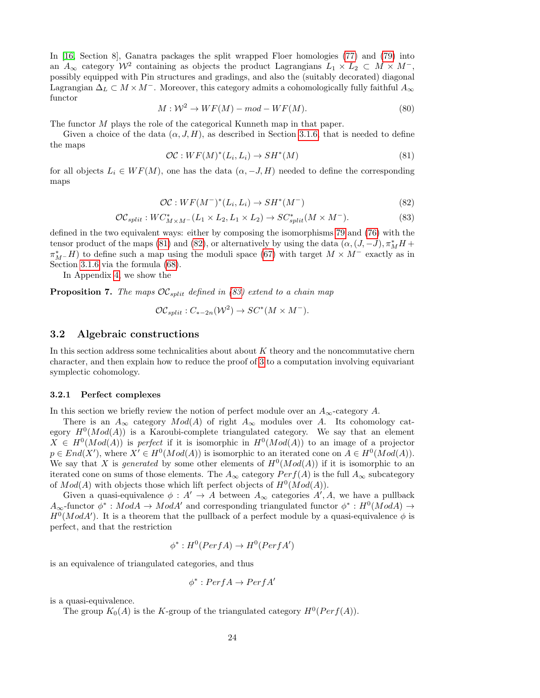In [\[16,](#page-37-7) Section 8], Ganatra packages the split wrapped Floer homologies [\(77\)](#page-22-0) and [\(79\)](#page-22-1) into an  $A_{\infty}$  category  $\mathcal{W}^2$  containing as objects the product Lagrangians  $L_1 \times L_2 \subset M \times M^{-}$ , possibly equipped with Pin structures and gradings, and also the (suitably decorated) diagonal Lagrangian  $\Delta_L \subset M \times M^-$ . Moreover, this category admits a cohomologically fully faithful  $A_{\infty}$ functor

$$
M: \mathcal{W}^2 \to WF(M) - mod - WF(M). \tag{80}
$$

The functor M plays the role of the categorical Kunneth map in that paper.

Given a choice of the data  $(\alpha, J, H)$ , as described in Section [3.1.6,](#page-19-1) that is needed to define the maps

<span id="page-23-2"></span>
$$
\mathcal{OC}: WF(M)^*(L_i, L_i) \to SH^*(M)
$$
\n(81)

for all objects  $L_i \in WF(M)$ , one has the data  $(\alpha, -J, H)$  needed to define the corresponding maps

<span id="page-23-3"></span>
$$
\mathcal{OC}: WF(M^-)^*(L_i, L_i) \to SH^*(M^-) \tag{82}
$$

<span id="page-23-4"></span>
$$
\mathcal{OC}_{split}: WC^*_{M\times M^-}(L_1\times L_2, L_1\times L_2)\to SC^*_{split}(M\times M^-). \tag{83}
$$

defined in the two equivalent ways: either by composing the isomorphisms [79](#page-22-1) and [\(76\)](#page-22-2) with the tensor product of the maps [\(81\)](#page-23-2) and [\(82\)](#page-23-3), or alternatively by using the data  $(\alpha, (J, -J), \pi_M^* H +$  $\pi_{M^-}^*H$ ) to define such a map using the moduli space [\(67\)](#page-20-1) with target  $M \times M^-$  exactly as in Section [3.1.6](#page-19-1) via the formula [\(68\)](#page-20-3).

In Appendix [4,](#page-30-0) we show the

<span id="page-23-5"></span>**Proposition 7.** The maps  $OC_{split}$  defined in [\(83\)](#page-23-4) extend to a chain map

$$
\mathcal{OC}_{split}: C_{*-2n}(\mathcal{W}^2) \to SC^*(M \times M^-).
$$

#### <span id="page-23-1"></span>3.2 Algebraic constructions

In this section address some technicalities about about  $K$  theory and the noncommutative chern character, and then explain how to reduce the proof of [3](#page-1-0) to a computation involving equivariant symplectic cohomology.

#### <span id="page-23-0"></span>3.2.1 Perfect complexes

In this section we briefly review the notion of perfect module over an  $A_{\infty}$ -category A.

There is an  $A_{\infty}$  category  $Mod(A)$  of right  $A_{\infty}$  modules over A. Its cohomology category  $H^0(Mod(A))$  is a Karoubi-complete triangulated category. We say that an element  $X \in H^0(Mod(A))$  is perfect if it is isomorphic in  $H^0(Mod(A))$  to an image of a projector  $p \in End(X')$ , where  $X' \in H^0(Mod(A))$  is isomorphic to an iterated cone on  $A \in H^0(Mod(A))$ . We say that X is *generated* by some other elements of  $H^0(Mod(A))$  if it is isomorphic to an iterated cone on sums of those elements. The  $A_{\infty}$  category  $Perf(A)$  is the full  $A_{\infty}$  subcategory of  $Mod(A)$  with objects those which lift perfect objects of  $H^0(Mod(A))$ .

Given a quasi-equivalence  $\phi: A' \to A$  between  $A_{\infty}$  categories  $A', A$ , we have a pullback  $A_{\infty}$ -functor  $\phi^*: Mod A \to Mod A'$  and corresponding triangulated functor  $\phi^*: H^0(Mod A) \to$  $H^0(ModA')$ . It is a theorem that the pullback of a perfect module by a quasi-equivalence  $\phi$  is perfect, and that the restriction

$$
\phi^*: H^0(PerfA) \to H^0(PerfA')
$$

is an equivalence of triangulated categories, and thus

$$
\phi^* : Perf A \to Perf A'
$$

is a quasi-equivalence.

The group  $K_0(A)$  is the K-group of the triangulated category  $H^0(Perf(A))$ .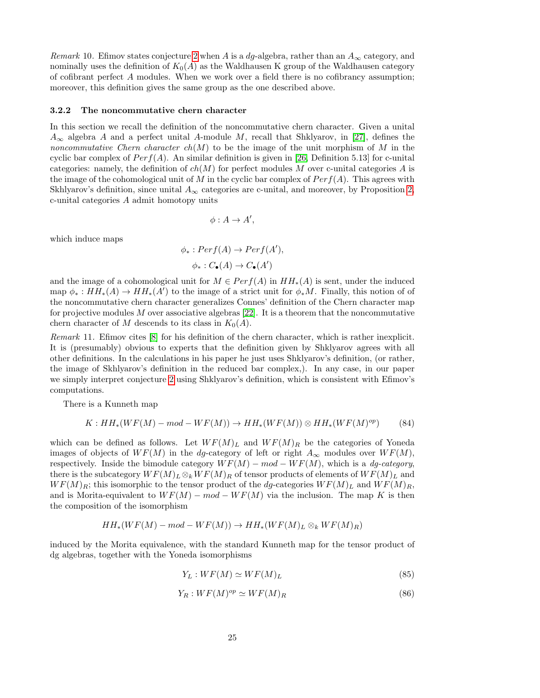Remark 10. Efimov states conjecture [2](#page-0-0) when A is a dg-algebra, rather than an  $A_{\infty}$  category, and nominally uses the definition of  $K_0(A)$  as the Waldhausen K group of the Waldhausen category of cofibrant perfect A modules. When we work over a field there is no cofibrancy assumption; moreover, this definition gives the same group as the one described above.

#### <span id="page-24-0"></span>3.2.2 The noncommutative chern character

In this section we recall the definition of the noncommutative chern character. Given a unital  $A_{\infty}$  algebra A and a perfect unital A-module M, recall that Shklyarov, in [\[27\]](#page-38-2), defines the noncommutative Chern character  $ch(M)$  to be the image of the unit morphism of M in the cyclic bar complex of  $Perf(A)$ . An similar definition is given in [\[26,](#page-38-12) Definition 5.13] for c-unital categories: namely, the definition of  $ch(M)$  for perfect modules M over c-unital categories A is the image of the cohomological unit of  $M$  in the cyclic bar complex of  $Perf(A)$ . This agrees with Skhlyarov's definition, since unital  $A_{\infty}$  categories are c-unital, and moreover, by Proposition [2,](#page-3-1) c-unital categories A admit homotopy units

$$
\phi: A \to A',
$$

which induce maps

$$
\phi_*: Perf(A) \to Perf(A'),
$$
  

$$
\phi_*: C_{\bullet}(A) \to C_{\bullet}(A')
$$

and the image of a cohomological unit for  $M \in Perf(A)$  in  $HH_*(A)$  is sent, under the induced map  $\phi_*: HH_*(A) \to HH_*(A')$  to the image of a strict unit for  $\phi_*M$ . Finally, this notion of of the noncommutative chern character generalizes Connes' definition of the Chern character map for projective modules  $M$  over associative algebras [\[22\]](#page-38-6). It is a theorem that the noncommutative chern character of M descends to its class in  $K_0(A)$ .

Remark 11. Efimov cites [\[8\]](#page-37-15) for his definition of the chern character, which is rather inexplicit. It is (presumably) obvious to experts that the definition given by Shklyarov agrees with all other definitions. In the calculations in his paper he just uses Shklyarov's definition, (or rather, the image of Skhlyarov's definition in the reduced bar complex,). In any case, in our paper we simply interpret conjecture [2](#page-0-0) using Shklyarov's definition, which is consistent with Efimov's computations.

There is a Kunneth map

$$
K: HH_*(WF(M) - mod - WF(M)) \to HH_*(WF(M)) \otimes HH_*(WF(M)^{op}) \tag{84}
$$

which can be defined as follows. Let  $WF(M)_L$  and  $WF(M)_R$  be the categories of Yoneda images of objects of  $WF(M)$  in the dg-category of left or right  $A_{\infty}$  modules over  $WF(M)$ , respectively. Inside the bimodule category  $WF(M)$  – mod –  $WF(M)$ , which is a dg-category, there is the subcategory  $WF(M)_L \otimes_k WF(M)_R$  of tensor products of elements of  $WF(M)_L$  and  $WF(M)_R$ ; this isomorphic to the tensor product of the dg-categories  $WF(M)_L$  and  $WF(M)_R$ , and is Morita-equivalent to  $WF(M)$  – mod –  $WF(M)$  via the inclusion. The map K is then the composition of the isomorphism

$$
HH_*(WF(M) - mod - WF(M)) \to HH_*(WF(M)_L \otimes_k WF(M)_R)
$$

induced by the Morita equivalence, with the standard Kunneth map for the tensor product of dg algebras, together with the Yoneda isomorphisms

$$
Y_L: WF(M) \simeq WF(M)_L \tag{85}
$$

$$
Y_R: WF(M)^{op} \simeq WF(M)_R \tag{86}
$$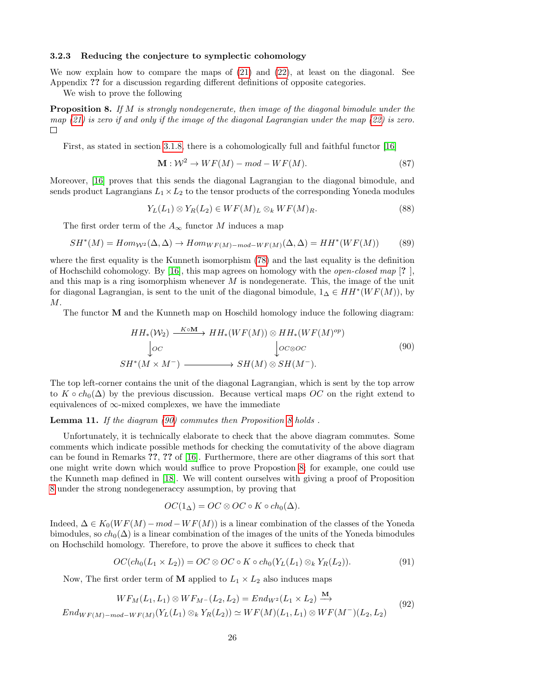#### <span id="page-25-1"></span>3.2.3 Reducing the conjecture to symplectic cohomology

We now explain how to compare the maps of [\(21\)](#page-13-0) and [\(22\)](#page-13-1), at least on the diagonal. See Appendix ?? for a discussion regarding different definitions of opposite categories.

We wish to prove the following

<span id="page-25-3"></span>**Proposition 8.** If M is strongly nondegenerate, then image of the diagonal bimodule under the map  $(21)$  is zero if and only if the image of the diagonal Lagrangian under the map  $(22)$  is zero.  $\Box$ 

First, as stated in section [3.1.8,](#page-22-3) there is a cohomologically full and faithful functor [\[16\]](#page-37-7)

$$
\mathbf{M} : \mathcal{W}^2 \to WF(M) - mod - WF(M). \tag{87}
$$

Moreover, [\[16\]](#page-37-7) proves that this sends the diagonal Lagrangian to the diagonal bimodule, and sends product Lagrangians  $L_1 \times L_2$  to the tensor products of the corresponding Yoneda modules

$$
Y_L(L_1) \otimes Y_R(L_2) \in WF(M)_L \otimes_k WF(M)_R. \tag{88}
$$

The first order term of the  $A_{\infty}$  functor M induces a map

$$
SH^*(M) = Hom_{W^2}(\Delta, \Delta) \to Hom_{WF(M) - mod - WF(M)}(\Delta, \Delta) = HH^*(WF(M))
$$
(89)

where the first equality is the Kunneth isomorphism [\(78\)](#page-22-4) and the last equality is the definition of Hochschild cohomology. By [\[16\]](#page-37-7), this map agrees on homology with the *open-closed map* [?], and this map is a ring isomorphism whenever  $M$  is nondegenerate. This, the image of the unit for diagonal Lagrangian, is sent to the unit of the diagonal bimodule,  $1_{\Delta} \in HH^*(WF(M))$ , by M.

The functor M and the Kunneth map on Hoschild homology induce the following diagram:

<span id="page-25-2"></span>
$$
HH_*(\mathcal{W}_2) \xrightarrow{K \circ M} HH_*(WF(M)) \otimes HH_*(WF(M)^{op})
$$
  
\n
$$
\downarrow_{OC} \qquad \qquad \downarrow_{OC \otimes OC}
$$
  
\n
$$
SH^*(M \times M^-) \xrightarrow{H \circ H(M) \otimes SH(M^-)} (90)
$$

The top left-corner contains the unit of the diagonal Lagrangian, which is sent by the top arrow to  $K \circ ch_0(\Delta)$  by the previous discussion. Because vertical maps OC on the right extend to equivalences of  $\infty$ -mixed complexes, we have the immediate

#### <span id="page-25-0"></span>Lemma 11. If the diagram [\(90\)](#page-25-2) commutes then Proposition [8](#page-25-3) holds.

Unfortunately, it is technically elaborate to check that the above diagram commutes. Some comments which indicate possible methods for checking the comutativity of the above diagram can be found in Remarks ??, ?? of [\[16\]](#page-37-7). Furthermore, there are other diagrams of this sort that one might write down which would suffice to prove Propostion [8;](#page-25-3) for example, one could use the Kunneth map defined in [\[18\]](#page-38-4). We will content ourselves with giving a proof of Proposition [8](#page-25-3) under the strong nondegeneraccy assumption, by proving that

$$
OC(1_{\Delta}) = OC \otimes OC \circ K \circ ch_0(\Delta).
$$

Indeed,  $\Delta \in K_0(WF(M) - mod - WF(M))$  is a linear combination of the classes of the Yoneda bimodules, so  $ch_0(\Delta)$  is a linear combination of the images of the units of the Yoneda bimodules on Hochschild homology. Therefore, to prove the above it suffices to check that

<span id="page-25-5"></span>
$$
OC(ch_0(L_1 \times L_2)) = OC \otimes OC \circ K \circ ch_0(Y_L(L_1) \otimes_k Y_R(L_2)).
$$
\n
$$
(91)
$$

M

Now, The first order term of **M** applied to  $L_1 \times L_2$  also induces maps

<span id="page-25-4"></span>
$$
WF_M(L_1, L_1) \otimes WF_{M^-}(L_2, L_2) = End_{W^2}(L_1 \times L_2) \xrightarrow{M} (92)
$$
  
End<sub>WF(M)</sub>-mod-<sub>WF(M)</sub>(Y<sub>L</sub>(L<sub>1</sub>)  $\otimes_k Y_R(L_2) \simeq WF(M)(L_1, L_1) \otimes WF(M^-)(L_2, L_2)$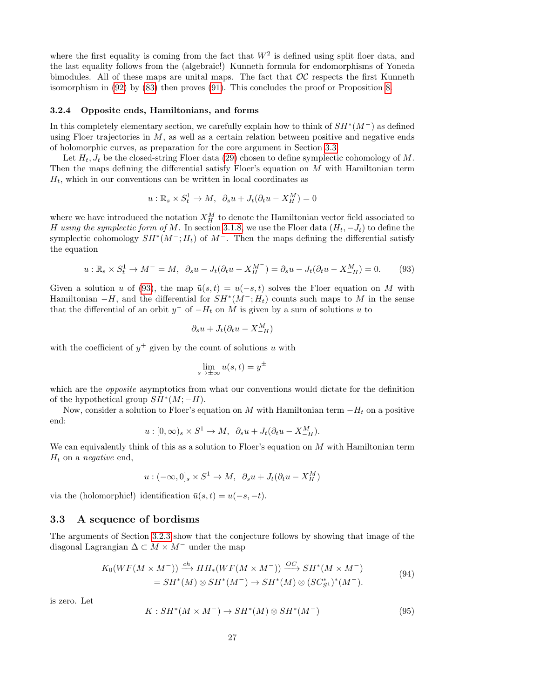where the first equality is coming from the fact that  $W^2$  is defined using split floer data, and the last equality follows from the (algebraic!) Kunneth formula for endomorphisms of Yoneda bimodules. All of these maps are unital maps. The fact that  $OC$  respects the first Kunneth isomorphism in [\(92\)](#page-25-4) by [\(83\)](#page-23-4) then proves [\(91\)](#page-25-5). This concludes the proof or Proposition [8.](#page-25-3)

#### <span id="page-26-3"></span>3.2.4 Opposite ends, Hamiltonians, and forms

In this completely elementary section, we carefully explain how to think of  $SH^*(M^-)$  as defined using Floer trajectories in  $M$ , as well as a certain relation between positive and negative ends of holomorphic curves, as preparation for the core argument in Section [3.3.](#page-26-0)

Let  $H_t$ ,  $J_t$  be the closed-string Floer data [\(29\)](#page-14-2) chosen to define symplectic cohomology of M. Then the maps defining the differential satisfy Floer's equation on  $M$  with Hamiltonian term  $H_t$ , which in our conventions can be written in local coordinates as

$$
u: \mathbb{R}_s \times S_t^1 \to M, \ \ \partial_s u + J_t(\partial_t u - X_H^M) = 0
$$

where we have introduced the notation  $X_H^M$  to denote the Hamiltonian vector field associated to H using the symplectic form of M. In section [3.1.8,](#page-22-3) we use the Floer data  $(H_t, -J_t)$  to define the symplectic cohomology  $SH^*(M^-; H_t)$  of  $M^-$ . Then the maps defining the differential satisfy the equation

<span id="page-26-2"></span>
$$
u: \mathbb{R}_s \times S_t^1 \to M^- = M, \ \ \partial_s u - J_t(\partial_t u - X_H^{M^-}) = \partial_s u - J_t(\partial_t u - X_{-H}^{M}) = 0. \tag{93}
$$

Given a solution u of [\(93\)](#page-26-2), the map  $\tilde{u}(s,t) = u(-s,t)$  solves the Floer equation on M with Hamiltonian  $-H$ , and the differential for  $SH^*(M^-; H_t)$  counts such maps to M in the sense that the differential of an orbit  $y^-$  of  $-H_t$  on M is given by a sum of solutions u to

$$
\partial_s u + J_t(\partial_t u - X_{-H}^M)
$$

with the coefficient of  $y^+$  given by the count of solutions u with

$$
\lim_{s \to \pm \infty} u(s, t) = y^{\pm}
$$

which are the *opposite* asymptotics from what our conventions would dictate for the definition of the hypothetical group  $SH^*(M; -H)$ .

Now, consider a solution to Floer's equation on M with Hamiltonian term  $-H_t$  on a positive end:

$$
u:[0,\infty)_s\times S^1\to M,\ \partial_su+J_t(\partial_tu-X_{-H}^M).
$$

We can equivalently think of this as a solution to Floer's equation on  $M$  with Hamiltonian term  $H_t$  on a *negative* end,

$$
u: (-\infty, 0]_s \times S^1 \to M, \ \ \partial_s u + J_t(\partial_t u - X_H^M)
$$

via the (holomorphic!) identification  $\bar{u}(s,t) = u(-s,-t)$ .

#### <span id="page-26-0"></span>3.3 A sequence of bordisms

The arguments of Section [3.2.3](#page-25-1) show that the conjecture follows by showing that image of the diagonal Lagrangian  $\Delta \subset M \times M^-$  under the map

$$
K_0(WF(M \times M^-)) \xrightarrow{ch} HH_*(WF(M \times M^-)) \xrightarrow{OC} SH^*(M \times M^-)
$$
  
= SH^\*(M) \otimes SH^\*(M^-) \to SH^\*(M) \otimes (SC^\*\_{S^1})^\*(M^-). (94)

<span id="page-26-1"></span>is zero. Let

$$
K: SH^*(M \times M^-) \to SH^*(M) \otimes SH^*(M^-) \tag{95}
$$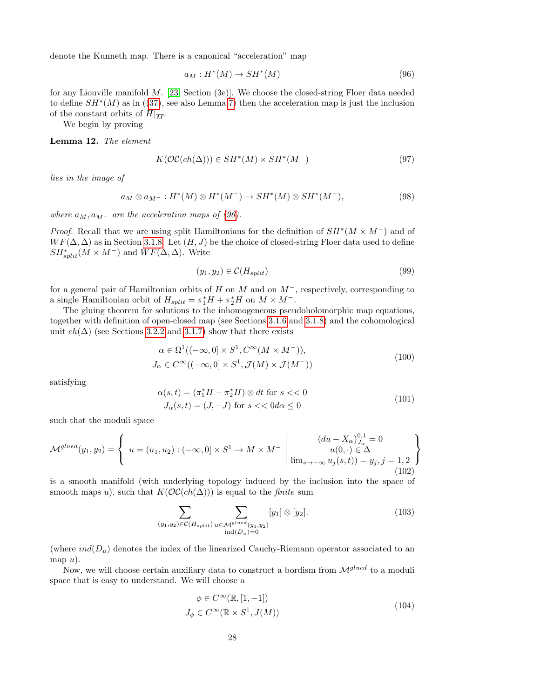denote the Kunneth map. There is a canonical "acceleration" map

<span id="page-27-0"></span>
$$
a_M: H^*(M) \to SH^*(M) \tag{96}
$$

for any Liouville manifold M. [\[23,](#page-38-8) Section (3e)]. We choose the closed-string Floer data needed to define  $SH^*(M)$  as in ([\(37\)](#page-15-2), see also Lemma [7\)](#page-16-1) then the acceleration map is just the inclusion of the constant orbits of  $H|_{\overline{M}}$ .

We begin by proving

<span id="page-27-2"></span>Lemma 12. The element

$$
K(\mathcal{OC}(ch(\Delta))) \in SH^*(M) \times SH^*(M^-) \tag{97}
$$

lies in the image of

$$
a_M \otimes a_{M^-}: H^*(M) \otimes H^*(M^-) \to SH^*(M) \otimes SH^*(M^-), \tag{98}
$$

where  $a_M$ ,  $a_{M-}$  are the acceleration maps of [\(96\)](#page-27-0).

*Proof.* Recall that we are using split Hamiltonians for the definition of  $SH^*(M \times M^-)$  and of  $WF(\Delta, \Delta)$  as in Section [3.1.8.](#page-22-3) Let  $(H, J)$  be the choice of closed-string Floer data used to define  $SH<sup>*</sup><sub>split</sub>(M \times M<sup>-</sup>)$  and  $WF(\Delta, \Delta)$ . Write

$$
(y_1, y_2) \in \mathcal{C}(H_{split}) \tag{99}
$$

for a general pair of Hamiltonian orbits of H on M and on M<sup>−</sup>, respectively, corresponding to a single Hamiltonian orbit of  $H_{split} = \pi_1^* H + \pi_2^* H$  on  $M \times M^-$ .

The gluing theorem for solutions to the inhomogeneous pseudoholomorphic map equations, together with definition of open-closed map (see Sections [3.1.6](#page-19-1) and [3.1.8\)](#page-22-3) and the cohomological unit  $ch(\Delta)$  (see Sections [3.2.2](#page-24-0) and [3.1.7\)](#page-21-2) show that there exists

$$
\alpha \in \Omega^1((-\infty, 0] \times S^1, C^{\infty}(M \times M^-)),
$$
  
\n
$$
J_{\alpha} \in C^{\infty}((-\infty, 0] \times S^1, \mathcal{J}(M) \times \mathcal{J}(M^-))
$$
\n(100)

satisfying

$$
\alpha(s,t) = (\pi_1^* H + \pi_2^* H) \otimes dt \text{ for } s < 0
$$
  

$$
J_\alpha(s,t) = (J, -J) \text{ for } s < 0 \text{ and } \le 0
$$
 (101)

such that the moduli space

$$
\mathcal{M}^{glued}(y_1, y_2) = \left\{ u = (u_1, u_2) : (-\infty, 0] \times S^1 \to M \times M^- \middle| \begin{array}{c} (du - X_{\alpha})_{J_{\alpha}}^{0,1} = 0 \\ u(0, \cdot) \in \Delta \\ \lim_{s \to -\infty} u_j(s, t)) = y_j, j = 1, 2 \end{array} \right\}
$$
\n(102)

is a smooth manifold (with underlying topology induced by the inclusion into the space of smooth maps u), such that  $K(\mathcal{OC}(ch(\Delta)))$  is equal to the *finite* sum

$$
\sum_{(y_1, y_2)\in\mathcal{C}(H_{split})}\sum_{\substack{u\in\mathcal{M}^{glued}(y_1, y_2)\\ \text{ind}(D_u)=0}}[y_1]\otimes[y_2].\tag{103}
$$

(where  $ind(D_u)$  denotes the index of the linearized Cauchy-Riemann operator associated to an map  $u$ ).

Now, we will choose certain auxiliary data to construct a bordism from  $\mathcal{M}^{glued}$  to a moduli space that is easy to understand. We will choose a

<span id="page-27-1"></span>
$$
\phi \in C^{\infty}(\mathbb{R}, [1, -1])
$$
  

$$
J_{\phi} \in C^{\infty}(\mathbb{R} \times S^1, J(M))
$$
 (104)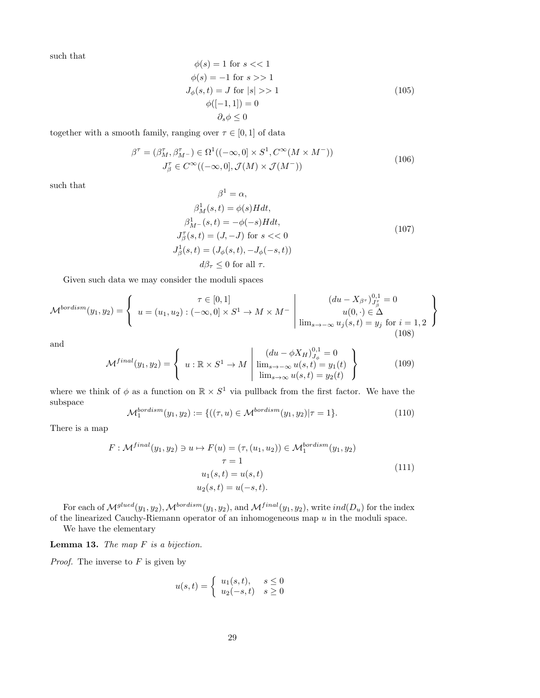such that

$$
\begin{aligned}\n\phi(s) &= 1 \text{ for } s << 1 \\
\phi(s) &= -1 \text{ for } s >> 1 \\
J_{\phi}(s, t) &= J \text{ for } |s| >> 1 \\
\phi([-1, 1]) &= 0 \\
\partial_s \phi < 0\n\end{aligned} \tag{105}
$$

together with a smooth family, ranging over  $\tau \in [0, 1]$  of data

<span id="page-28-0"></span>
$$
\beta^{\tau} = (\beta_M^{\tau}, \beta_{M^{-}}^{\tau}) \in \Omega^1((-\infty, 0] \times S^1, C^{\infty}(M \times M^{-}))
$$
  

$$
J_{\beta}^{\tau} \in C^{\infty}((-\infty, 0], \mathcal{J}(M) \times \mathcal{J}(M^{-}))
$$
(106)

such that

$$
\beta^{1} = \alpha,
$$
  
\n
$$
\beta^{1}_{M}(s,t) = \phi(s)Hdt,
$$
  
\n
$$
\beta^{1}_{M-}(s,t) = -\phi(-s)Hdt,
$$
  
\n
$$
J_{\beta}^{\tau}(s,t) = (J, -J) \text{ for } s < 0
$$
  
\n
$$
J_{\beta}^{1}(s,t) = (J_{\phi}(s,t), -J_{\phi}(-s,t))
$$
  
\n
$$
d\beta_{\tau} \leq 0 \text{ for all } \tau.
$$
\n(107)

Given such data we may consider the moduli spaces

$$
\mathcal{M}^{bordism}(y_1, y_2) = \left\{ u = (u_1, u_2) : (-\infty, 0] \times S^1 \to M \times M^- \middle| \begin{array}{c} (du - X_{\beta^T})_{J_{\beta}^T}^{0,1} = 0 \\ u(0, \cdot) \in \Delta \\ \lim_{s \to -\infty} u_j(s, t) = y_j \text{ for } i = 1, 2 \end{array} \right\}
$$
\n(108)

and

$$
\mathcal{M}^{final}(y_1, y_2) = \begin{cases} u : \mathbb{R} \times S^1 \to M \mid \lim_{s \to -\infty} \frac{(du - \phi X_H)_{J_\phi}^{0,1} = 0}{\lim_{s \to \infty} u(s, t) = y_1(t)} \\ \lim_{s \to \infty} u(s, t) = y_2(t) \end{cases}
$$
(109)

where we think of  $\phi$  as a function on  $\mathbb{R} \times S^1$  via pullback from the first factor. We have the subspace

$$
\mathcal{M}_1^{bordism}(y_1, y_2) := \{ ((\tau, u) \in \mathcal{M}^{bordism}(y_1, y_2) | \tau = 1 \}.
$$
 (110)

There is a map

$$
F: \mathcal{M}^{final}(y_1, y_2) \ni u \mapsto F(u) = (\tau, (u_1, u_2)) \in \mathcal{M}_1^{bordism}(y_1, y_2)
$$

$$
\tau = 1
$$

$$
u_1(s, t) = u(s, t)
$$

$$
u_2(s, t) = u(-s, t).
$$

$$
(111)
$$

For each of  $\mathcal{M}^{glued}(y_1, y_2)$ ,  $\mathcal{M}^{bordism}(y_1, y_2)$ , and  $\mathcal{M}^{final}(y_1, y_2)$ , write  $ind(D_u)$  for the index of the linearized Cauchy-Riemann operator of an inhomogeneous map  $u$  in the moduli space.

We have the elementary

**Lemma 13.** The map  $F$  is a bijection.

*Proof.* The inverse to  $F$  is given by

$$
u(s,t) = \begin{cases} u_1(s,t), & s \le 0 \\ u_2(-s,t) & s \ge 0 \end{cases}
$$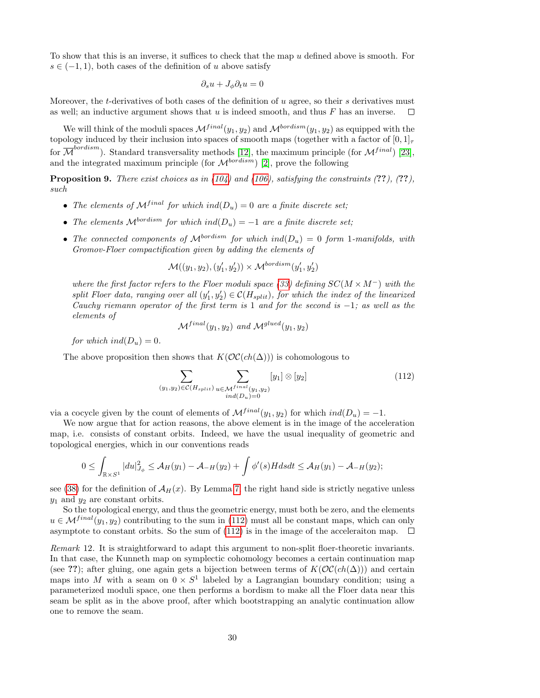To show that this is an inverse, it suffices to check that the map  $u$  defined above is smooth. For  $s \in (-1,1)$ , both cases of the definition of u above satisfy

$$
\partial_s u + J_\phi \partial_t u = 0
$$

Moreover, the t-derivatives of both cases of the definition of  $u$  agree, so their  $s$  derivatives must as well; an inductive argument shows that  $u$  is indeed smooth, and thus  $F$  has an inverse.  $\Box$ 

We will think of the moduli spaces  $\mathcal{M}^{final}(y_1, y_2)$  and  $\mathcal{M}^{bordism}(y_1, y_2)$  as equipped with the topology induced by their inclusion into spaces of smooth maps (together with a factor of  $[0, 1]_T$ for  $\overline{\mathcal{M}}^{bordism}$ ). Standard transversality methods [\[12\]](#page-37-16), the maximum principle (for  $\mathcal{M}^{final}$ ) [\[23\]](#page-38-8), and the integrated maximum principle (for  $\mathcal{M}^{bordism}$ ) [\[2\]](#page-37-10), prove the following

**Proposition 9.** There exist choices as in  $(104)$  and  $(106)$ , satisfying the constraints  $(??)$ ,  $(??)$ , such

- The elements of  $\mathcal{M}^{final}$  for which ind $(D_u) = 0$  are a finite discrete set;
- The elements  $\mathcal{M}^{bordism}$  for which ind $(D_u) = -1$  are a finite discrete set;
- The connected components of  $\mathcal{M}^{bordism}$  for which ind $(D_u) = 0$  form 1-manifolds, with Gromov-Floer compactification given by adding the elements of

$$
\mathcal{M}((y_1, y_2), (y_1', y_2')) \times \mathcal{M}^{bordism}(y_1', y_2')
$$

where the first factor refers to the Floer moduli space [\(33\)](#page-15-3) defining  $SC(M \times M^{-})$  with the split Floer data, ranging over all  $(y'_1, y'_2) \in C(H_{split})$ , for which the index of the linearized Cauchy riemann operator of the first term is 1 and for the second is  $-1$ ; as well as the elements of

$$
\mathcal{M}^{final}(y_1, y_2) \text{ and } \mathcal{M}^{glued}(y_1, y_2)
$$

for which ind $(D_u) = 0$ .

The above proposition then shows that  $K(\mathcal{OC}(ch(\Delta)))$  is cohomologous to

<span id="page-29-0"></span>
$$
\sum_{(y_1, y_2) \in \mathcal{C}(H_{split})} \sum_{\substack{u \in \mathcal{M}^{final}(y_1, y_2) \\ ind(D_u) = 0}} [y_1] \otimes [y_2]
$$
\n(112)

via a cocycle given by the count of elements of  $\mathcal{M}^{final}(y_1, y_2)$  for which  $ind(D_u) = -1$ .

We now argue that for action reasons, the above element is in the image of the acceleration map, i.e. consists of constant orbits. Indeed, we have the usual inequality of geometric and topological energies, which in our conventions reads

$$
0 \leq \int_{\mathbb{R} \times S^1} |du|_{J_\phi}^2 \leq \mathcal{A}_H(y_1) - \mathcal{A}_{-H}(y_2) + \int \phi'(s) H ds dt \leq \mathcal{A}_H(y_1) - \mathcal{A}_{-H}(y_2);
$$

see [\(38\)](#page-16-2) for the definition of  $\mathcal{A}_{H}(x)$ . By Lemma [7,](#page-16-1) the right hand side is strictly negative unless  $y_1$  and  $y_2$  are constant orbits.

So the topological energy, and thus the geometric energy, must both be zero, and the elements  $u \in \mathcal{M}^{final}(y_1, y_2)$  contributing to the sum in [\(112\)](#page-29-0) must all be constant maps, which can only asymptote to constant orbits. So the sum of [\(112\)](#page-29-0) is in the image of the acceleraiton map.  $\Box$ 

Remark 12. It is straightforward to adapt this argument to non-split floer-theoretic invariants. In that case, the Kunneth map on symplectic cohomology becomes a certain continuation map (see ??); after gluing, one again gets a bijection between terms of  $K(\mathcal{OC}(ch(\Delta)))$  and certain maps into M with a seam on  $0 \times S^1$  labeled by a Lagrangian boundary condition; using a parameterized moduli space, one then performs a bordism to make all the Floer data near this seam be split as in the above proof, after which bootstrapping an analytic continuation allow one to remove the seam.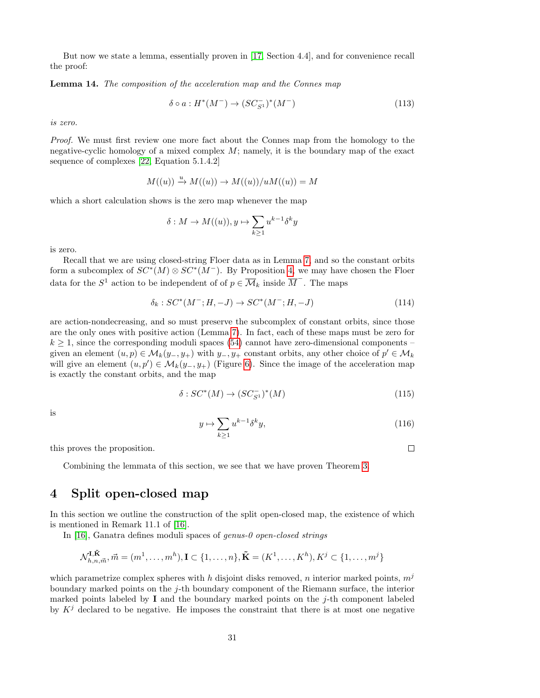But now we state a lemma, essentially proven in [\[17,](#page-37-3) Section 4.4], and for convenience recall the proof:

<span id="page-30-1"></span>Lemma 14. The composition of the acceleration map and the Connes map

$$
\delta \circ a : H^*(M^-) \to (SC_{S^1}^-)^*(M^-) \tag{113}
$$

is zero.

Proof. We must first review one more fact about the Connes map from the homology to the negative-cyclic homology of a mixed complex  $M$ ; namely, it is the boundary map of the exact sequence of complexes [\[22,](#page-38-6) Equation 5.1.4.2]

$$
M((u)) \xrightarrow{u} M((u)) \to M((u))/uM((u)) = M
$$

which a short calculation shows is the zero map whenever the map

$$
\delta: M \to M((u)), y \mapsto \sum_{k \ge 1} u^{k-1} \delta^k y
$$

is zero.

Recall that we are using closed-string Floer data as in Lemma [7,](#page-16-1) and so the constant orbits form a subcomplex of  $SC^*(M) \otimes SC^*(M^-)$ . By Proposition [4,](#page-18-0) we may have chosen the Floer data for the  $S^1$  action to be independent of of  $p \in \overline{\mathcal{M}}_k$  inside  $\overline{M}$ . The maps

$$
\delta_k : SC^*(M^-; H, -J) \to SC^*(M^-; H, -J)
$$
\n(114)

are action-nondecreasing, and so must preserve the subcomplex of constant orbits, since those are the only ones with positive action (Lemma [7\)](#page-16-1). In fact, each of these maps must be zero for  $k \geq 1$ , since the corresponding moduli spaces [\(54\)](#page-18-1) cannot have zero-dimensional components – given an element  $(u, p) \in M_k(y_-, y_+)$  with  $y_-, y_+$  constant orbits, any other choice of  $p' \in M_k$ will give an element  $(u, p') \in \mathcal{M}_k(y_-, y_+)$  (Figure [6\)](#page-41-0). Since the image of the acceleration map is exactly the constant orbits, and the map

$$
\delta:SC^*(M) \to (SC_{S^1}^-)^*(M) \tag{115}
$$

is

$$
y \mapsto \sum_{k \ge 1} u^{k-1} \delta^k y,\tag{116}
$$

 $\Box$ 

this proves the proposition.

Combining the lemmata of this section, we see that we have proven Theorem [3.](#page-1-0)

### <span id="page-30-0"></span>4 Split open-closed map

In this section we outline the construction of the split open-closed map, the existence of which is mentioned in Remark 11.1 of [\[16\]](#page-37-7).

In [\[16\]](#page-37-7), Ganatra defines moduli spaces of genus-0 open-closed strings

$$
\mathcal{N}_{h,n,\vec{m}}^{\mathbf{I},\tilde{\mathbf{K}}},\vec{m}=(m^1,\ldots,m^h),\mathbf{I}\subset\{1,\ldots,n\},\tilde{\mathbf{K}}=(K^1,\ldots,K^h),K^j\subset\{1,\ldots,m^j\}
$$

which parametrize complex spheres with h disjoint disks removed, n interior marked points,  $m<sup>j</sup>$ boundary marked points on the j-th boundary component of the Riemann surface, the interior marked points labeled by  $\bf{I}$  and the boundary marked points on the j-th component labeled by  $K<sup>j</sup>$  declared to be negative. He imposes the constraint that there is at most one negative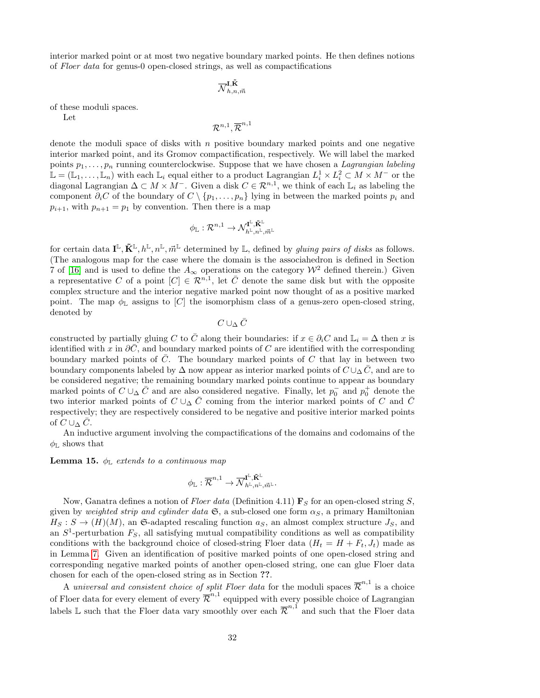interior marked point or at most two negative boundary marked points. He then defines notions of Floer data for genus-0 open-closed strings, as well as compactifications

$$
\overline{\mathcal{N}}^{\mathbf{I},\tilde{\mathbf{K}}}_{h,n,\vec{m}}
$$

of these moduli spaces.

Let

$$
\mathcal{R}^{n,1},\overline{\mathcal{R}}^{n,1}
$$

denote the moduli space of disks with  $n$  positive boundary marked points and one negative interior marked point, and its Gromov compactification, respectively. We will label the marked points  $p_1, \ldots, p_n$  running counterclockwise. Suppose that we have chosen a *Lagrangian labeling*  $\mathbb{L} = (\mathbb{L}_1, \ldots, \mathbb{L}_n)$  with each  $\mathbb{L}_i$  equal either to a product Lagrangian  $L_i^1 \times L_i^2 \subset M \times M^-$  or the diagonal Lagrangian  $\Delta \subset M \times M^-$ . Given a disk  $C \in \mathbb{R}^{n,1}$ , we think of each  $\mathbb{L}_i$  as labeling the component  $\partial_i C$  of the boundary of  $C \setminus \{p_1, \ldots, p_n\}$  lying in between the marked points  $p_i$  and  $p_{i+1}$ , with  $p_{n+1} = p_1$  by convention. Then there is a map

$$
\phi_{\mathbb{L}}:\mathcal{R}^{n,1}\to \mathcal{N}_{h^{\mathbb{L}},n^{\mathbb{L}},\vec{m}^{\mathbb{L}}}^{\mathbf{I}^{\mathbb{L}},\tilde{\mathbf{K}}^{\mathbb{L}}}
$$

for certain data  $I^{\mathbb{L}}, \tilde{\mathbf{K}}^{\mathbb{L}}, h^{\mathbb{L}}, n^{\mathbb{L}}, m^{\mathbb{L}}$  determined by  $\mathbb{L}$ , defined by *gluing pairs of disks* as follows. (The analogous map for the case where the domain is the associahedron is defined in Section 7 of [\[16\]](#page-37-7) and is used to define the  $A_{\infty}$  operations on the category  $\mathcal{W}^2$  defined therein.) Given a representative C of a point  $[C] \in \mathcal{R}^{n,1}$ , let  $\overline{C}$  denote the same disk but with the opposite complex structure and the interior negative marked point now thought of as a positive marked point. The map  $\phi_{\mathbb{L}}$  assigns to [C] the isomorphism class of a genus-zero open-closed string, denoted by

 $C \cup_\Delta \bar{C}$ 

constructed by partially gluing C to  $\overline{C}$  along their boundaries: if  $x \in \partial_i C$  and  $\mathbb{L}_i = \Delta$  then x is identified with x in  $\partial C$ , and boundary marked points of C are identified with the corresponding boundary marked points of  $C$ . The boundary marked points of  $C$  that lay in between two boundary components labeled by  $\Delta$  now appear as interior marked points of  $C \cup_{\Delta} C$ , and are to be considered negative; the remaining boundary marked points continue to appear as boundary marked points of  $C \cup_{\Delta} \bar{C}$  and are also considered negative. Finally, let  $p_0^-$  and  $p_0^+$  denote the two interior marked points of  $C \cup_{\Delta} \overline{C}$  coming from the interior marked points of C and  $\overline{C}$ respectively; they are respectively considered to be negative and positive interior marked points of  $C \cup_{\Delta} C$ .

An inductive argument involving the compactifications of the domains and codomains of the  $\phi_{\mathbb{L}}$  shows that

**Lemma 15.**  $\phi_{\mathbb{L}}$  extends to a continuous map

$$
\phi_{\mathbb{L}}:\overline{\mathcal{R}}^{n,1}\to \overline{\mathcal{N}}^{\mathrm{I}^{\mathbb{L}},\tilde{\mathbf{K}}^{\mathbb{L}}}_{h^{\mathbb{L}},n^{\mathbb{L}},\vec{m}^{\mathbb{L}}}.
$$

Now, Ganatra defines a notion of Floer data (Definition 4.11)  $\mathbf{F}_S$  for an open-closed string S, given by weighted strip and cylinder data  $\mathfrak{S}$ , a sub-closed one form  $\alpha_S$ , a primary Hamiltonian  $H_S : S \to (H)(M)$ , an G-adapted rescaling function  $a_S$ , an almost complex structure  $J_S$ , and an  $S^1$ -perturbation  $F_S$ , all satisfying mutual compatibility conditions as well as compatibility conditions with the background choice of closed-string Floer data  $(H_t = H + F_t, J_t)$  made as in Lemma [7.](#page-16-1) Given an identification of positive marked points of one open-closed string and corresponding negative marked points of another open-closed string, one can glue Floer data chosen for each of the open-closed string as in Section ??.

A universal and consistent choice of split Floer data for the moduli spaces  $\overline{\mathcal{R}}^{n,1}$  is a choice of Floer data for every element of every  $\overline{\mathcal{R}}^{n,1}$  equipped with every possible choice of Lagrangian labels L such that the Floer data vary smoothly over each  $\bar{\mathcal{R}}^{n,1}$  and such that the Floer data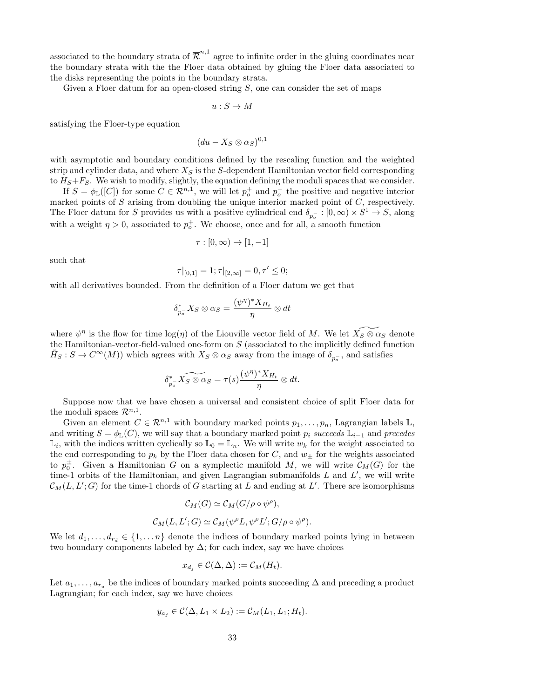associated to the boundary strata of  $\overline{\mathcal{R}}^{n,1}$  agree to infinite order in the gluing coordinates near the boundary strata with the the Floer data obtained by gluing the Floer data associated to the disks representing the points in the boundary strata.

Given a Floer datum for an open-closed string  $S$ , one can consider the set of maps

$$
u:S\to M
$$

satisfying the Floer-type equation

$$
(du - X_S \otimes \alpha_S)^{0,1}
$$

with asymptotic and boundary conditions defined by the rescaling function and the weighted strip and cylinder data, and where  $X<sub>S</sub>$  is the S-dependent Hamiltonian vector field corresponding to  $H_S + F_S$ . We wish to modify, slightly, the equation defining the moduli spaces that we consider.

If  $S = \phi_{\mathbb{L}}([C])$  for some  $C \in \mathcal{R}^{n,1}$ , we will let  $p_o^+$  and  $p_o^-$  the positive and negative interior marked points of  $S$  arising from doubling the unique interior marked point of  $C$ , respectively. The Floer datum for S provides us with a positive cylindrical end  $\delta_{p_o}$ :  $[0, \infty) \times S^1 \to S$ , along with a weight  $\eta > 0$ , associated to  $p_o^+$ . We choose, once and for all, a smooth function

$$
\tau : [0, \infty) \to [1, -1]
$$

such that

$$
\tau|_{[0,1]}=1; \tau|_{[2,\infty]}=0, \tau'\leq 0;
$$

with all derivatives bounded. From the definition of a Floer datum we get that

$$
\delta_{p_{\sigma}}^* X_S \otimes \alpha_S = \frac{(\psi^{\eta})^* X_{H_t}}{\eta} \otimes dt
$$

where  $\psi^{\eta}$  is the flow for time  $\log(\eta)$  of the Liouville vector field of M. We let  $\widetilde{X_{S} \otimes \alpha_{S}}$  denote the Hamiltonian-vector-field-valued one-form on  $S$  (associated to the implicitly defined function  $\tilde{H}_S: S \to C^{\infty}(M)$  which agrees with  $X_S \otimes \alpha_S$  away from the image of  $\delta_{p_o^-}$ , and satisfies

$$
\delta_{p_\sigma}^* \widetilde{X_S \otimes \alpha_S} = \tau(s) \frac{(\psi^\eta)^* X_{H_t}}{\eta} \otimes dt.
$$

Suppose now that we have chosen a universal and consistent choice of split Floer data for the moduli spaces  $\mathcal{R}^{n,1}$ .

Given an element  $C \in \mathbb{R}^{n,1}$  with boundary marked points  $p_1, \ldots, p_n$ , Lagrangian labels  $\mathbb{L}$ , and writing  $S = \phi_{\mathbb{L}}(C)$ , we will say that a boundary marked point  $p_i$  succeeds  $\mathbb{L}_{i-1}$  and precedes  $\mathbb{L}_i$ , with the indices written cyclically so  $\mathbb{L}_0 = \mathbb{L}_n$ . We will write  $w_k$  for the weight associated to the end corresponding to  $p_k$  by the Floer data chosen for C, and  $w_{\pm}$  for the weights associated to  $p_0^{\pm}$ . Given a Hamiltonian G on a symplectic manifold M, we will write  $\mathcal{C}_M(G)$  for the time-1 orbits of the Hamiltonian, and given Lagrangian submanifolds  $L$  and  $L'$ , we will write  $\mathcal{C}_M(L, L'; G)$  for the time-1 chords of G starting at L and ending at L'. There are isomorphisms

$$
\mathcal{C}_M(G) \simeq \mathcal{C}_M(G/\rho \circ \psi^{\rho}),
$$
  

$$
\mathcal{C}_M(L, L'; G) \simeq \mathcal{C}_M(\psi^{\rho} L, \psi^{\rho} L'; G/\rho \circ \psi^{\rho}).
$$

We let  $d_1, \ldots, d_{r_d} \in \{1, \ldots n\}$  denote the indices of boundary marked points lying in between two boundary components labeled by  $\Delta$ ; for each index, say we have choices

$$
x_{d_j} \in \mathcal{C}(\Delta, \Delta) := \mathcal{C}_M(H_t).
$$

Let  $a_1, \ldots, a_{r_a}$  be the indices of boundary marked points succeeding  $\Delta$  and preceding a product Lagrangian; for each index, say we have choices

$$
y_{a_j} \in \mathcal{C}(\Delta, L_1 \times L_2) := \mathcal{C}_M(L_1, L_1; H_t).
$$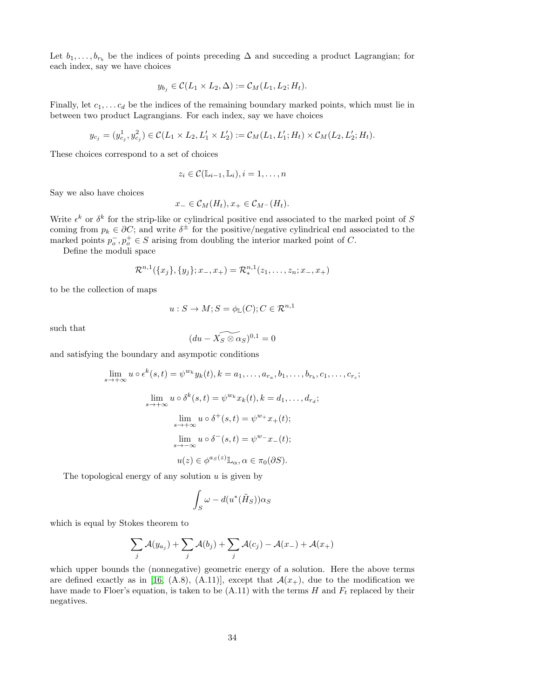Let  $b_1, \ldots, b_{r_b}$  be the indices of points preceding  $\Delta$  and succeding a product Lagrangian; for each index, say we have choices

$$
y_{b_j} \in \mathcal{C}(L_1 \times L_2, \Delta) := \mathcal{C}_M(L_1, L_2; H_t).
$$

Finally, let  $c_1, \ldots c_d$  be the indices of the remaining boundary marked points, which must lie in between two product Lagrangians. For each index, say we have choices

$$
y_{c_j} = (y_{c_j}^1, y_{c_j}^2) \in \mathcal{C}(L_1 \times L_2, L'_1 \times L'_2) := \mathcal{C}_M(L_1, L'_1; H_t) \times \mathcal{C}_M(L_2, L'_2; H_t).
$$

These choices correspond to a set of choices

$$
z_i \in \mathcal{C}(\mathbb{L}_{i-1}, \mathbb{L}_i), i = 1, \dots, n
$$

Say we also have choices

$$
x_{-} \in \mathcal{C}_M(H_t), x_{+} \in \mathcal{C}_{M}-(H_t).
$$

Write  $\epsilon^k$  or  $\delta^k$  for the strip-like or cylindrical positive end associated to the marked point of S coming from  $p_k \in \partial C$ ; and write  $\delta^{\pm}$  for the positive/negative cylindrical end associated to the marked points  $p_o^-, p_o^+ \in S$  arising from doubling the interior marked point of C.

Define the moduli space

$$
\mathcal{R}^{n,1}(\{x_j\},\{y_j\};x_-,x_+) = \mathcal{R}^{n,1}_*(z_1,\ldots,z_n;x_-,x_+)
$$

to be the collection of maps

$$
u: S \to M; S = \phi_{\mathbb{L}}(C); C \in \mathcal{R}^{n,1}
$$

such that

$$
(du - \widetilde{X_S \otimes \alpha_S})^{0,1} = 0
$$

and satisfying the boundary and asympotic conditions

$$
\lim_{s \to +\infty} u \circ \epsilon^k(s, t) = \psi^{w_k} y_k(t), k = a_1, \dots, a_{r_a}, b_1, \dots, b_{r_b}, c_1, \dots, c_{r_c};
$$
\n
$$
\lim_{s \to +\infty} u \circ \delta^k(s, t) = \psi^{w_k} x_k(t), k = d_1, \dots, d_{r_d};
$$
\n
$$
\lim_{s \to +\infty} u \circ \delta^+(s, t) = \psi^{w_+} x_+(t);
$$
\n
$$
\lim_{s \to -\infty} u \circ \delta^-(s, t) = \psi^{w_-} x_-(t);
$$
\n
$$
u(z) \in \phi^{a_S(z)} \mathbb{L}_{\alpha}, \alpha \in \pi_0(\partial S).
$$

The topological energy of any solution  $u$  is given by

$$
\int_{S} \omega - d(u^*(\tilde{H}_S)) \alpha_S
$$

which is equal by Stokes theorem to

$$
\sum_j \mathcal{A}(y_{a_j}) + \sum_j \mathcal{A}(b_j) + \sum_j \mathcal{A}(c_j) - \mathcal{A}(x_-) + \mathcal{A}(x_+)
$$

which upper bounds the (nonnegative) geometric energy of a solution. Here the above terms are defined exactly as in [\[16,](#page-37-7) (A.8), (A.11)], except that  $\mathcal{A}(x_+)$ , due to the modification we have made to Floer's equation, is taken to be  $(A.11)$  with the terms H and  $F_t$  replaced by their negatives.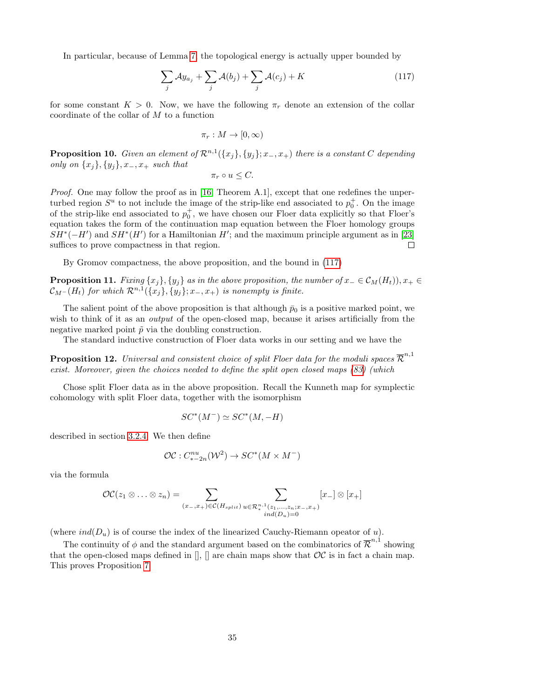In particular, because of Lemma [7,](#page-16-1) the topological energy is actually upper bounded by

<span id="page-34-0"></span>
$$
\sum_{j} \mathcal{A}y_{a_j} + \sum_{j} \mathcal{A}(b_j) + \sum_{j} \mathcal{A}(c_j) + K \tag{117}
$$

for some constant  $K > 0$ . Now, we have the following  $\pi_r$  denote an extension of the collar coordinate of the collar of  $M$  to a function

$$
\pi_r: M \to [0, \infty)
$$

**Proposition 10.** Given an element of  $\mathcal{R}^{n,1}(\{x_j\}, \{y_j\}; x_-, x_+)$  there is a constant C depending only on  $\{x_j\}, \{y_j\}, x_-, x_+$  such that

 $\pi_r \circ u \leq C$ .

*Proof.* One may follow the proof as in [\[16,](#page-37-7) Theorem A.1], except that one redefines the unperturbed region  $S^u$  to not include the image of the strip-like end associated to  $p_0^+$ . On the image of the strip-like end associated to  $p_0^+$ , we have chosen our Floer data explicitly so that Floer's equation takes the form of the continuation map equation between the Floer homology groups  $SH^*(-H')$  and  $SH^*(H')$  for a Hamiltonian H'; and the maximum principle argument as in [\[23\]](#page-38-8) suffices to prove compactness in that region.  $\Box$ 

By Gromov compactness, the above proposition, and the bound in [\(117\)](#page-34-0)

**Proposition 11.** Fixing  $\{x_j\}, \{y_j\}$  as in the above proposition, the number of  $x_-\in C_M(H_t)$ ,  $x_+\in$  $\mathcal{C}_{M^-}(H_t)$  for which  $\mathcal{R}^{n,1}(\{x_j\}, \{y_j\}; x_-, x_+)$  is nonempty is finite.

The salient point of the above proposition is that although  $\bar{p}_0$  is a positive marked point, we wish to think of it as an *output* of the open-closed map, because it arises artificially from the negative marked point  $\tilde{p}$  via the doubling construction.

The standard inductive construction of Floer data works in our setting and we have the

**Proposition 12.** Universal and consistent choice of split Floer data for the moduli spaces  $\overline{\mathcal{R}}^{n,1}$ exist. Moreover, given the choices needed to define the split open closed maps [\(83\)](#page-23-4) (which

Chose split Floer data as in the above proposition. Recall the Kunneth map for symplectic cohomology with split Floer data, together with the isomorphism

$$
SC^*(M^-) \simeq SC^*(M, -H)
$$

described in section [3.2.4.](#page-26-3) We then define

$$
\mathcal{OC}: C^{nu}_{*-2n}(\mathcal{W}^2) \to SC^*(M \times M^-)
$$

via the formula

$$
\mathcal{OC}(z_1 \otimes \ldots \otimes z_n) = \sum_{(x_-,x_+) \in \mathcal{C}(H_{split})} \sum_{\substack{u \in \mathcal{R}_*^{n,1}(z_1,\ldots,z_n;x_-,x_+) \\iid(D_u)=0}} [x_-] \otimes [x_+]
$$

(where  $ind(D_u)$  is of course the index of the linearized Cauchy-Riemann opeator of u).

The continuity of  $\phi$  and the standard argument based on the combinatorics of  $\overline{\mathcal{R}}^{n,1}$  showing that the open-closed maps defined in  $\left[\right]$ ,  $\left[\right]$  are chain maps show that  $OC$  is in fact a chain map. This proves Proposition [7](#page-23-5)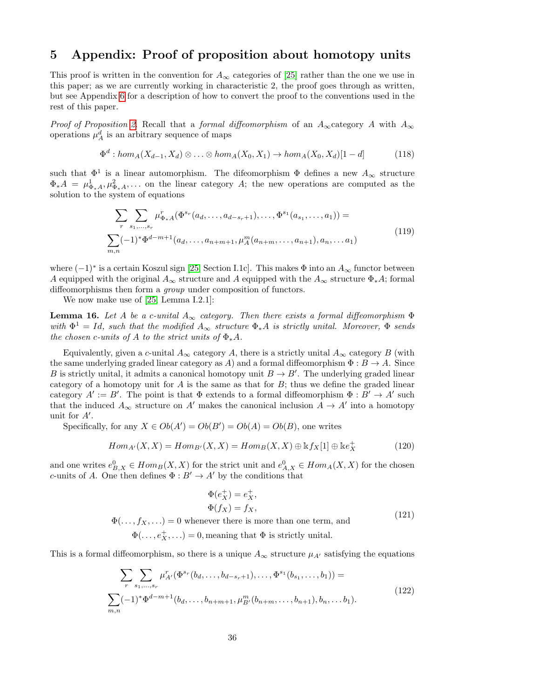### <span id="page-35-0"></span>5 Appendix: Proof of proposition about homotopy units

This proof is written in the convention for  $A_{\infty}$  categories of [\[25\]](#page-38-3) rather than the one we use in this paper; as we are currently working in characteristic 2, the proof goes through as written, but see Appendix [6](#page-36-0) for a description of how to convert the proof to the conventions used in the rest of this paper.

Proof of Proposition [2.](#page-3-1) Recall that a formal diffeomorphism of an  $A_{\infty}$  category A with  $A_{\infty}$ operations  $\mu_A^d$  is an arbitrary sequence of maps

$$
\Phi^d: hom_A(X_{d-1}, X_d) \otimes \ldots \otimes hom_A(X_0, X_1) \to hom_A(X_0, X_d)[1-d] \tag{118}
$$

such that  $\Phi^1$  is a linear automorphism. The difeomorphism  $\Phi$  defines a new  $A_{\infty}$  structure  $\Phi_*A = \mu_{\Phi_*A}^1, \mu_{\Phi_*A}^2, \ldots$  on the linear category A; the new operations are computed as the solution to the system of equations

$$
\sum_{r} \sum_{s_1, \dots, s_r} \mu_{\Phi_*A}^r(\Phi^{s_r}(a_d, \dots, a_{d-s_r+1}), \dots, \Phi^{s_1}(a_{s_1}, \dots, a_1)) =
$$
\n
$$
\sum_{m,n} (-1)^* \Phi^{d-m+1}(a_d, \dots, a_{n+m+1}, \mu_A^m(a_{n+m}, \dots, a_{n+1}), a_n, \dots a_1)
$$
\n(119)

where  $(-1)^*$  is a certain Koszul sign [\[25,](#page-38-3) Section I.1c]. This makes  $\Phi$  into an  $A_{\infty}$  functor between A equipped with the original  $A_{\infty}$  structure and A equipped with the  $A_{\infty}$  structure  $\Phi_{*}A$ ; formal diffeomorphisms then form a *group* under composition of functors.

We now make use of [\[25,](#page-38-3) Lemma I.2.1]:

**Lemma 16.** Let A be a c-unital  $A_{\infty}$  category. Then there exists a formal diffeomorphism  $\Phi$ with  $\Phi^1 = Id$ , such that the modified  $A_{\infty}$  structure  $\Phi_* A$  is strictly unital. Moreover,  $\Phi$  sends the chosen c-units of A to the strict units of  $\Phi_*A$ .

Equivalently, given a c-unital  $A_{\infty}$  category A, there is a strictly unital  $A_{\infty}$  category B (with the same underlying graded linear category as A) and a formal diffeomorphism  $\Phi : B \to A$ . Since B is strictly unital, it admits a canonical homotopy unit  $B \to B'$ . The underlying graded linear category of a homotopy unit for  $A$  is the same as that for  $B$ ; thus we define the graded linear category  $A' := B'$ . The point is that  $\Phi$  extends to a formal diffeomorphism  $\Phi : B' \to A'$  such that the induced  $A_{\infty}$  structure on A' makes the canonical inclusion  $A \to A'$  into a homotopy unit for  $A'$ .

Specifically, for any  $X \in Ob(A') = Ob(B') = Ob(A) = Ob(B)$ , one writes

$$
Hom_{A'}(X,X) = Hom_{B'}(X,X) = Hom_B(X,X) \oplus kf_X[1] \oplus ke_X^+
$$
(120)

and one writes  $e_{B,X}^0 \in Hom_B(X,X)$  for the strict unit and  $e_{A,X}^0 \in Hom_A(X,X)$  for the chosen c-units of A. One then defines  $\Phi: B' \to A'$  by the conditions that

<span id="page-35-2"></span>
$$
\Phi(e_X^+) = e_X^+,
$$
  
\n
$$
\Phi(f_X) = f_X,
$$
  
\n
$$
\Phi(\ldots, f_X, \ldots) = 0
$$
 whenever there is more than one term, and  
\n
$$
\Phi(\ldots, e_X^+, \ldots) = 0
$$
, meaning that  $\Phi$  is strictly unital. (121)

This is a formal diffeomorphism, so there is a unique  $A_{\infty}$  structure  $\mu_{A'}$  satisfying the equations

<span id="page-35-1"></span>
$$
\sum_{r} \sum_{s_1, \dots, s_r} \mu_{A'}^r(\Phi^{s_r}(b_d, \dots, b_{d-s_r+1}), \dots, \Phi^{s_1}(b_{s_1}, \dots, b_1)) =
$$
\n
$$
\sum_{m,n} (-1)^* \Phi^{d-m+1}(b_d, \dots, b_{n+m+1}, \mu_{B'}^m(b_{n+m}, \dots, b_{n+1}), b_n, \dots b_1).
$$
\n(122)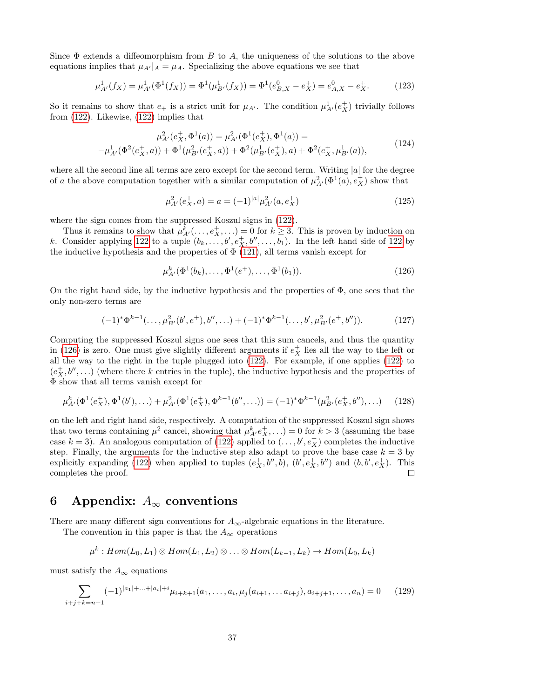Since  $\Phi$  extends a diffeomorphism from B to A, the uniqueness of the solutions to the above equations implies that  $\mu_{A'}|_A = \mu_A$ . Specializing the above equations we see that

$$
\mu_{A'}^1(f_X) = \mu_{A'}^1(\Phi^1(f_X)) = \Phi^1(\mu_{B'}^1(f_X)) = \Phi^1(e_{B,X}^0 - e_X^+) = e_{A,X}^0 - e_X^+.
$$
 (123)

So it remains to show that  $e_+$  is a strict unit for  $\mu_{A'}$ . The condition  $\mu_{A'}^1(e_X^+)$  trivially follows from [\(122\)](#page-35-1). Likewise, [\(122\)](#page-35-1) implies that

$$
\mu_{A'}^2(e_X^+, \Phi^1(a)) = \mu_{A'}^2(\Phi^1(e_X^+), \Phi^1(a)) = \tag{124}
$$

$$
-\mu_{A'}^1(\Phi^2(e_X^+,a)) + \Phi^1(\mu_{B'}^2(e_X^+,a)) + \Phi^2(\mu_{B'}^1(e_X^+),a) + \Phi^2(e_X^+, \mu_{B'}^1(a)),
$$
\n<sup>(124)</sup>

where all the second line all terms are zero except for the second term. Writing  $|a|$  for the degree of a the above computation together with a similar computation of  $\mu^2_{A'}(\Phi^1(a), e^+_X)$  show that

$$
\mu_{A'}^2(e_X^+,a) = a = (-1)^{|a|} \mu_{A'}^2(a, e_X^+) \tag{125}
$$

where the sign comes from the suppressed Koszul signs in [\(122\)](#page-35-1).

Thus it remains to show that  $\mu_{A'}^k(\ldots, e_X^+, \ldots) = 0$  for  $k \geq 3$ . This is proven by induction on k. Consider applying [122](#page-35-1) to a tuple  $(b_k, \ldots, b', e_X^+, b'', \ldots, b_1)$ . In the left hand side of 122 by the inductive hypothesis and the properties of  $\Phi$  [\(121\)](#page-35-2), all terms vanish except for

<span id="page-36-2"></span>
$$
\mu_{A'}^k(\Phi^1(b_k),\ldots,\Phi^1(e^+),\ldots,\Phi^1(b_1)).
$$
\n(126)

On the right hand side, by the inductive hypothesis and the properties of  $\Phi$ , one sees that the only non-zero terms are

$$
(-1)^{*} \Phi^{k-1}(\ldots, \mu_{B'}^{2}(b', e^{+}), b'', \ldots) + (-1)^{*} \Phi^{k-1}(\ldots, b', \mu_{B'}^{2}(e^{+}, b'')).
$$
 (127)

Computing the suppressed Koszul signs one sees that this sum cancels, and thus the quantity in [\(126\)](#page-36-2) is zero. One must give slightly different arguments if  $e^+_X$  lies all the way to the left or all the way to the right in the tuple plugged into [\(122\)](#page-35-1). For example, if one applies [\(122\)](#page-35-1) to  $(e^+_X, b'', \ldots)$  (where there k entries in the tuple), the inductive hypothesis and the properties of Φ show that all terms vanish except for

$$
\mu_{A'}^k(\Phi^1(e_X^+), \Phi^1(b'), \ldots) + \mu_{A'}^2(\Phi^1(e_X^+), \Phi^{k-1}(b'', \ldots)) = (-1)^* \Phi^{k-1}(\mu_{B'}^2(e_X^+, b''), \ldots)
$$
 (128)

on the left and right hand side, respectively. A computation of the suppressed Koszul sign shows that two terms containing  $\mu^2$  cancel, showing that  $\mu_A^k e_X^+, \ldots$ ) = 0 for  $k > 3$  (assuming the base case  $k = 3$ ). An analogous computation of [\(122\)](#page-35-1) applied to  $(\ldots, b', e^+_X)$  completes the inductive step. Finally, the arguments for the inductive step also adapt to prove the base case  $k = 3$  by explicitly expanding [\(122\)](#page-35-1) when applied to tuples  $(e_X^+, b'', b)$ ,  $(b', e_X^+, b'')$  and  $(b, b', e_X^+)$ . This completes the proof.  $\Box$ 

## <span id="page-36-0"></span>6 Appendix:  $A_{\infty}$  conventions

There are many different sign conventions for  $A_{\infty}$ -algebraic equations in the literature.

The convention in this paper is that the  $A_{\infty}$  operations

$$
\mu^k: Hom(L_0, L_1) \otimes Hom(L_1, L_2) \otimes \ldots \otimes Hom(L_{k-1}, L_k) \rightarrow Hom(L_0, L_k)
$$

must satisfy the  $A_{\infty}$  equations

<span id="page-36-1"></span>
$$
\sum_{i+j+k=n+1} (-1)^{|a_1|+\ldots+|a_i|+i} \mu_{i+k+1}(a_1,\ldots,a_i,\mu_j(a_{i+1},\ldots,a_{i+j}),a_{i+j+1},\ldots,a_n) = 0 \qquad (129)
$$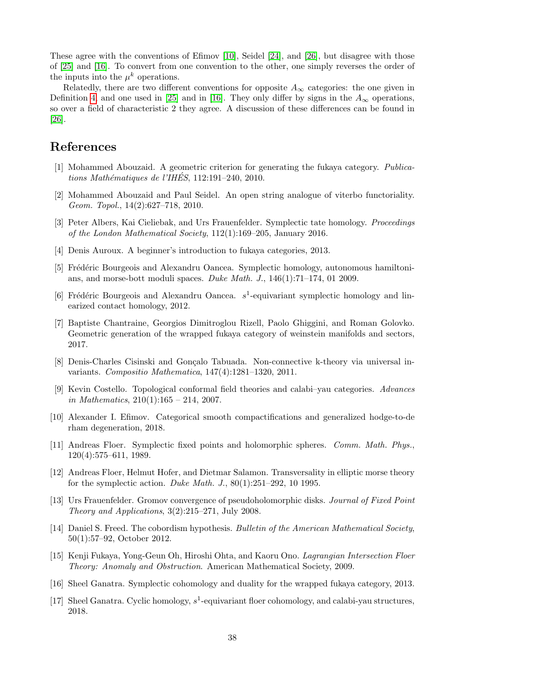These agree with the conventions of Efimov [\[10\]](#page-37-0), Seidel [\[24\]](#page-38-13), and [\[26\]](#page-38-12), but disagree with those of [\[25\]](#page-38-3) and [\[16\]](#page-37-7). To convert from one convention to the other, one simply reverses the order of the inputs into the  $\mu^k$  operations.

Relatedly, there are two different conventions for opposite  $A_{\infty}$  categories: the one given in Definition [4,](#page-8-1) and one used in [\[25\]](#page-38-3) and in [\[16\]](#page-37-7). They only differ by signs in the  $A_{\infty}$  operations, so over a field of characteristic 2 they agree. A discussion of these differences can be found in [\[26\]](#page-38-12).

### References

- <span id="page-37-1"></span>[1] Mohammed Abouzaid. A geometric criterion for generating the fukaya category. Publications Mathématiques de l'IHÉS, 112:191–240, 2010.
- <span id="page-37-10"></span>[2] Mohammed Abouzaid and Paul Seidel. An open string analogue of viterbo functoriality. Geom. Topol., 14(2):627–718, 2010.
- <span id="page-37-14"></span>[3] Peter Albers, Kai Cieliebak, and Urs Frauenfelder. Symplectic tate homology. Proceedings of the London Mathematical Society, 112(1):169–205, January 2016.
- <span id="page-37-9"></span>[4] Denis Auroux. A beginner's introduction to fukaya categories, 2013.
- <span id="page-37-12"></span>[5] Frédéric Bourgeois and Alexandru Oancea. Symplectic homology, autonomous hamiltonians, and morse-bott moduli spaces. Duke Math. J., 146(1):71–174, 01 2009.
- <span id="page-37-13"></span>[6] Frédéric Bourgeois and Alexandru Oancea.  $s^1$ -equivariant symplectic homology and linearized contact homology, 2012.
- <span id="page-37-2"></span>[7] Baptiste Chantraine, Georgios Dimitroglou Rizell, Paolo Ghiggini, and Roman Golovko. Geometric generation of the wrapped fukaya category of weinstein manifolds and sectors, 2017.
- <span id="page-37-15"></span>[8] Denis-Charles Cisinski and Gonçalo Tabuada. Non-connective k-theory via universal invariants. Compositio Mathematica, 147(4):1281–1320, 2011.
- <span id="page-37-5"></span>[9] Kevin Costello. Topological conformal field theories and calabi–yau categories. Advances in Mathematics,  $210(1):165 - 214$ , 2007.
- <span id="page-37-0"></span>[10] Alexander I. Efimov. Categorical smooth compactifications and generalized hodge-to-de rham degeneration, 2018.
- <span id="page-37-11"></span>[11] Andreas Floer. Symplectic fixed points and holomorphic spheres. Comm. Math. Phys., 120(4):575–611, 1989.
- <span id="page-37-16"></span>[12] Andreas Floer, Helmut Hofer, and Dietmar Salamon. Transversality in elliptic morse theory for the symplectic action. Duke Math. J., 80(1):251–292, 10 1995.
- <span id="page-37-8"></span>[13] Urs Frauenfelder. Gromov convergence of pseudoholomorphic disks. Journal of Fixed Point Theory and Applications,  $3(2):215-271$ , July 2008.
- <span id="page-37-4"></span>[14] Daniel S. Freed. The cobordism hypothesis. Bulletin of the American Mathematical Society, 50(1):57–92, October 2012.
- <span id="page-37-6"></span>[15] Kenji Fukaya, Yong-Geun Oh, Hiroshi Ohta, and Kaoru Ono. Lagrangian Intersection Floer Theory: Anomaly and Obstruction. American Mathematical Society, 2009.
- <span id="page-37-7"></span>[16] Sheel Ganatra. Symplectic cohomology and duality for the wrapped fukaya category, 2013.
- <span id="page-37-3"></span>[17] Sheel Ganatra. Cyclic homology,  $s^1$ -equivariant floer cohomology, and calabi-yau structures, 2018.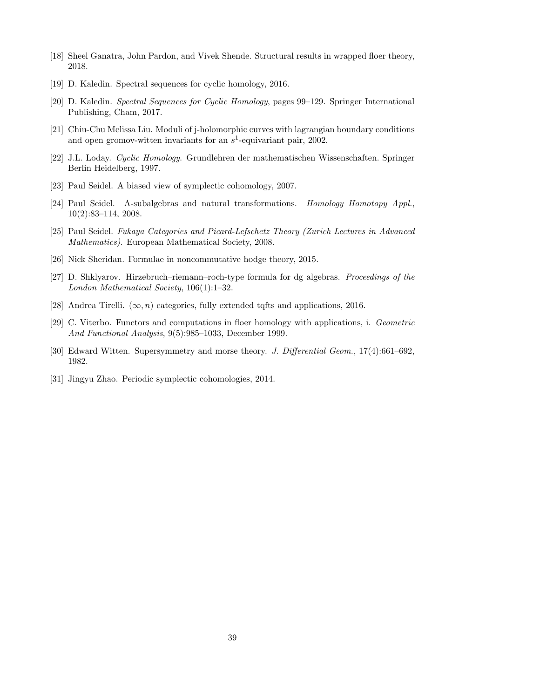- <span id="page-38-4"></span>[18] Sheel Ganatra, John Pardon, and Vivek Shende. Structural results in wrapped floer theory, 2018.
- <span id="page-38-1"></span>[19] D. Kaledin. Spectral sequences for cyclic homology, 2016.
- <span id="page-38-0"></span>[20] D. Kaledin. Spectral Sequences for Cyclic Homology, pages 99–129. Springer International Publishing, Cham, 2017.
- <span id="page-38-7"></span>[21] Chiu-Chu Melissa Liu. Moduli of j-holomorphic curves with lagrangian boundary conditions and open gromov-witten invariants for an  $s^1$ -equivariant pair, 2002.
- <span id="page-38-6"></span>[22] J.L. Loday. Cyclic Homology. Grundlehren der mathematischen Wissenschaften. Springer Berlin Heidelberg, 1997.
- <span id="page-38-8"></span>[23] Paul Seidel. A biased view of symplectic cohomology, 2007.
- <span id="page-38-13"></span>[24] Paul Seidel. A-subalgebras and natural transformations. Homology Homotopy Appl., 10(2):83–114, 2008.
- <span id="page-38-3"></span>[25] Paul Seidel. Fukaya Categories and Picard-Lefschetz Theory (Zurich Lectures in Advanced Mathematics). European Mathematical Society, 2008.
- <span id="page-38-12"></span>[26] Nick Sheridan. Formulae in noncommutative hodge theory, 2015.
- <span id="page-38-2"></span>[27] D. Shklyarov. Hirzebruch–riemann–roch-type formula for dg algebras. Proceedings of the London Mathematical Society, 106(1):1–32.
- <span id="page-38-5"></span>[28] Andrea Tirelli.  $(\infty, n)$  categories, fully extended tqfts and applications, 2016.
- <span id="page-38-10"></span>[29] C. Viterbo. Functors and computations in floer homology with applications, i. Geometric And Functional Analysis, 9(5):985–1033, December 1999.
- <span id="page-38-9"></span>[30] Edward Witten. Supersymmetry and morse theory. J. Differential Geom., 17(4):661–692, 1982.
- <span id="page-38-11"></span>[31] Jingyu Zhao. Periodic symplectic cohomologies, 2014.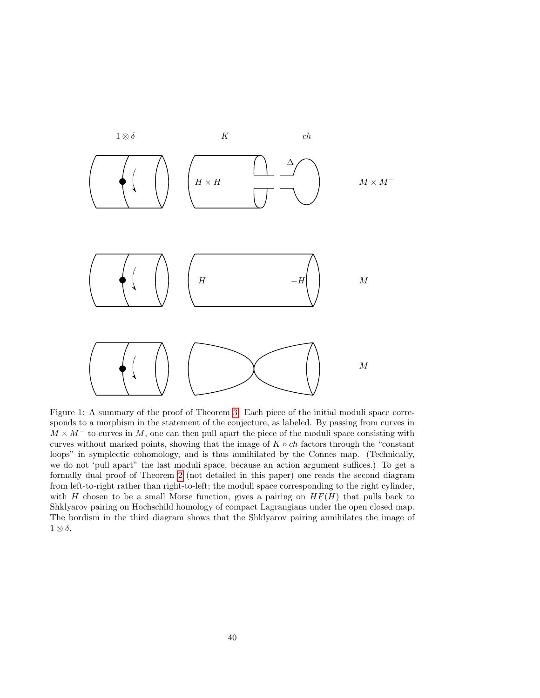

<span id="page-39-0"></span>Figure 1: A summary of the proof of Theorem [3.](#page-1-0) Each piece of the initial moduli space corresponds to a morphism in the statement of the conjecture, as labeled. By passing from curves in  $M \times M^-$  to curves in M, one can then pull apart the piece of the moduli space consisting with curves without marked points, showing that the image of  $K \circ ch$  factors through the "constant" loops" in symplectic cohomology, and is thus annihilated by the Connes map. (Technically, we do not 'pull apart" the last moduli space, because an action argument suffices.) To get a formally dual proof of Theorem [2](#page-0-1) (not detailed in this paper) one reads the second diagram from left-to-right rather than right-to-left; the moduli space corresponding to the right cylinder, with H chosen to be a small Morse function, gives a pairing on  $HF(H)$  that pulls back to Shklyarov pairing on Hochschild homology of compact Lagrangians under the open closed map. The bordism in the third diagram shows that the Shklyarov pairing annihilates the image of  $1 \otimes \delta$ .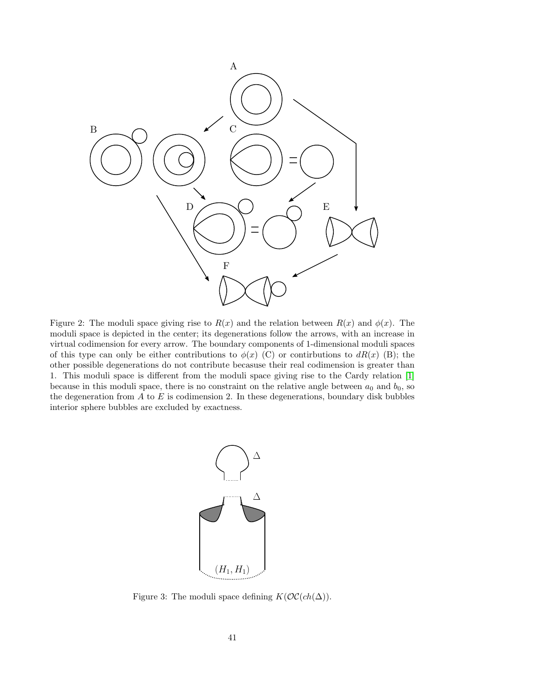

<span id="page-40-0"></span>Figure 2: The moduli space giving rise to  $R(x)$  and the relation between  $R(x)$  and  $\phi(x)$ . The moduli space is depicted in the center; its degenerations follow the arrows, with an increase in virtual codimension for every arrow. The boundary components of 1-dimensional moduli spaces of this type can only be either contributions to  $\phi(x)$  (C) or contirbutions to  $dR(x)$  (B); the other possible degenerations do not contribute becasuse their real codimension is greater than 1. This moduli space is different from the moduli space giving rise to the Cardy relation [\[1\]](#page-37-1) because in this moduli space, there is no constraint on the relative angle between  $a_0$  and  $b_0$ , so the degeneration from  $A$  to  $E$  is codimension 2. In these degenerations, boundary disk bubbles interior sphere bubbles are excluded by exactness.



<span id="page-40-1"></span>Figure 3: The moduli space defining  $K(\mathcal{O}(\mathcal{C}(ch(\Delta)))$ .